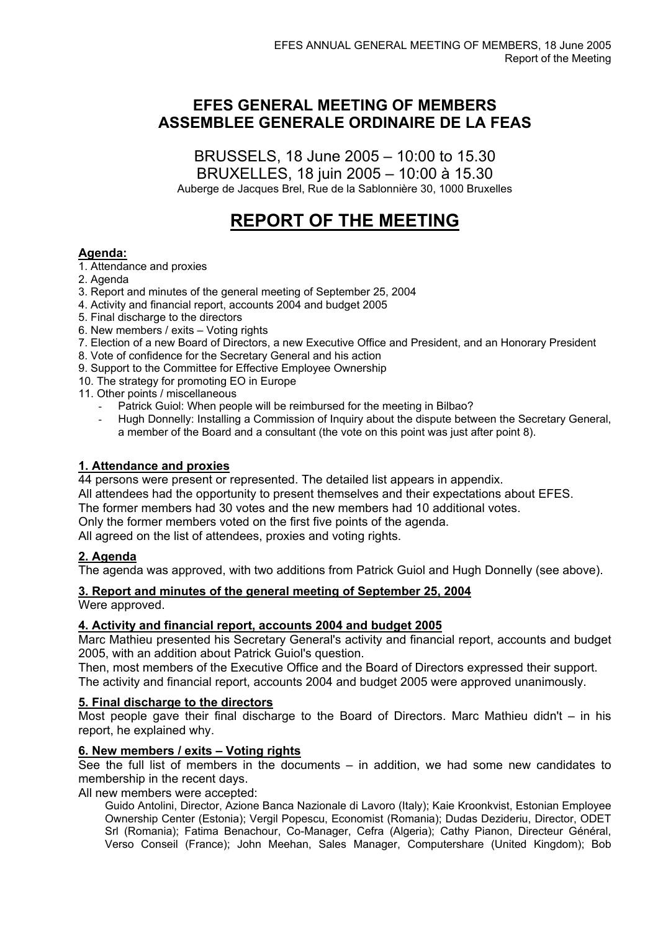# **EFES GENERAL MEETING OF MEMBERS ASSEMBLEE GENERALE ORDINAIRE DE LA FEAS**

BRUSSELS, 18 June 2005 – 10:00 to 15.30 BRUXELLES, 18 juin 2005 – 10:00 à 15.30 Auberge de Jacques Brel, Rue de la Sablonnière 30, 1000 Bruxelles

# **REPORT OF THE MEETING**

# **Agenda:**

1. Attendance and proxies

- 2. Agenda
- 3. Report and minutes of the general meeting of September 25, 2004
- 4. Activity and financial report, accounts 2004 and budget 2005
- 5. Final discharge to the directors
- 6. New members / exits Voting rights
- 7. Election of a new Board of Directors, a new Executive Office and President, and an Honorary President
- 8. Vote of confidence for the Secretary General and his action
- 9. Support to the Committee for Effective Employee Ownership
- 10. The strategy for promoting EO in Europe
- 11. Other points / miscellaneous
	- Patrick Guiol: When people will be reimbursed for the meeting in Bilbao?
	- Hugh Donnelly: Installing a Commission of Inquiry about the dispute between the Secretary General, a member of the Board and a consultant (the vote on this point was just after point 8).

# **1. Attendance and proxies**

44 persons were present or represented. The detailed list appears in appendix.

All attendees had the opportunity to present themselves and their expectations about EFES.

The former members had 30 votes and the new members had 10 additional votes.

Only the former members voted on the first five points of the agenda.

All agreed on the list of attendees, proxies and voting rights.

# **2. Agenda**

The agenda was approved, with two additions from Patrick Guiol and Hugh Donnelly (see above).

# **3. Report and minutes of the general meeting of September 25, 2004**

Were approved.

# **4. Activity and financial report, accounts 2004 and budget 2005**

Marc Mathieu presented his Secretary General's activity and financial report, accounts and budget 2005, with an addition about Patrick Guiol's question.

Then, most members of the Executive Office and the Board of Directors expressed their support. The activity and financial report, accounts 2004 and budget 2005 were approved unanimously.

# **5. Final discharge to the directors**

Most people gave their final discharge to the Board of Directors. Marc Mathieu didn't  $-$  in his report, he explained why.

# **6. New members / exits – Voting rights**

See the full list of members in the documents – in addition, we had some new candidates to membership in the recent days.

All new members were accepted:

Guido Antolini, Director, Azione Banca Nazionale di Lavoro (Italy); Kaie Kroonkvist, Estonian Employee Ownership Center (Estonia); Vergil Popescu, Economist (Romania); Dudas Dezideriu, Director, ODET Srl (Romania); Fatima Benachour, Co-Manager, Cefra (Algeria); Cathy Pianon, Directeur Général, Verso Conseil (France); John Meehan, Sales Manager, Computershare (United Kingdom); Bob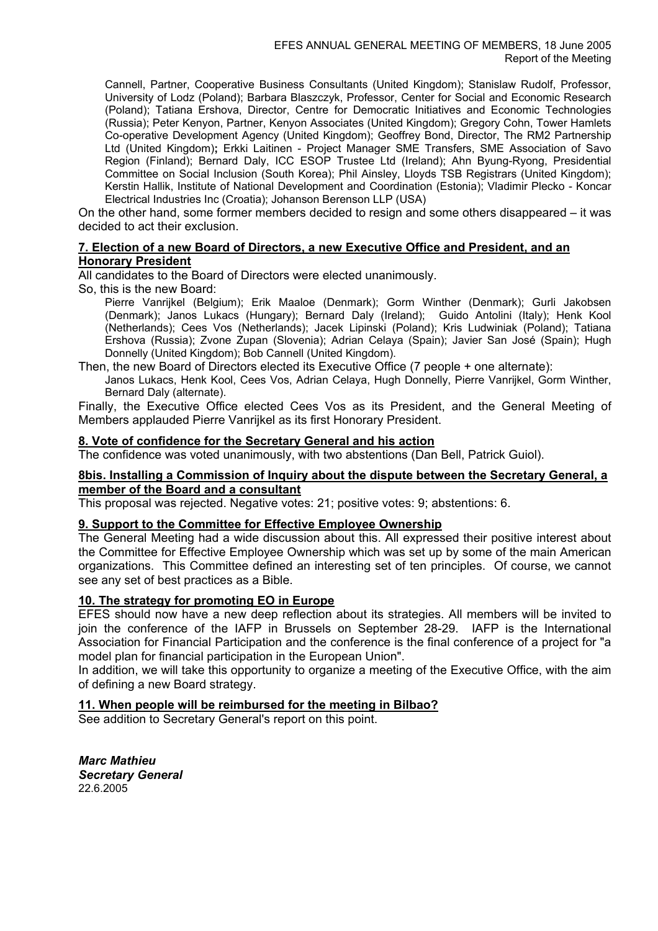Cannell, Partner, Cooperative Business Consultants (United Kingdom); Stanislaw Rudolf, Professor, University of Lodz (Poland); Barbara Blaszczyk, Professor, Center for Social and Economic Research (Poland); Tatiana Ershova, Director, Centre for Democratic Initiatives and Economic Technologies (Russia); Peter Kenyon, Partner, Kenyon Associates (United Kingdom); Gregory Cohn, Tower Hamlets Co-operative Development Agency (United Kingdom); Geoffrey Bond, Director, The RM2 Partnership Ltd (United Kingdom)**;** Erkki Laitinen - Project Manager SME Transfers, SME Association of Savo Region (Finland); Bernard Daly, ICC ESOP Trustee Ltd (Ireland); Ahn Byung-Ryong, Presidential Committee on Social Inclusion (South Korea); Phil Ainsley, Lloyds TSB Registrars (United Kingdom); Kerstin Hallik, Institute of National Development and Coordination (Estonia); Vladimir Plecko - Koncar Electrical Industries Inc (Croatia); Johanson Berenson LLP (USA)

On the other hand, some former members decided to resign and some others disappeared – it was decided to act their exclusion.

# **7. Election of a new Board of Directors, a new Executive Office and President, and an Honorary President**

All candidates to the Board of Directors were elected unanimously.

So, this is the new Board:

Pierre Vanrijkel (Belgium); Erik Maaloe (Denmark); Gorm Winther (Denmark); Gurli Jakobsen (Denmark); Janos Lukacs (Hungary); Bernard Daly (Ireland); Guido Antolini (Italy); Henk Kool (Netherlands); Cees Vos (Netherlands); Jacek Lipinski (Poland); Kris Ludwiniak (Poland); Tatiana Ershova (Russia); Zvone Zupan (Slovenia); Adrian Celaya (Spain); Javier San José (Spain); Hugh Donnelly (United Kingdom); Bob Cannell (United Kingdom).

Then, the new Board of Directors elected its Executive Office (7 people + one alternate):

Janos Lukacs, Henk Kool, Cees Vos, Adrian Celaya, Hugh Donnelly, Pierre Vanrijkel, Gorm Winther, Bernard Daly (alternate).

Finally, the Executive Office elected Cees Vos as its President, and the General Meeting of Members applauded Pierre Vanrijkel as its first Honorary President.

# **8. Vote of confidence for the Secretary General and his action**

The confidence was voted unanimously, with two abstentions (Dan Bell, Patrick Guiol).

# **8bis. Installing a Commission of Inquiry about the dispute between the Secretary General, a member of the Board and a consultant**

This proposal was rejected. Negative votes: 21; positive votes: 9; abstentions: 6.

# **9. Support to the Committee for Effective Employee Ownership**

The General Meeting had a wide discussion about this. All expressed their positive interest about the Committee for Effective Employee Ownership which was set up by some of the main American organizations. This Committee defined an interesting set of ten principles. Of course, we cannot see any set of best practices as a Bible.

# **10. The strategy for promoting EO in Europe**

EFES should now have a new deep reflection about its strategies. All members will be invited to join the conference of the IAFP in Brussels on September 28-29. IAFP is the International Association for Financial Participation and the conference is the final conference of a project for "a model plan for financial participation in the European Union".

In addition, we will take this opportunity to organize a meeting of the Executive Office, with the aim of defining a new Board strategy.

# **11. When people will be reimbursed for the meeting in Bilbao?**

See addition to Secretary General's report on this point.

*Marc Mathieu Secretary General*  22.6.2005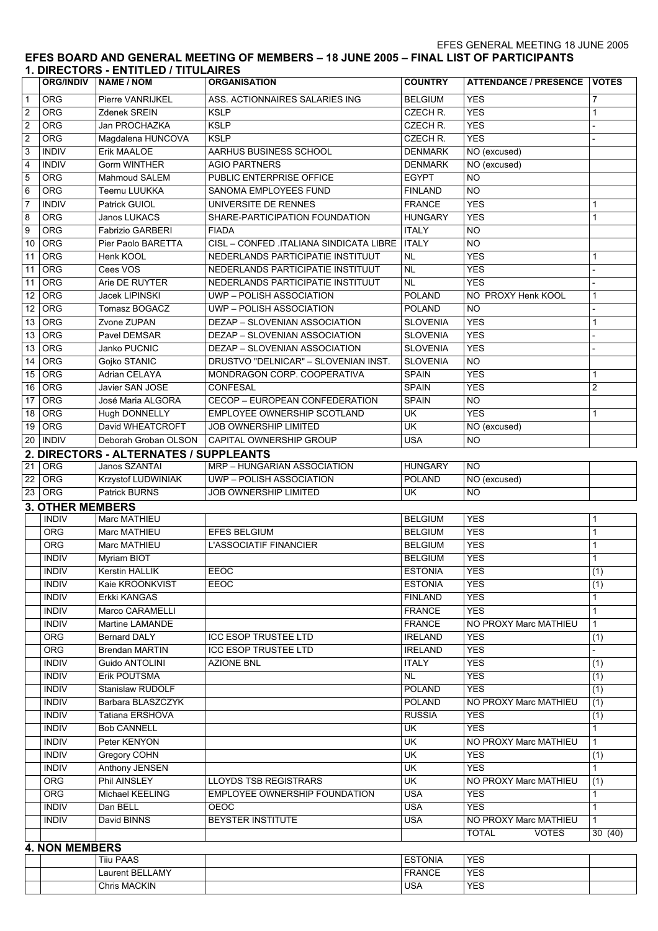EFES GENERAL MEETING 18 JUNE 2005

#### **EFES BOARD AND GENERAL MEETING OF MEMBERS – 18 JUNE 2005 – FINAL LIST OF PARTICIPANTS 1. DIRECTORS - ENTITLED / TITULAIRES**

|                  | <b>ORG/INDIV</b>        | <b>NAME / NOM</b>                      | <b>ORGANISATION</b>                     | <b>COUNTRY</b>           | ATTENDANCE / PRESENCE   VOTES |                |
|------------------|-------------------------|----------------------------------------|-----------------------------------------|--------------------------|-------------------------------|----------------|
| $\mathbf{1}$     | <b>ORG</b>              | Pierre VANRIJKEL                       | ASS. ACTIONNAIRES SALARIES ING          | <b>BELGIUM</b>           | <b>YES</b>                    | 7              |
| $\overline{2}$   | ORG                     | Zdenek SREIN                           | <b>KSLP</b>                             | CZECH R.                 | <b>YES</b>                    | 1              |
| <sub>2</sub>     | ORG                     | Jan PROCHAZKA                          | <b>KSLP</b>                             | CZECH R.                 | <b>YES</b>                    |                |
| $\overline{2}$   | ORG                     | Magdalena HUNCOVA                      | <b>KSLP</b>                             | CZECH R.                 | <b>YES</b>                    |                |
| 3                | <b>INDIV</b>            | Erik MAALOE                            | AARHUS BUSINESS SCHOOL                  | <b>DENMARK</b>           | NO (excused)                  |                |
| $\overline{4}$   | <b>INDIV</b>            | <b>Gorm WINTHER</b>                    | <b>AGIO PARTNERS</b>                    | <b>DENMARK</b>           | NO (excused)                  |                |
| 5                | ORG                     | Mahmoud SALEM                          | PUBLIC ENTERPRISE OFFICE                | <b>EGYPT</b>             | $\overline{N}$                |                |
| 6                | ORG                     | Teemu LUUKKA                           | SANOMA EMPLOYEES FUND                   | <b>FINLAND</b>           | <b>NO</b>                     |                |
| $\overline{7}$   | <b>INDIV</b>            | Patrick GUIOL                          | UNIVERSITE DE RENNES                    | <b>FRANCE</b>            | <b>YES</b>                    | 1              |
| 8                | ORG                     | Janos LUKACS                           | SHARE-PARTICIPATION FOUNDATION          | <b>HUNGARY</b>           | <b>YES</b>                    | 1              |
| 9                | ORG                     | Fabrizio GARBERI                       | <b>FIADA</b>                            | <b>ITALY</b>             | <b>NO</b>                     |                |
| 10 <sup>°</sup>  | ORG                     | Pier Paolo BARETTA                     | CISL - CONFED .ITALIANA SINDICATA LIBRE | <b>ITALY</b>             | <b>NO</b>                     |                |
| 11               | ORG                     | Henk KOOL                              | NEDERLANDS PARTICIPATIE INSTITUUT       | <b>NL</b>                | <b>YES</b>                    | 1              |
| 11               | ORG                     | Cees VOS                               | NEDERLANDS PARTICIPATIE INSTITUUT       | <b>NL</b>                | <b>YES</b>                    |                |
| 11               | ORG                     | Arie DE RUYTER                         | NEDERLANDS PARTICIPATIE INSTITUUT       | <b>NL</b>                | <b>YES</b>                    |                |
| 12 <sup>12</sup> | ORG                     | Jacek LIPINSKI                         | UWP-POLISH ASSOCIATION                  | <b>POLAND</b>            | NO PROXY Henk KOOL            | 1              |
| 12 <sup>12</sup> | ORG                     | Tomasz BOGACZ                          | <b>UWP-POLISH ASSOCIATION</b>           | <b>POLAND</b>            | <b>NO</b>                     |                |
| 13               | ORG                     | Zvone ZUPAN                            | <b>DEZAP - SLOVENIAN ASSOCIATION</b>    | <b>SLOVENIA</b>          | <b>YES</b>                    | 1              |
| 13               | ORG                     | Pavel DEMSAR                           | <b>DEZAP - SLOVENIAN ASSOCIATION</b>    | <b>SLOVENIA</b>          | <b>YES</b>                    |                |
| 13               | ORG                     | Janko PUCNIC                           | <b>DEZAP - SLOVENIAN ASSOCIATION</b>    | <b>SLOVENIA</b>          | <b>YES</b>                    |                |
| 14               | ORG                     | Gojko STANIC                           | DRUSTVO "DELNICAR" - SLOVENIAN INST.    | <b>SLOVENIA</b>          | $\overline{NO}$               |                |
| 15               | ORG                     | Adrian CELAYA                          | MONDRAGON CORP. COOPERATIVA             | <b>SPAIN</b>             | <b>YES</b>                    | 1              |
| 16               | ORG                     | Javier SAN JOSE                        | CONFESAL                                | <b>SPAIN</b>             | <b>YES</b>                    | $\overline{c}$ |
| 17 <sup>1</sup>  | ORG                     | José Maria ALGORA                      | CECOP - EUROPEAN CONFEDERATION          | <b>SPAIN</b>             | $\overline{N}$                |                |
| 18               | ORG                     | Hugh DONNELLY                          | EMPLOYEE OWNERSHIP SCOTLAND             | $\overline{\mathsf{CK}}$ | <b>YES</b>                    | 1              |
| 19               | ORG                     | David WHEATCROFT                       | <b>JOB OWNERSHIP LIMITED</b>            | UK                       | NO (excused)                  |                |
| 20 <sup>1</sup>  | <b>INDIV</b>            | Deborah Groban OLSON                   | CAPITAL OWNERSHIP GROUP                 | <b>USA</b>               | $\overline{NO}$               |                |
|                  |                         | 2. DIRECTORS - ALTERNATES / SUPPLEANTS |                                         |                          |                               |                |
| 21               | ORG                     | Janos SZANTAI                          | MRP - HUNGARIAN ASSOCIATION             | <b>HUNGARY</b>           | <b>NO</b>                     |                |
| 22               | <b>ORG</b>              | Krzystof LUDWINIAK                     | UWP-POLISH ASSOCIATION                  | <b>POLAND</b>            | NO (excused)                  |                |
| 23               | ORG                     | Patrick BURNS                          | JOB OWNERSHIP LIMITED                   | <b>UK</b>                | $\overline{NO}$               |                |
|                  | <b>3. OTHER MEMBERS</b> |                                        |                                         |                          |                               |                |
|                  | <b>INDIV</b>            | Marc MATHIEU                           |                                         | <b>BELGIUM</b>           | <b>YES</b>                    | 1              |
|                  | ORG                     | Marc MATHIEU                           | <b>EFES BELGIUM</b>                     | <b>BELGIUM</b>           | <b>YES</b>                    | 1              |
|                  | ORG                     | Marc MATHIEU                           | L'ASSOCIATIF FINANCIER                  | <b>BELGIUM</b>           | <b>YES</b>                    | 1              |
|                  | <b>INDIV</b>            | <b>Myriam BIOT</b>                     |                                         | <b>BELGIUM</b>           | <b>YES</b>                    | 1              |
|                  | <b>INDIV</b>            | Kerstin HALLIK                         | EEOC                                    | <b>ESTONIA</b>           | <b>YES</b>                    | (1)            |
|                  | <b>INDIV</b>            | Kaie KROONKVIST                        | EEOC                                    | <b>ESTONIA</b>           | <b>YES</b>                    | (1)            |
|                  | <b>INDIV</b>            | Erkki KANGAS                           |                                         | <b>FINLAND</b>           | <b>YES</b>                    | 1              |
|                  | <b>INDIV</b>            | Marco CARAMELLI                        |                                         | <b>FRANCE</b>            | <b>YES</b>                    | 1              |
|                  | <b>INDIV</b>            | Martine LAMANDE                        |                                         | <b>FRANCE</b>            | NO PROXY Marc MATHIEU         | 1              |
|                  | ORG                     | <b>Bernard DALY</b>                    | <b>ICC ESOP TRUSTEE LTD</b>             | <b>IRELAND</b>           | <b>YES</b>                    | (1)            |
|                  | <b>ORG</b>              | <b>Brendan MARTIN</b>                  | <b>ICC ESOP TRUSTEE LTD</b>             | <b>IRELAND</b>           | <b>YES</b>                    |                |
|                  | <b>INDIV</b>            | Guido ANTOLINI                         | <b>AZIONE BNL</b>                       | <b>ITALY</b>             | <b>YES</b>                    | (1)            |
|                  | <b>INDIV</b>            | Erik POUTSMA                           |                                         | <b>NL</b>                | <b>YES</b>                    | (1)            |
|                  | <b>INDIV</b>            | Stanislaw RUDOLF                       |                                         | <b>POLAND</b>            | <b>YES</b>                    | (1)            |
|                  | <b>INDIV</b>            | Barbara BLASZCZYK                      |                                         | <b>POLAND</b>            | NO PROXY Marc MATHIEU         | (1)            |
|                  | <b>INDIV</b>            | Tatiana ERSHOVA                        |                                         | <b>RUSSIA</b>            | <b>YES</b>                    | (1)            |
|                  | <b>INDIV</b>            | <b>Bob CANNELL</b>                     |                                         | UK                       | <b>YES</b>                    | $\mathbf{1}$   |
|                  | <b>INDIV</b>            | Peter KENYON                           |                                         | UK                       | NO PROXY Marc MATHIEU         | $\mathbf{1}$   |
|                  | <b>INDIV</b>            | Gregory COHN                           |                                         | UK                       | <b>YES</b>                    | (1)            |
|                  | <b>INDIV</b>            | Anthony JENSEN                         |                                         | $\overline{\mathsf{CK}}$ | <b>YES</b>                    | $\mathbf{1}$   |
|                  | <b>ORG</b>              | Phil AINSLEY                           | <b>LLOYDS TSB REGISTRARS</b>            | UK                       | NO PROXY Marc MATHIEU         | (1)            |
|                  | <b>ORG</b>              | Michael KEELING                        | EMPLOYEE OWNERSHIP FOUNDATION           | <b>USA</b>               | <b>YES</b>                    | 1              |
|                  | <b>INDIV</b>            | Dan BELL                               | OEOC                                    | <b>USA</b>               | <b>YES</b>                    | 1              |
|                  | <b>INDIV</b>            | David BINNS                            | BEYSTER INSTITUTE                       | <b>USA</b>               | NO PROXY Marc MATHIEU         | $\mathbf{1}$   |
|                  |                         |                                        |                                         |                          | <b>TOTAL</b><br><b>VOTES</b>  | 30 (40)        |
|                  | <b>4. NON MEMBERS</b>   |                                        |                                         |                          |                               |                |
|                  |                         | <b>Tiiu PAAS</b>                       |                                         | <b>ESTONIA</b>           | <b>YES</b>                    |                |
|                  |                         | Laurent BELLAMY                        |                                         | <b>FRANCE</b>            | <b>YES</b>                    |                |
|                  |                         | Chris MACKIN                           |                                         | <b>USA</b>               | <b>YES</b>                    |                |
|                  |                         |                                        |                                         |                          |                               |                |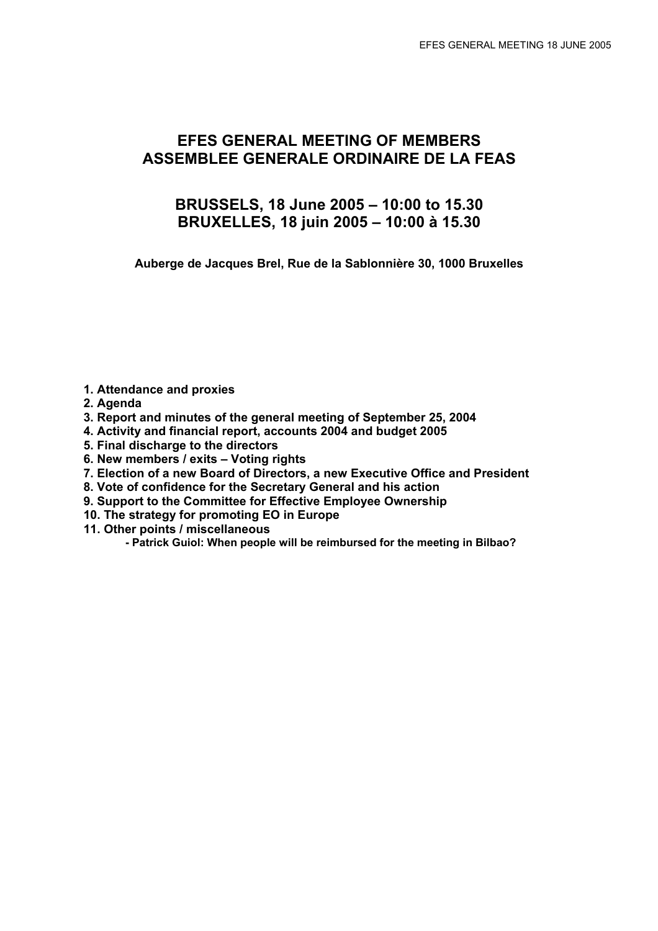# **EFES GENERAL MEETING OF MEMBERS ASSEMBLEE GENERALE ORDINAIRE DE LA FEAS**

# **BRUSSELS, 18 June 2005 – 10:00 to 15.30 BRUXELLES, 18 juin 2005 – 10:00 à 15.30**

**Auberge de Jacques Brel, Rue de la Sablonnière 30, 1000 Bruxelles** 

- **1. Attendance and proxies**
- **2. Agenda**
- **3. Report and minutes of the general meeting of September 25, 2004**
- **4. Activity and financial report, accounts 2004 and budget 2005**
- **5. Final discharge to the directors**
- **6. New members / exits Voting rights**
- **7. Election of a new Board of Directors, a new Executive Office and President**
- **8. Vote of confidence for the Secretary General and his action**
- **9. Support to the Committee for Effective Employee Ownership**
- **10. The strategy for promoting EO in Europe**
- **11. Other points / miscellaneous** 
	- **Patrick Guiol: When people will be reimbursed for the meeting in Bilbao?**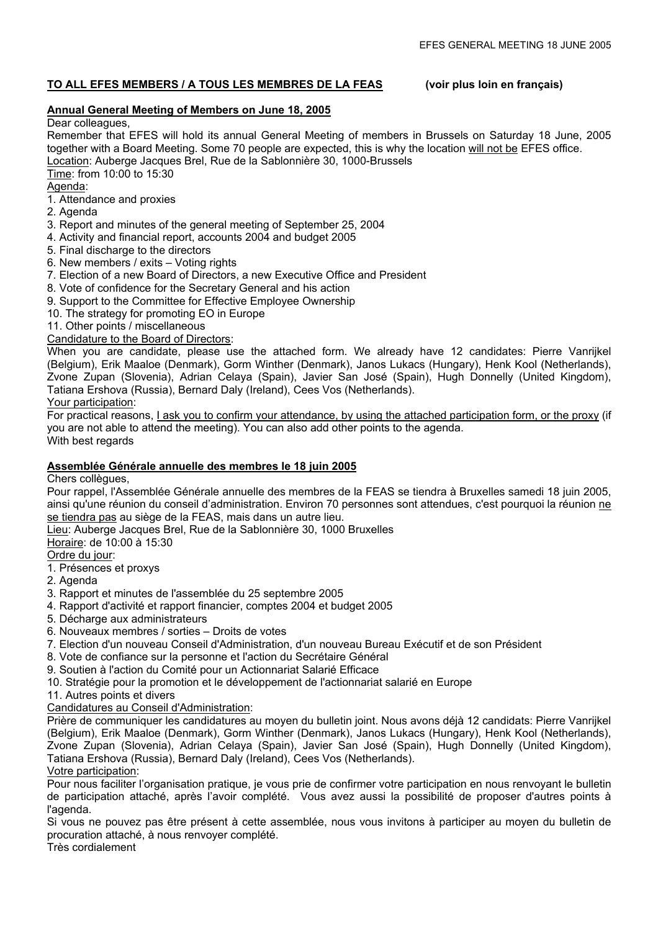# **TO ALL EFES MEMBERS / A TOUS LES MEMBRES DE LA FEAS (voir plus loin en français)**

# **Annual General Meeting of Members on June 18, 2005**

#### Dear colleagues,

Remember that EFES will hold its annual General Meeting of members in Brussels on Saturday 18 June, 2005 together with a Board Meeting. Some 70 people are expected, this is why the location will not be EFES office. Location: Auberge Jacques Brel, Rue de la Sablonnière 30, 1000-Brussels

- Time: from 10:00 to 15:30 Agenda:
- 1. Attendance and proxies
- 2. Agenda
- 3. Report and minutes of the general meeting of September 25, 2004
- 4. Activity and financial report, accounts 2004 and budget 2005
- 5. Final discharge to the directors
- 6. New members / exits Voting rights
- 7. Election of a new Board of Directors, a new Executive Office and President
- 8. Vote of confidence for the Secretary General and his action
- 9. Support to the Committee for Effective Employee Ownership
- 10. The strategy for promoting EO in Europe
- 11. Other points / miscellaneous

# Candidature to the Board of Directors:

When you are candidate, please use the attached form. We already have 12 candidates: Pierre Vanrijkel (Belgium), Erik Maaloe (Denmark), Gorm Winther (Denmark), Janos Lukacs (Hungary), Henk Kool (Netherlands), Zvone Zupan (Slovenia), Adrian Celaya (Spain), Javier San José (Spain), Hugh Donnelly (United Kingdom), Tatiana Ershova (Russia), Bernard Daly (Ireland), Cees Vos (Netherlands).

Your participation:

For practical reasons, I ask you to confirm your attendance, by using the attached participation form, or the proxy (if you are not able to attend the meeting). You can also add other points to the agenda. With best regards

# **Assemblée Générale annuelle des membres le 18 juin 2005**

#### Chers collègues,

Pour rappel, l'Assemblée Générale annuelle des membres de la FEAS se tiendra à Bruxelles samedi 18 juin 2005, ainsi qu'une réunion du conseil d'administration. Environ 70 personnes sont attendues, c'est pourquoi la réunion ne se tiendra pas au siège de la FEAS, mais dans un autre lieu.

Lieu: Auberge Jacques Brel, Rue de la Sablonnière 30, 1000 Bruxelles

Horaire: de 10:00 à 15:30

# Ordre du jour:

- 1. Présences et proxys
- 2. Agenda
- 3. Rapport et minutes de l'assemblée du 25 septembre 2005
- 4. Rapport d'activité et rapport financier, comptes 2004 et budget 2005
- 5. Décharge aux administrateurs
- 6. Nouveaux membres / sorties Droits de votes
- 7. Election d'un nouveau Conseil d'Administration, d'un nouveau Bureau Exécutif et de son Président
- 8. Vote de confiance sur la personne et l'action du Secrétaire Général
- 9. Soutien à l'action du Comité pour un Actionnariat Salarié Efficace
- 10. Stratégie pour la promotion et le développement de l'actionnariat salarié en Europe
- 11. Autres points et divers

# Candidatures au Conseil d'Administration:

Prière de communiquer les candidatures au moyen du bulletin joint. Nous avons déjà 12 candidats: Pierre Vanrijkel (Belgium), Erik Maaloe (Denmark), Gorm Winther (Denmark), Janos Lukacs (Hungary), Henk Kool (Netherlands), Zvone Zupan (Slovenia), Adrian Celaya (Spain), Javier San José (Spain), Hugh Donnelly (United Kingdom), Tatiana Ershova (Russia), Bernard Daly (Ireland), Cees Vos (Netherlands). Votre participation:

# Pour nous faciliter l'organisation pratique, je vous prie de confirmer votre participation en nous renvoyant le bulletin de participation attaché, après l'avoir complété. Vous avez aussi la possibilité de proposer d'autres points à l'agenda.

Si vous ne pouvez pas être présent à cette assemblée, nous vous invitons à participer au moyen du bulletin de procuration attaché, à nous renvoyer complété.

Très cordialement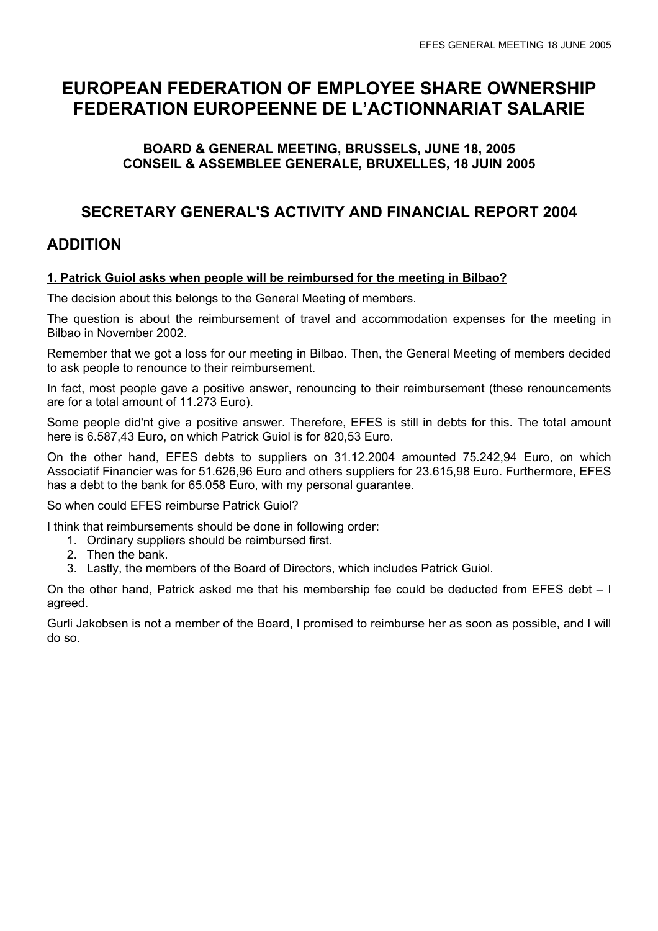# **EUROPEAN FEDERATION OF EMPLOYEE SHARE OWNERSHIP FEDERATION EUROPEENNE DE L'ACTIONNARIAT SALARIE**

# **BOARD & GENERAL MEETING, BRUSSELS, JUNE 18, 2005 CONSEIL & ASSEMBLEE GENERALE, BRUXELLES, 18 JUIN 2005**

# **SECRETARY GENERAL'S ACTIVITY AND FINANCIAL REPORT 2004**

# **ADDITION**

# **1. Patrick Guiol asks when people will be reimbursed for the meeting in Bilbao?**

The decision about this belongs to the General Meeting of members.

The question is about the reimbursement of travel and accommodation expenses for the meeting in Bilbao in November 2002.

Remember that we got a loss for our meeting in Bilbao. Then, the General Meeting of members decided to ask people to renounce to their reimbursement.

In fact, most people gave a positive answer, renouncing to their reimbursement (these renouncements are for a total amount of 11.273 Euro).

Some people did'nt give a positive answer. Therefore, EFES is still in debts for this. The total amount here is 6.587,43 Euro, on which Patrick Guiol is for 820,53 Euro.

On the other hand, EFES debts to suppliers on 31.12.2004 amounted 75.242,94 Euro, on which Associatif Financier was for 51.626,96 Euro and others suppliers for 23.615,98 Euro. Furthermore, EFES has a debt to the bank for 65.058 Euro, with my personal guarantee.

# So when could EFES reimburse Patrick Guiol?

I think that reimbursements should be done in following order:

- 1. Ordinary suppliers should be reimbursed first.
- 2. Then the bank.
- 3. Lastly, the members of the Board of Directors, which includes Patrick Guiol.

On the other hand, Patrick asked me that his membership fee could be deducted from EFES debt – I agreed.

Gurli Jakobsen is not a member of the Board, I promised to reimburse her as soon as possible, and I will do so.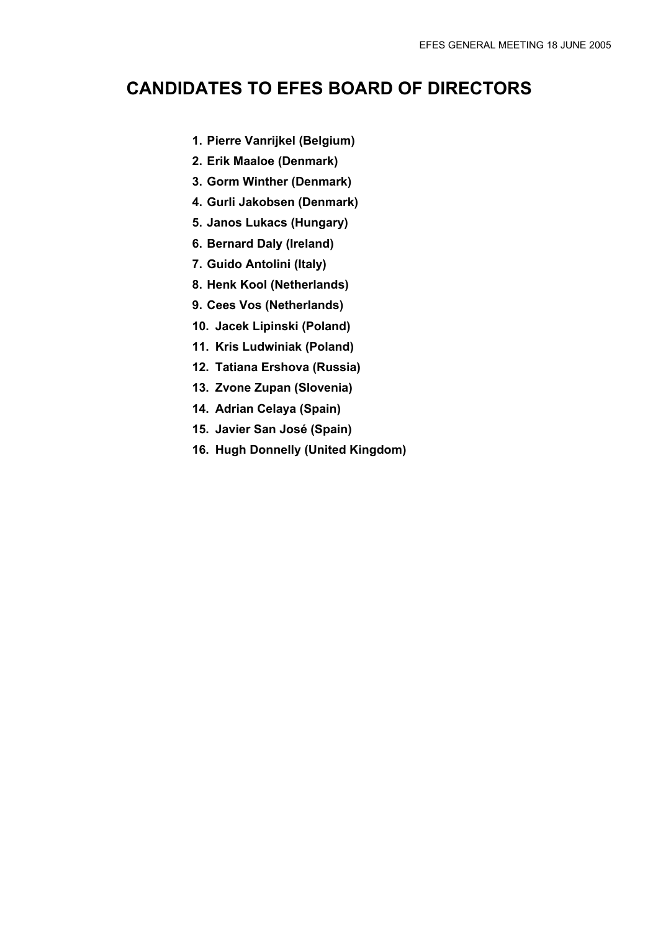# **CANDIDATES TO EFES BOARD OF DIRECTORS**

- **1. Pierre Vanrijkel (Belgium)**
- **2. Erik Maaloe (Denmark)**
- **3. Gorm Winther (Denmark)**
- **4. Gurli Jakobsen (Denmark)**
- **5. Janos Lukacs (Hungary)**
- **6. Bernard Daly (Ireland)**
- **7. Guido Antolini (Italy)**
- **8. Henk Kool (Netherlands)**
- **9. Cees Vos (Netherlands)**
- **10. Jacek Lipinski (Poland)**
- **11. Kris Ludwiniak (Poland)**
- **12. Tatiana Ershova (Russia)**
- **13. Zvone Zupan (Slovenia)**
- **14. Adrian Celaya (Spain)**
- **15. Javier San José (Spain)**
- **16. Hugh Donnelly (United Kingdom)**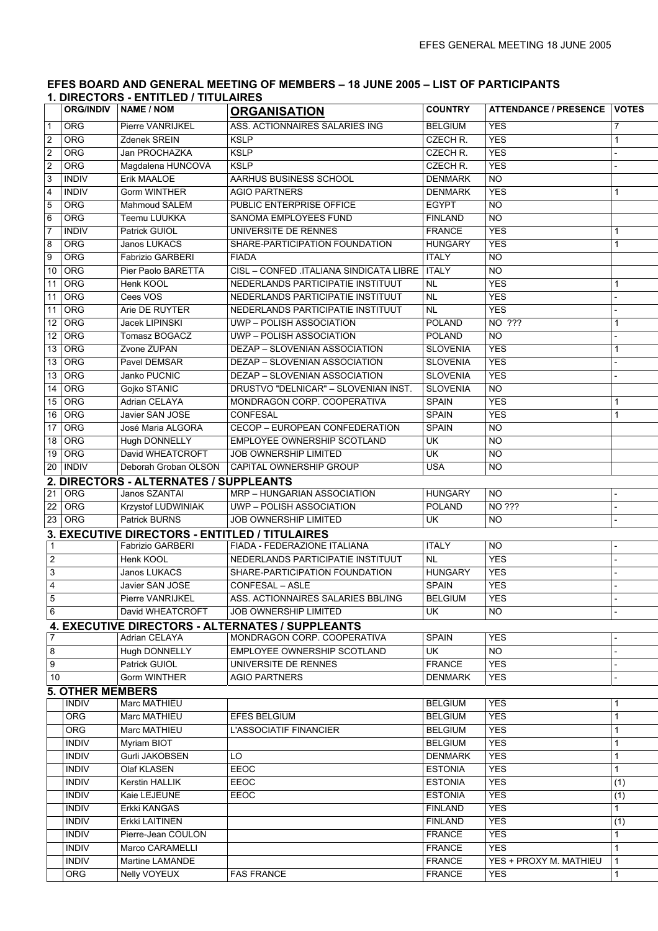#### **EFES BOARD AND GENERAL MEETING OF MEMBERS – 18 JUNE 2005 – LIST OF PARTICIPANTS 1. DIRECTORS - ENTITLED / TITULAIRES**

|                 |                         | <b>ORG/INDIV   NAME / NOM</b>                  | <b>ORGANISATION</b>                              | <b>COUNTRY</b>  | <b>ATTENDANCE / PRESENCE</b> | <b>VOTES</b> |
|-----------------|-------------------------|------------------------------------------------|--------------------------------------------------|-----------------|------------------------------|--------------|
| $\mathbf{1}$    | <b>ORG</b>              | Pierre VANRIJKEL                               | ASS. ACTIONNAIRES SALARIES ING                   | <b>BELGIUM</b>  | <b>YES</b>                   | 7            |
| $\overline{c}$  | <b>ORG</b>              | Zdenek SREIN                                   | <b>KSLP</b>                                      | CZECH R.        | <b>YES</b>                   | 1            |
| $\overline{2}$  | <b>ORG</b>              | Jan PROCHAZKA                                  | <b>KSLP</b>                                      | CZECH R.        | <b>YES</b>                   |              |
| $\overline{2}$  | <b>ORG</b>              | Magdalena HUNCOVA                              | <b>KSLP</b>                                      | CZECH R.        | <b>YES</b>                   |              |
| 3               | <b>INDIV</b>            | Erik MAALOE                                    | AARHUS BUSINESS SCHOOL                           | <b>DENMARK</b>  | $\overline{N}$               |              |
| 4               | <b>INDIV</b>            | <b>Gorm WINTHER</b>                            | <b>AGIO PARTNERS</b>                             | <b>DENMARK</b>  | <b>YES</b>                   | 1            |
| 5               | ORG                     | Mahmoud SALEM                                  | PUBLIC ENTERPRISE OFFICE                         | <b>EGYPT</b>    | $\overline{NO}$              |              |
| 6               | ORG                     | Teemu LUUKKA                                   | SANOMA EMPLOYEES FUND                            | <b>FINLAND</b>  | $\overline{N}$               |              |
| $\overline{7}$  | <b>INDIV</b>            | Patrick GUIOL                                  | UNIVERSITE DE RENNES                             | <b>FRANCE</b>   | <b>YES</b>                   | 1            |
| 8               | <b>ORG</b>              | Janos LUKACS                                   | SHARE-PARTICIPATION FOUNDATION                   | <b>HUNGARY</b>  | <b>YES</b>                   | 1            |
| 9               | ORG                     | <b>Fabrizio GARBERI</b>                        | <b>FIADA</b>                                     | <b>ITALY</b>    | $\overline{N}$               |              |
| 10              | ORG                     | Pier Paolo BARETTA                             | CISL - CONFED .ITALIANA SINDICATA LIBRE          | <b>ITALY</b>    | <b>NO</b>                    |              |
| 11              | ORG                     | Henk KOOL                                      | NEDERLANDS PARTICIPATIE INSTITUUT                | <b>NL</b>       | <b>YES</b>                   | 1            |
| 11              | ORG                     | Cees VOS                                       | NEDERLANDS PARTICIPATIE INSTITUUT                | <b>NL</b>       | <b>YES</b>                   |              |
| 11              | <b>ORG</b>              | Arie DE RUYTER                                 | NEDERLANDS PARTICIPATIE INSTITUUT                | <b>NL</b>       | <b>YES</b>                   |              |
| $\overline{12}$ | ORG                     | Jacek LIPINSKI                                 | <b>UWP-POLISH ASSOCIATION</b>                    | <b>POLAND</b>   | NO ???                       | 1            |
| $\overline{12}$ | ORG                     | Tomasz BOGACZ                                  | <b>UWP-POLISH ASSOCIATION</b>                    | <b>POLAND</b>   | <b>NO</b>                    |              |
| 13              | ORG                     | Zvone ZUPAN                                    | <b>DEZAP - SLOVENIAN ASSOCIATION</b>             | <b>SLOVENIA</b> | <b>YES</b>                   | 1            |
| 13              | ORG                     | Pavel DEMSAR                                   | DEZAP - SLOVENIAN ASSOCIATION                    | <b>SLOVENIA</b> | <b>YES</b>                   |              |
| 13              | <b>ORG</b>              | Janko PUCNIC                                   | <b>DEZAP - SLOVENIAN ASSOCIATION</b>             | <b>SLOVENIA</b> | <b>YES</b>                   |              |
| 14              | ORG                     | Gojko STANIC                                   | DRUSTVO "DELNICAR" - SLOVENIAN INST.             | <b>SLOVENIA</b> | $\overline{NO}$              |              |
| 15              | ORG                     | Adrian CELAYA                                  | MONDRAGON CORP. COOPERATIVA                      | <b>SPAIN</b>    | <b>YES</b>                   | 1            |
| 16              | ORG                     | Javier SAN JOSE                                | <b>CONFESAL</b>                                  | <b>SPAIN</b>    | <b>YES</b>                   | 1            |
| 17              | ORG                     | José Maria ALGORA                              | <b>CECOP - EUROPEAN CONFEDERATION</b>            | <b>SPAIN</b>    | <b>NO</b>                    |              |
| 18              | ORG                     | Hugh DONNELLY                                  | EMPLOYEE OWNERSHIP SCOTLAND                      | UK              | <b>NO</b>                    |              |
| 19              | ORG                     | David WHEATCROFT                               | <b>JOB OWNERSHIP LIMITED</b>                     | <b>UK</b>       | <b>NO</b>                    |              |
| 20              | <b>INDIV</b>            | Deborah Groban OLSON                           | CAPITAL OWNERSHIP GROUP                          | <b>USA</b>      | NO                           |              |
|                 |                         | 2. DIRECTORS - ALTERNATES / SUPPLEANTS         |                                                  |                 |                              |              |
| 21              | <b>ORG</b>              | Janos SZANTAI                                  | MRP - HUNGARIAN ASSOCIATION                      | <b>HUNGARY</b>  | <b>NO</b>                    |              |
| 22              | ORG                     | Krzystof LUDWINIAK                             | UWP - POLISH ASSOCIATION                         | <b>POLAND</b>   | NO ???                       |              |
| 23              | ORG                     | Patrick BURNS                                  | JOB OWNERSHIP LIMITED                            | UK              | N <sub>O</sub>               |              |
|                 |                         | 3. EXECUTIVE DIRECTORS - ENTITLED / TITULAIRES |                                                  |                 |                              |              |
| $\vert$ 1       |                         | <b>Fabrizio GARBERI</b>                        | FIADA - FEDERAZIONE ITALIANA                     | <b>ITALY</b>    | <b>NO</b>                    |              |
| $\overline{2}$  |                         | Henk KOOL                                      | NEDERLANDS PARTICIPATIE INSTITUUT                | <b>NL</b>       | <b>YES</b>                   |              |
| 3               |                         | Janos LUKACS                                   | SHARE-PARTICIPATION FOUNDATION                   | <b>HUNGARY</b>  | <b>YES</b>                   |              |
| $\overline{4}$  |                         | Javier SAN JOSE                                | <b>CONFESAL - ASLE</b>                           | <b>SPAIN</b>    | <b>YES</b>                   |              |
| $\overline{5}$  |                         | Pierre VANRIJKEL                               | ASS. ACTIONNAIRES SALARIES BBL/ING               | <b>BELGIUM</b>  | <b>YES</b>                   |              |
| 6               |                         | David WHEATCROFT                               | JOB OWNERSHIP LIMITED                            | UK              | NO.                          |              |
|                 |                         |                                                | 4. EXECUTIVE DIRECTORS - ALTERNATES / SUPPLEANTS |                 |                              |              |
| $\overline{7}$  |                         | Adrian CELAYA                                  | MONDRAGON CORP. COOPERATIVA                      | <b>SPAIN</b>    | <b>YES</b>                   |              |
| 8               |                         | Hugh DONNELLY                                  | EMPLOYEE OWNERSHIP SCOTLAND                      | UK              | <b>NO</b>                    |              |
| 9               |                         | Patrick GUIOL                                  | UNIVERSITE DE RENNES                             | <b>FRANCE</b>   | <b>YES</b>                   |              |
| 10              |                         | Gorm WINTHER                                   | <b>AGIO PARTNERS</b>                             | <b>DENMARK</b>  | <b>YES</b>                   |              |
|                 | <b>5. OTHER MEMBERS</b> |                                                |                                                  |                 |                              |              |
|                 | <b>INDIV</b>            | Marc MATHIEU                                   |                                                  | <b>BELGIUM</b>  | <b>YES</b>                   | 1            |
|                 | <b>ORG</b>              | Marc MATHIEU                                   | <b>EFES BELGIUM</b>                              | <b>BELGIUM</b>  | <b>YES</b>                   | 1            |
|                 | <b>ORG</b>              | Marc MATHIEU                                   | <b>L'ASSOCIATIF FINANCIER</b>                    | <b>BELGIUM</b>  | <b>YES</b>                   | 1            |
|                 | <b>INDIV</b>            | Myriam BIOT                                    |                                                  | <b>BELGIUM</b>  | <b>YES</b>                   | 1            |
|                 | <b>INDIV</b>            | Gurli JAKOBSEN                                 | LO                                               | <b>DENMARK</b>  | <b>YES</b>                   | 1            |
|                 | <b>INDIV</b>            | Olaf KLASEN                                    | EEOC                                             | <b>ESTONIA</b>  | <b>YES</b>                   | 1            |
|                 | <b>INDIV</b>            | Kerstin HALLIK                                 | EEOC                                             | <b>ESTONIA</b>  | <b>YES</b>                   | (1)          |
|                 | <b>INDIV</b>            | Kaie LEJEUNE                                   | EEOC                                             | <b>ESTONIA</b>  | <b>YES</b>                   | (1)          |
|                 | <b>INDIV</b>            | Erkki KANGAS                                   |                                                  | <b>FINLAND</b>  | <b>YES</b>                   | 1            |
|                 | <b>INDIV</b>            | Erkki LAITINEN                                 |                                                  | <b>FINLAND</b>  | <b>YES</b>                   | (1)          |
|                 | <b>INDIV</b>            | Pierre-Jean COULON                             |                                                  | <b>FRANCE</b>   | <b>YES</b>                   | 1            |
|                 | <b>INDIV</b>            | Marco CARAMELLI                                |                                                  | <b>FRANCE</b>   | <b>YES</b>                   | $\mathbf{1}$ |
|                 | <b>INDIV</b>            | Martine LAMANDE                                |                                                  | <b>FRANCE</b>   | YES + PROXY M. MATHIEU       | $\mathbf{1}$ |
|                 | <b>ORG</b>              | Nelly VOYEUX                                   | <b>FAS FRANCE</b>                                | <b>FRANCE</b>   | <b>YES</b>                   | 1            |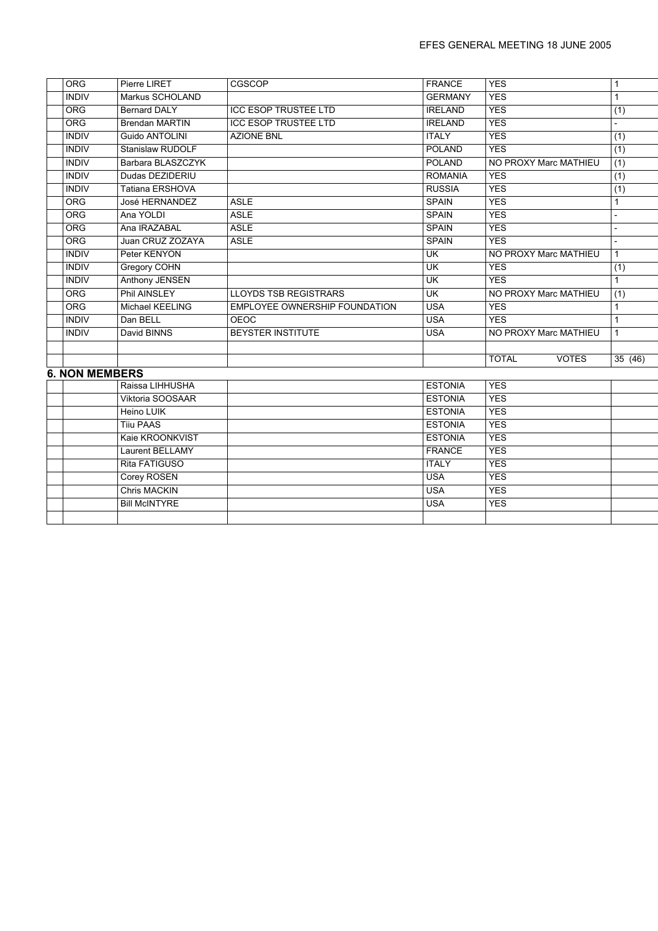| <b>ORG</b>            | Pierre LIRET           | CGSCOP                               | <b>FRANCE</b>                     | <b>YES</b>                   | 1            |
|-----------------------|------------------------|--------------------------------------|-----------------------------------|------------------------------|--------------|
| <b>INDIV</b>          | Markus SCHOLAND        |                                      | <b>GERMANY</b>                    | <b>YES</b>                   | $\mathbf{1}$ |
| <b>ORG</b>            | <b>Bernard DALY</b>    | <b>ICC ESOP TRUSTEE LTD</b>          | <b>IRELAND</b>                    | <b>YES</b>                   | (1)          |
| <b>ORG</b>            | <b>Brendan MARTIN</b>  | <b>ICC ESOP TRUSTEE LTD</b>          | <b>IRELAND</b>                    | <b>YES</b>                   |              |
| <b>INDIV</b>          | Guido ANTOLINI         | <b>AZIONE BNL</b>                    | <b>ITALY</b>                      | <b>YES</b>                   | (1)          |
| <b>INDIV</b>          | Stanislaw RUDOLF       |                                      | <b>POLAND</b>                     | <b>YES</b>                   | (1)          |
| <b>INDIV</b>          | Barbara BLASZCZYK      |                                      | POLAND                            | NO PROXY Marc MATHIEU        | (1)          |
| <b>INDIV</b>          | Dudas DEZIDERIU        |                                      | <b>ROMANIA</b>                    | <b>YES</b>                   | (1)          |
| <b>INDIV</b>          | Tatiana ERSHOVA        |                                      | <b>RUSSIA</b>                     | <b>YES</b>                   | (1)          |
| <b>ORG</b>            | José HERNANDEZ         | <b>ASLE</b>                          | <b>SPAIN</b>                      | <b>YES</b>                   | 1            |
| ORG                   | Ana YOLDI              | <b>ASLE</b>                          | <b>SPAIN</b>                      | <b>YES</b>                   |              |
| <b>ORG</b>            | Ana IRAZABAL           | <b>ASLE</b>                          | <b>SPAIN</b>                      | <b>YES</b>                   |              |
| ORG                   | Juan CRUZ ZOZAYA       | <b>ASLE</b>                          | <b>SPAIN</b>                      | <b>YES</b>                   |              |
| <b>INDIV</b>          | Peter KENYON           |                                      | $\overline{\mathsf{U}\mathsf{K}}$ | NO PROXY Marc MATHIEU        | $\mathbf{1}$ |
| <b>INDIV</b>          | Gregory COHN           |                                      | $\overline{\mathsf{U}}$ K         | <b>YES</b>                   | (1)          |
| <b>INDIV</b>          | <b>Anthony JENSEN</b>  |                                      | $\overline{\mathsf{U}}$           | <b>YES</b>                   | 1            |
| <b>ORG</b>            | <b>Phil AINSLEY</b>    | <b>LLOYDS TSB REGISTRARS</b>         | UK                                | NO PROXY Marc MATHIEU        | (1)          |
| <b>ORG</b>            | Michael KEELING        | <b>EMPLOYEE OWNERSHIP FOUNDATION</b> | <b>USA</b>                        | <b>YES</b>                   | 1            |
| <b>INDIV</b>          | Dan BELL               | <b>OEOC</b>                          | <b>USA</b>                        | <b>YES</b>                   | $\mathbf{1}$ |
| <b>INDIV</b>          | David BINNS            | <b>BEYSTER INSTITUTE</b>             | <b>USA</b>                        | NO PROXY Marc MATHIEU        | $\mathbf{1}$ |
|                       |                        |                                      |                                   |                              |              |
|                       |                        |                                      |                                   | <b>TOTAL</b><br><b>VOTES</b> | 35(46)       |
| <b>6. NON MEMBERS</b> |                        |                                      |                                   |                              |              |
|                       | Raissa LIHHUSHA        |                                      | <b>ESTONIA</b>                    | <b>YES</b>                   |              |
|                       | Viktoria SOOSAAR       |                                      | <b>ESTONIA</b>                    | <b>YES</b>                   |              |
|                       | Heino LUIK             |                                      | <b>ESTONIA</b>                    | <b>YES</b>                   |              |
|                       | <b>Tiju PAAS</b>       |                                      | <b>ESTONIA</b>                    | <b>YES</b>                   |              |
|                       | Kaie KROONKVIST        |                                      | <b>ESTONIA</b>                    | <b>YES</b>                   |              |
|                       | <b>Laurent BELLAMY</b> |                                      | <b>FRANCE</b>                     | <b>YES</b>                   |              |
|                       | Rita FATIGUSO          |                                      | <b>ITALY</b>                      | <b>YES</b>                   |              |
|                       | Corey ROSEN            |                                      | <b>USA</b>                        | <b>YES</b>                   |              |
|                       | <b>Chris MACKIN</b>    |                                      | <b>USA</b>                        | <b>YES</b>                   |              |
|                       | <b>Bill McINTYRE</b>   |                                      | <b>USA</b>                        | <b>YES</b>                   |              |
|                       |                        |                                      |                                   |                              |              |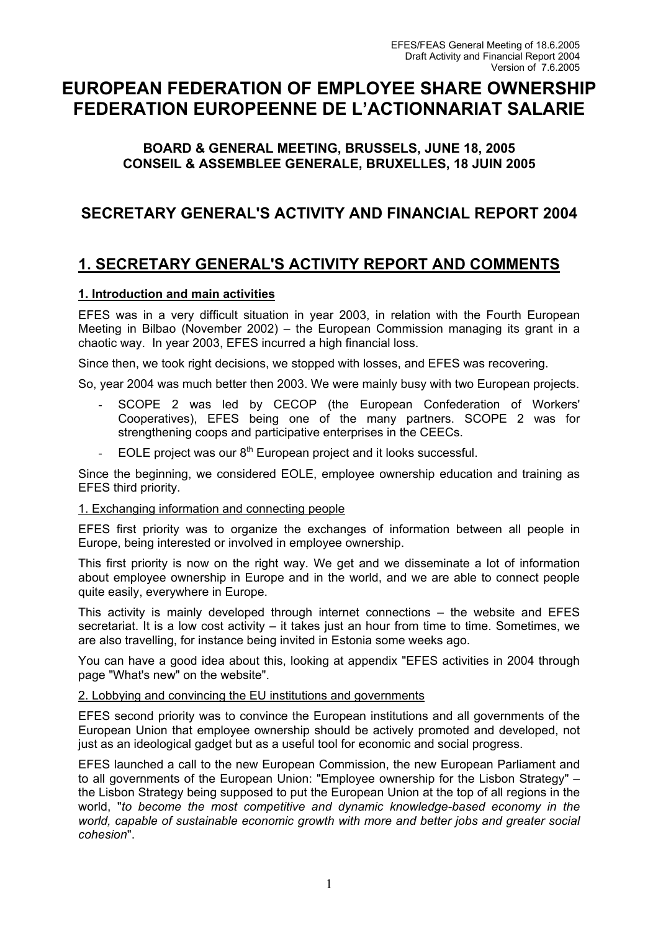# **EUROPEAN FEDERATION OF EMPLOYEE SHARE OWNERSHIP FEDERATION EUROPEENNE DE L'ACTIONNARIAT SALARIE**

# **BOARD & GENERAL MEETING, BRUSSELS, JUNE 18, 2005 CONSEIL & ASSEMBLEE GENERALE, BRUXELLES, 18 JUIN 2005**

# **SECRETARY GENERAL'S ACTIVITY AND FINANCIAL REPORT 2004**

# **1. SECRETARY GENERAL'S ACTIVITY REPORT AND COMMENTS**

# **1. Introduction and main activities**

EFES was in a very difficult situation in year 2003, in relation with the Fourth European Meeting in Bilbao (November 2002) – the European Commission managing its grant in a chaotic way. In year 2003, EFES incurred a high financial loss.

Since then, we took right decisions, we stopped with losses, and EFES was recovering.

So, year 2004 was much better then 2003. We were mainly busy with two European projects.

- SCOPE 2 was led by CECOP (the European Confederation of Workers' Cooperatives), EFES being one of the many partners. SCOPE 2 was for strengthening coops and participative enterprises in the CEECs.
- EOLE project was our  $8<sup>th</sup>$  European project and it looks successful.

Since the beginning, we considered EOLE, employee ownership education and training as EFES third priority.

# 1. Exchanging information and connecting people

EFES first priority was to organize the exchanges of information between all people in Europe, being interested or involved in employee ownership.

This first priority is now on the right way. We get and we disseminate a lot of information about employee ownership in Europe and in the world, and we are able to connect people quite easily, everywhere in Europe.

This activity is mainly developed through internet connections – the website and EFES secretariat. It is a low cost activity – it takes just an hour from time to time. Sometimes, we are also travelling, for instance being invited in Estonia some weeks ago.

You can have a good idea about this, looking at appendix "EFES activities in 2004 through page "What's new" on the website".

# 2. Lobbying and convincing the EU institutions and governments

EFES second priority was to convince the European institutions and all governments of the European Union that employee ownership should be actively promoted and developed, not just as an ideological gadget but as a useful tool for economic and social progress.

EFES launched a call to the new European Commission, the new European Parliament and to all governments of the European Union: "Employee ownership for the Lisbon Strategy" – the Lisbon Strategy being supposed to put the European Union at the top of all regions in the world, "*to become the most competitive and dynamic knowledge-based economy in the world, capable of sustainable economic growth with more and better jobs and greater social cohesion*".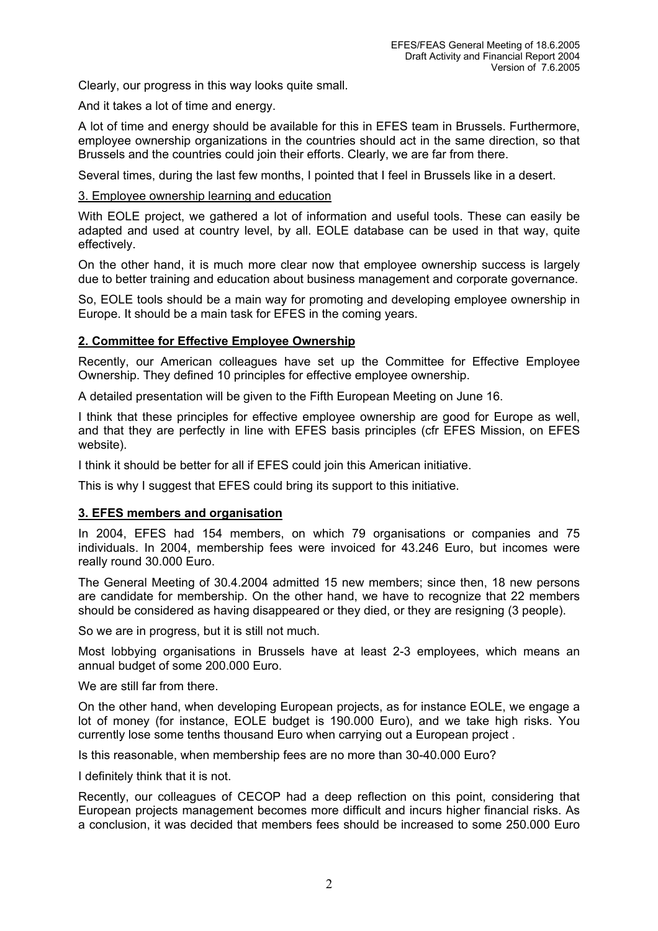Clearly, our progress in this way looks quite small.

And it takes a lot of time and energy.

A lot of time and energy should be available for this in EFES team in Brussels. Furthermore, employee ownership organizations in the countries should act in the same direction, so that Brussels and the countries could join their efforts. Clearly, we are far from there.

Several times, during the last few months, I pointed that I feel in Brussels like in a desert.

# 3. Employee ownership learning and education

With EOLE project, we gathered a lot of information and useful tools. These can easily be adapted and used at country level, by all. EOLE database can be used in that way, quite effectively.

On the other hand, it is much more clear now that employee ownership success is largely due to better training and education about business management and corporate governance.

So, EOLE tools should be a main way for promoting and developing employee ownership in Europe. It should be a main task for EFES in the coming years.

# **2. Committee for Effective Employee Ownership**

Recently, our American colleagues have set up the Committee for Effective Employee Ownership. They defined 10 principles for effective employee ownership.

A detailed presentation will be given to the Fifth European Meeting on June 16.

I think that these principles for effective employee ownership are good for Europe as well, and that they are perfectly in line with EFES basis principles (cfr EFES Mission, on EFES website).

I think it should be better for all if EFES could join this American initiative.

This is why I suggest that EFES could bring its support to this initiative.

# **3. EFES members and organisation**

In 2004, EFES had 154 members, on which 79 organisations or companies and 75 individuals. In 2004, membership fees were invoiced for 43.246 Euro, but incomes were really round 30.000 Euro.

The General Meeting of 30.4.2004 admitted 15 new members; since then, 18 new persons are candidate for membership. On the other hand, we have to recognize that 22 members should be considered as having disappeared or they died, or they are resigning (3 people).

So we are in progress, but it is still not much.

Most lobbying organisations in Brussels have at least 2-3 employees, which means an annual budget of some 200.000 Euro.

We are still far from there.

On the other hand, when developing European projects, as for instance EOLE, we engage a lot of money (for instance, EOLE budget is 190.000 Euro), and we take high risks. You currently lose some tenths thousand Euro when carrying out a European project .

Is this reasonable, when membership fees are no more than 30-40.000 Euro?

I definitely think that it is not.

Recently, our colleagues of CECOP had a deep reflection on this point, considering that European projects management becomes more difficult and incurs higher financial risks. As a conclusion, it was decided that members fees should be increased to some 250.000 Euro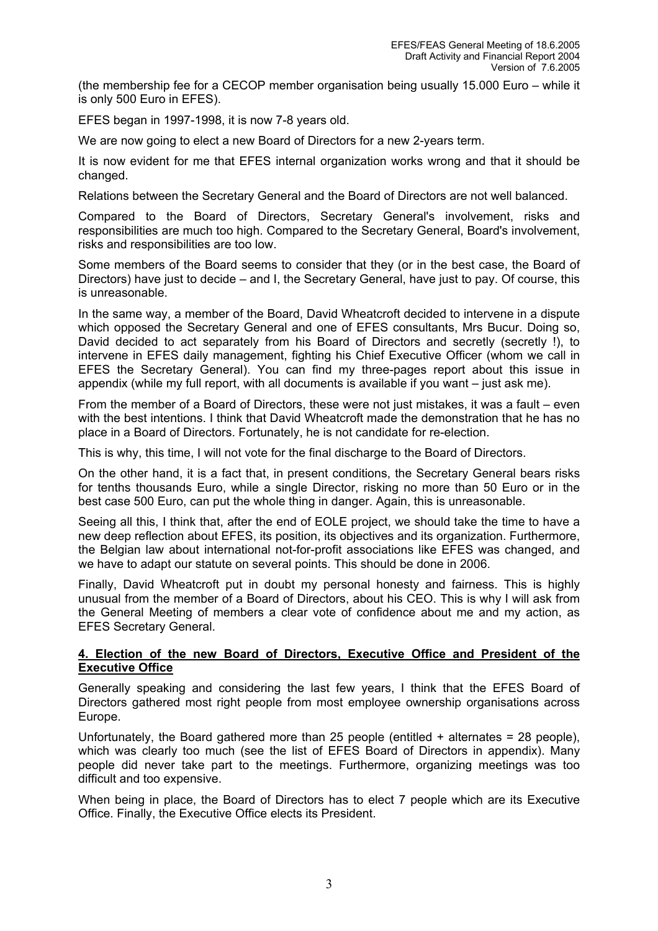(the membership fee for a CECOP member organisation being usually 15.000 Euro – while it is only 500 Euro in EFES).

EFES began in 1997-1998, it is now 7-8 years old.

We are now going to elect a new Board of Directors for a new 2-years term.

It is now evident for me that EFES internal organization works wrong and that it should be changed.

Relations between the Secretary General and the Board of Directors are not well balanced.

Compared to the Board of Directors, Secretary General's involvement, risks and responsibilities are much too high. Compared to the Secretary General, Board's involvement, risks and responsibilities are too low.

Some members of the Board seems to consider that they (or in the best case, the Board of Directors) have just to decide – and I, the Secretary General, have just to pay. Of course, this is unreasonable.

In the same way, a member of the Board, David Wheatcroft decided to intervene in a dispute which opposed the Secretary General and one of EFES consultants, Mrs Bucur. Doing so, David decided to act separately from his Board of Directors and secretly (secretly !), to intervene in EFES daily management, fighting his Chief Executive Officer (whom we call in EFES the Secretary General). You can find my three-pages report about this issue in appendix (while my full report, with all documents is available if you want – just ask me).

From the member of a Board of Directors, these were not just mistakes, it was a fault – even with the best intentions. I think that David Wheatcroft made the demonstration that he has no place in a Board of Directors. Fortunately, he is not candidate for re-election.

This is why, this time, I will not vote for the final discharge to the Board of Directors.

On the other hand, it is a fact that, in present conditions, the Secretary General bears risks for tenths thousands Euro, while a single Director, risking no more than 50 Euro or in the best case 500 Euro, can put the whole thing in danger. Again, this is unreasonable.

Seeing all this, I think that, after the end of EOLE project, we should take the time to have a new deep reflection about EFES, its position, its objectives and its organization. Furthermore, the Belgian law about international not-for-profit associations like EFES was changed, and we have to adapt our statute on several points. This should be done in 2006.

Finally, David Wheatcroft put in doubt my personal honesty and fairness. This is highly unusual from the member of a Board of Directors, about his CEO. This is why I will ask from the General Meeting of members a clear vote of confidence about me and my action, as EFES Secretary General.

# **4. Election of the new Board of Directors, Executive Office and President of the Executive Office**

Generally speaking and considering the last few years, I think that the EFES Board of Directors gathered most right people from most employee ownership organisations across Europe.

Unfortunately, the Board gathered more than 25 people (entitled  $+$  alternates  $=$  28 people), which was clearly too much (see the list of EFES Board of Directors in appendix). Many people did never take part to the meetings. Furthermore, organizing meetings was too difficult and too expensive.

When being in place, the Board of Directors has to elect 7 people which are its Executive Office. Finally, the Executive Office elects its President.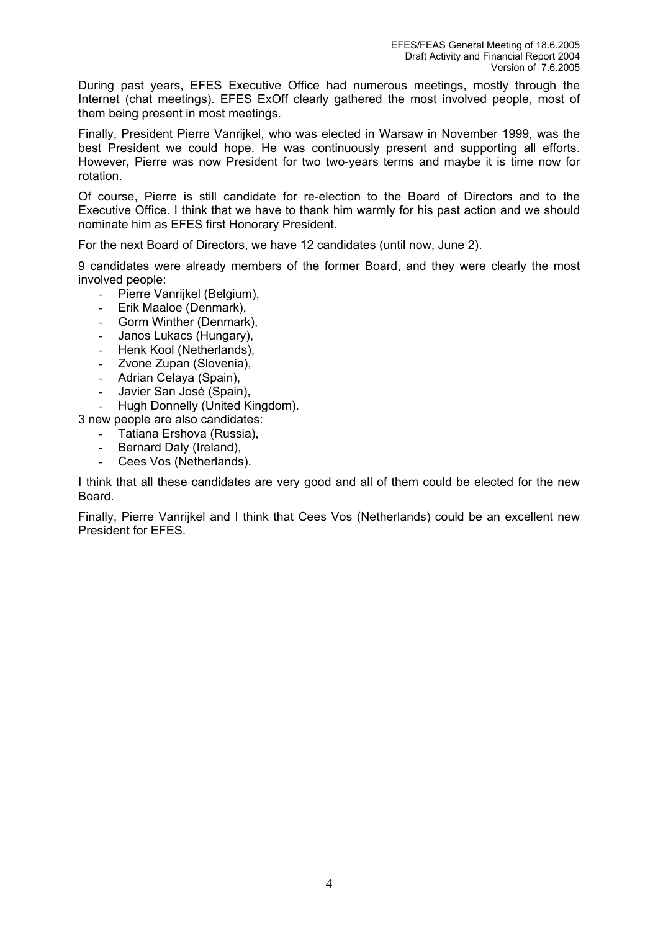During past years, EFES Executive Office had numerous meetings, mostly through the Internet (chat meetings). EFES ExOff clearly gathered the most involved people, most of them being present in most meetings.

Finally, President Pierre Vanrijkel, who was elected in Warsaw in November 1999, was the best President we could hope. He was continuously present and supporting all efforts. However, Pierre was now President for two two-years terms and maybe it is time now for rotation.

Of course, Pierre is still candidate for re-election to the Board of Directors and to the Executive Office. I think that we have to thank him warmly for his past action and we should nominate him as EFES first Honorary President.

For the next Board of Directors, we have 12 candidates (until now, June 2).

9 candidates were already members of the former Board, and they were clearly the most involved people:

- Pierre Vanrijkel (Belgium).
- Erik Maaloe (Denmark).
- Gorm Winther (Denmark),
- Janos Lukacs (Hungary),
- Henk Kool (Netherlands),
- Zvone Zupan (Slovenia),
- Adrian Celaya (Spain),
- Javier San José (Spain),
- Hugh Donnelly (United Kingdom).

3 new people are also candidates:

- Tatiana Ershova (Russia),
- Bernard Daly (Ireland),
- Cees Vos (Netherlands).

I think that all these candidates are very good and all of them could be elected for the new Board.

Finally, Pierre Vanrijkel and I think that Cees Vos (Netherlands) could be an excellent new President for EFES.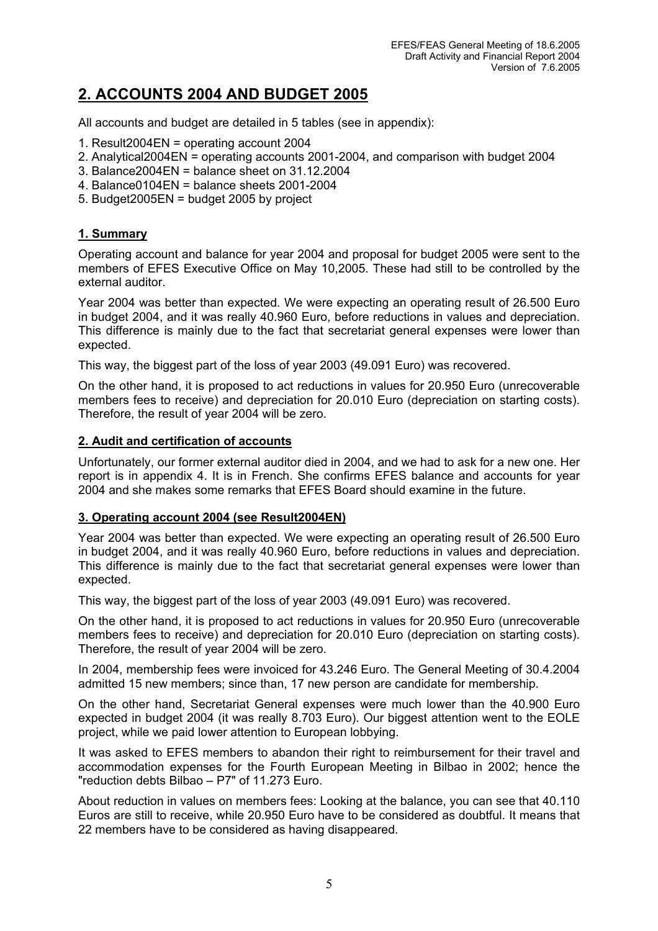# **2. ACCOUNTS 2004 AND BUDGET 2005**

All accounts and budget are detailed in 5 tables (see in appendix):

- 1. Result2004EN = operating account 2004
- 2. Analytical2004EN = operating accounts 2001-2004, and comparison with budget 2004
- 3. Balance2004EN = balance sheet on 31.12.2004
- 4. Balance0104EN = balance sheets 2001-2004
- 5. Budget2005EN = budget 2005 by project

# **1. Summary**

Operating account and balance for year 2004 and proposal for budget 2005 were sent to the members of EFES Executive Office on May 10,2005. These had still to be controlled by the external auditor.

Year 2004 was better than expected. We were expecting an operating result of 26.500 Euro in budget 2004, and it was really 40.960 Euro, before reductions in values and depreciation. This difference is mainly due to the fact that secretariat general expenses were lower than expected.

This way, the biggest part of the loss of year 2003 (49.091 Euro) was recovered.

On the other hand, it is proposed to act reductions in values for 20.950 Euro (unrecoverable members fees to receive) and depreciation for 20.010 Euro (depreciation on starting costs). Therefore, the result of year 2004 will be zero.

# **2. Audit and certification of accounts**

Unfortunately, our former external auditor died in 2004, and we had to ask for a new one. Her report is in appendix 4. It is in French. She confirms EFES balance and accounts for year 2004 and she makes some remarks that EFES Board should examine in the future.

# **3. Operating account 2004 (see Result2004EN)**

Year 2004 was better than expected. We were expecting an operating result of 26.500 Euro in budget 2004, and it was really 40.960 Euro, before reductions in values and depreciation. This difference is mainly due to the fact that secretariat general expenses were lower than expected.

This way, the biggest part of the loss of year 2003 (49.091 Euro) was recovered.

On the other hand, it is proposed to act reductions in values for 20.950 Euro (unrecoverable members fees to receive) and depreciation for 20.010 Euro (depreciation on starting costs). Therefore, the result of year 2004 will be zero.

In 2004, membership fees were invoiced for 43.246 Euro. The General Meeting of 30.4.2004 admitted 15 new members; since than, 17 new person are candidate for membership.

On the other hand, Secretariat General expenses were much lower than the 40.900 Euro expected in budget 2004 (it was really 8.703 Euro). Our biggest attention went to the EOLE project, while we paid lower attention to European lobbying.

It was asked to EFES members to abandon their right to reimbursement for their travel and accommodation expenses for the Fourth European Meeting in Bilbao in 2002; hence the "reduction debts Bilbao – P7" of 11.273 Euro.

About reduction in values on members fees: Looking at the balance, you can see that 40.110 Euros are still to receive, while 20.950 Euro have to be considered as doubtful. It means that 22 members have to be considered as having disappeared.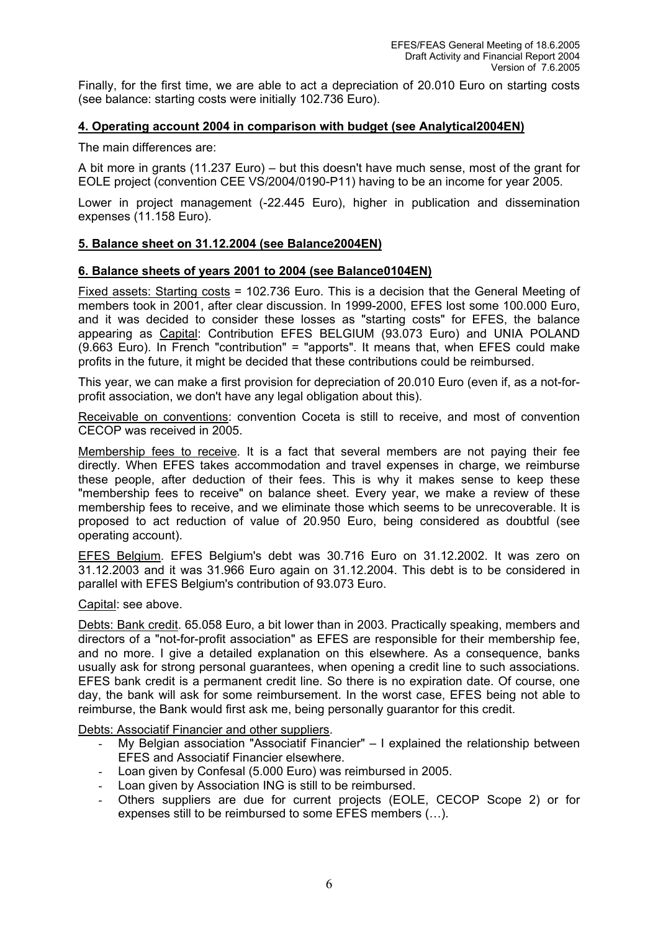Finally, for the first time, we are able to act a depreciation of 20.010 Euro on starting costs (see balance: starting costs were initially 102.736 Euro).

# **4. Operating account 2004 in comparison with budget (see Analytical2004EN)**

The main differences are:

A bit more in grants (11.237 Euro) – but this doesn't have much sense, most of the grant for EOLE project (convention CEE VS/2004/0190-P11) having to be an income for year 2005.

Lower in project management (-22.445 Euro), higher in publication and dissemination expenses (11.158 Euro).

# **5. Balance sheet on 31.12.2004 (see Balance2004EN)**

# **6. Balance sheets of years 2001 to 2004 (see Balance0104EN)**

Fixed assets: Starting costs = 102.736 Euro. This is a decision that the General Meeting of members took in 2001, after clear discussion. In 1999-2000, EFES lost some 100.000 Euro, and it was decided to consider these losses as "starting costs" for EFES, the balance appearing as Capital: Contribution EFES BELGIUM (93.073 Euro) and UNIA POLAND (9.663 Euro). In French "contribution" = "apports". It means that, when EFES could make profits in the future, it might be decided that these contributions could be reimbursed.

This year, we can make a first provision for depreciation of 20.010 Euro (even if, as a not-forprofit association, we don't have any legal obligation about this).

Receivable on conventions: convention Coceta is still to receive, and most of convention CECOP was received in 2005.

Membership fees to receive. It is a fact that several members are not paying their fee directly. When EFES takes accommodation and travel expenses in charge, we reimburse these people, after deduction of their fees. This is why it makes sense to keep these "membership fees to receive" on balance sheet. Every year, we make a review of these membership fees to receive, and we eliminate those which seems to be unrecoverable. It is proposed to act reduction of value of 20.950 Euro, being considered as doubtful (see operating account).

EFES Belgium. EFES Belgium's debt was 30.716 Euro on 31.12.2002. It was zero on 31.12.2003 and it was 31.966 Euro again on 31.12.2004. This debt is to be considered in parallel with EFES Belgium's contribution of 93.073 Euro.

Capital: see above.

Debts: Bank credit. 65.058 Euro, a bit lower than in 2003. Practically speaking, members and directors of a "not-for-profit association" as EFES are responsible for their membership fee, and no more. I give a detailed explanation on this elsewhere. As a consequence, banks usually ask for strong personal guarantees, when opening a credit line to such associations. EFES bank credit is a permanent credit line. So there is no expiration date. Of course, one day, the bank will ask for some reimbursement. In the worst case, EFES being not able to reimburse, the Bank would first ask me, being personally guarantor for this credit.

Debts: Associatif Financier and other suppliers.

- My Belgian association "Associatif Financier"  $-1$  explained the relationship between EFES and Associatif Financier elsewhere.
- Loan given by Confesal (5.000 Euro) was reimbursed in 2005.
- Loan given by Association ING is still to be reimbursed.
- Others suppliers are due for current projects (EOLE, CECOP Scope 2) or for expenses still to be reimbursed to some EFES members (…).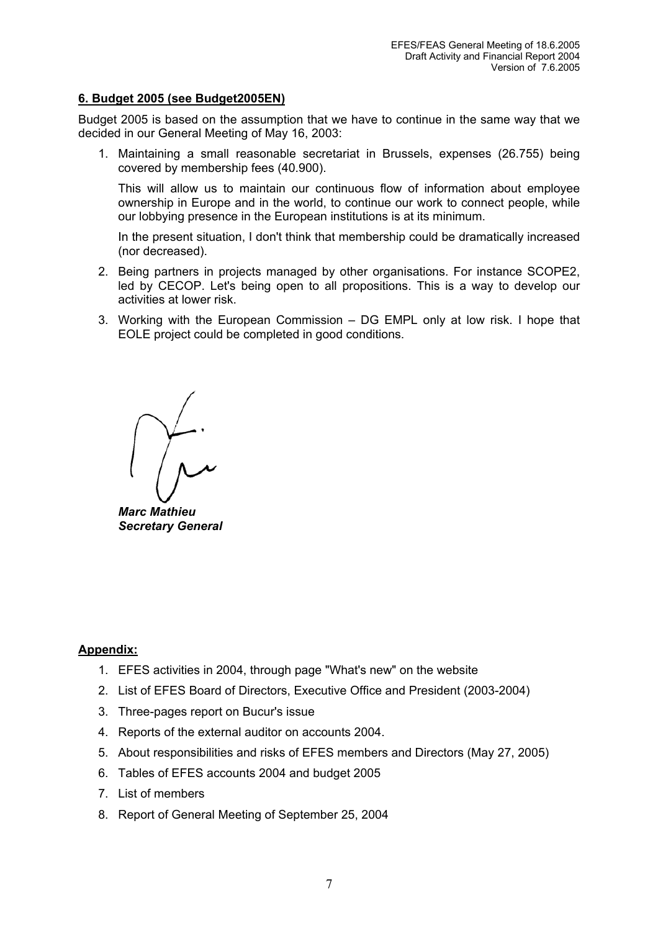# **6. Budget 2005 (see Budget2005EN)**

Budget 2005 is based on the assumption that we have to continue in the same way that we decided in our General Meeting of May 16, 2003:

1. Maintaining a small reasonable secretariat in Brussels, expenses (26.755) being covered by membership fees (40.900).

This will allow us to maintain our continuous flow of information about employee ownership in Europe and in the world, to continue our work to connect people, while our lobbying presence in the European institutions is at its minimum.

In the present situation, I don't think that membership could be dramatically increased (nor decreased).

- 2. Being partners in projects managed by other organisations. For instance SCOPE2, led by CECOP. Let's being open to all propositions. This is a way to develop our activities at lower risk.
- 3. Working with the European Commission DG EMPL only at low risk. I hope that EOLE project could be completed in good conditions.

*Marc Mathieu Secretary General* 

# **Appendix:**

- 1. EFES activities in 2004, through page "What's new" on the website
- 2. List of EFES Board of Directors, Executive Office and President (2003-2004)
- 3. Three-pages report on Bucur's issue
- 4. Reports of the external auditor on accounts 2004.
- 5. About responsibilities and risks of EFES members and Directors (May 27, 2005)
- 6. Tables of EFES accounts 2004 and budget 2005
- 7. List of members
- 8. Report of General Meeting of September 25, 2004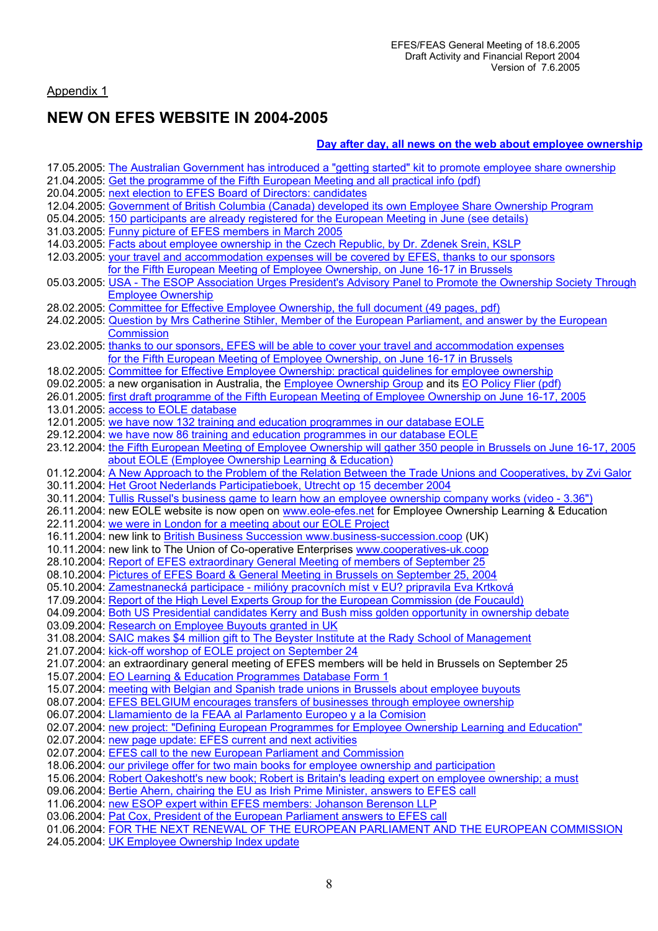# Appendix 1

# **NEW ON EFES WEBSITE IN 2004-2005**

# **Day after day, all news on the web about employee ownership**

| 17.05.2005: The Australian Government has introduced a "getting started" kit to promote employee share ownership                                                          |
|---------------------------------------------------------------------------------------------------------------------------------------------------------------------------|
| 21.04.2005: Get the programme of the Fifth European Meeting and all practical info (pdf)                                                                                  |
| 20.04.2005: next election to EFES Board of Directors: candidates                                                                                                          |
| 12.04.2005: Government of British Columbia (Canada) developed its own Employee Share Ownership Program                                                                    |
| 05.04.2005: 150 participants are already registered for the European Meeting in June (see details)                                                                        |
| 31.03.2005: Funny picture of EFES members in March 2005                                                                                                                   |
| 14.03.2005: Facts about employee ownership in the Czech Republic, by Dr. Zdenek Srein, KSLP                                                                               |
| 12.03.2005: your travel and accommodation expenses will be covered by EFES, thanks to our sponsors                                                                        |
| for the Fifth European Meeting of Employee Ownership, on June 16-17 in Brussels                                                                                           |
| 05.03.2005: USA - The ESOP Association Urges President's Advisory Panel to Promote the Ownership Society Through                                                          |
| <b>Employee Ownership</b>                                                                                                                                                 |
| 28.02.2005: Committee for Effective Employee Ownership, the full document (49 pages, pdf)                                                                                 |
| 24.02.2005: Question by Mrs Catherine Stihler, Member of the European Parliament, and answer by the European                                                              |
| <b>Commission</b>                                                                                                                                                         |
| 23.02.2005: thanks to our sponsors, EFES will be able to cover your travel and accommodation expenses                                                                     |
| for the Fifth European Meeting of Employee Ownership, on June 16-17 in Brussels                                                                                           |
| 18.02.2005: Committee for Effective Employee Ownership: practical guidelines for employee ownership                                                                       |
| 09.02.2005: a new organisation in Australia, the Employee Ownership Group and its EO Policy Flier (pdf)                                                                   |
| 26.01.2005: first draft programme of the Fifth European Meeting of Employee Ownership on June 16-17, 2005                                                                 |
| 13.01.2005: access to EOLE database                                                                                                                                       |
| 12.01.2005: we have now 132 training and education programmes in our database EOLE                                                                                        |
| 29.12.2004: we have now 86 training and education programmes in our database EOLE                                                                                         |
| 23.12.2004: the Fifth European Meeting of Employee Ownership will gather 350 people in Brussels on June 16-17, 2005                                                       |
| about EOLE (Employee Ownership Learning & Education)                                                                                                                      |
| 01.12.2004: A New Approach to the Problem of the Relation Between the Trade Unions and Cooperatives, by Zvi Galor                                                         |
| 30.11.2004: Het Groot Nederlands Participatieboek, Utrecht op 15 december 2004                                                                                            |
| 30.11.2004: Tullis Russel's business game to learn how an employee ownership company works (video - 3.36")                                                                |
|                                                                                                                                                                           |
| 26.11.2004: new EOLE website is now open on www.eole-efes.net for Employee Ownership Learning & Education                                                                 |
| 22.11.2004: we were in London for a meeting about our EOLE Project                                                                                                        |
| 16.11.2004: new link to British Business Succession www.business-succession.coop (UK)                                                                                     |
| 10.11.2004: new link to The Union of Co-operative Enterprises www.cooperatives-uk.coop                                                                                    |
| 28.10.2004: Report of EFES extraordinary General Meeting of members of September 25                                                                                       |
| 08.10.2004: Pictures of EFES Board & General Meeting in Brussels on September 25, 2004                                                                                    |
| 05.10.2004: Zamestnanecká participace - milióny pracovních míst v EU? pripravila Eva Krtková                                                                              |
| 17.09.2004: Report of the High Level Experts Group for the European Commission (de Foucauld)                                                                              |
| 04.09.2004: Both US Presidential candidates Kerry and Bush miss golden opportunity in ownership debate                                                                    |
| 03.09.2004: Research on Employee Buyouts granted in UK                                                                                                                    |
| 31.08.2004: SAIC makes \$4 million gift to The Beyster Institute at the Rady School of Management                                                                         |
| 21.07.2004: kick-off worshop of EOLE project on September 24                                                                                                              |
| 21.07.2004: an extraordinary general meeting of EFES members will be held in Brussels on September 25                                                                     |
| 15.07.2004: EO Learning & Education Programmes Database Form 1                                                                                                            |
| 15.07.2004: meeting with Belgian and Spanish trade unions in Brussels about employee buyouts                                                                              |
| 08.07.2004: EFES BELGIUM encourages transfers of businesses through employee ownership                                                                                    |
| 06.07.2004: Llamamiento de la FEAA al Parlamento Europeo y a la Comision                                                                                                  |
| 02.07.2004: new project: "Defining European Programmes for Employee Ownership Learning and Education"                                                                     |
| 02.07.2004: new page update: EFES current and next activities                                                                                                             |
| 02.07.2004: EFES call to the new European Parliament and Commission                                                                                                       |
| 18.06.2004: our privilege offer for two main books for employee ownership and participation                                                                               |
| 15.06.2004: Robert Oakeshott's new book; Robert is Britain's leading expert on employee ownership; a must                                                                 |
| 09.06.2004: Bertie Ahern, chairing the EU as Irish Prime Minister, answers to EFES call                                                                                   |
| 11.06.2004: new ESOP expert within EFES members: Johanson Berenson LLP                                                                                                    |
| 03.06.2004: Pat Cox, President of the European Parliament answers to EFES call<br>01.06.2004: FOR THE NEXT RENEWAL OF THE EUROPEAN PARLIAMENT AND THE EUROPEAN COMMISSION |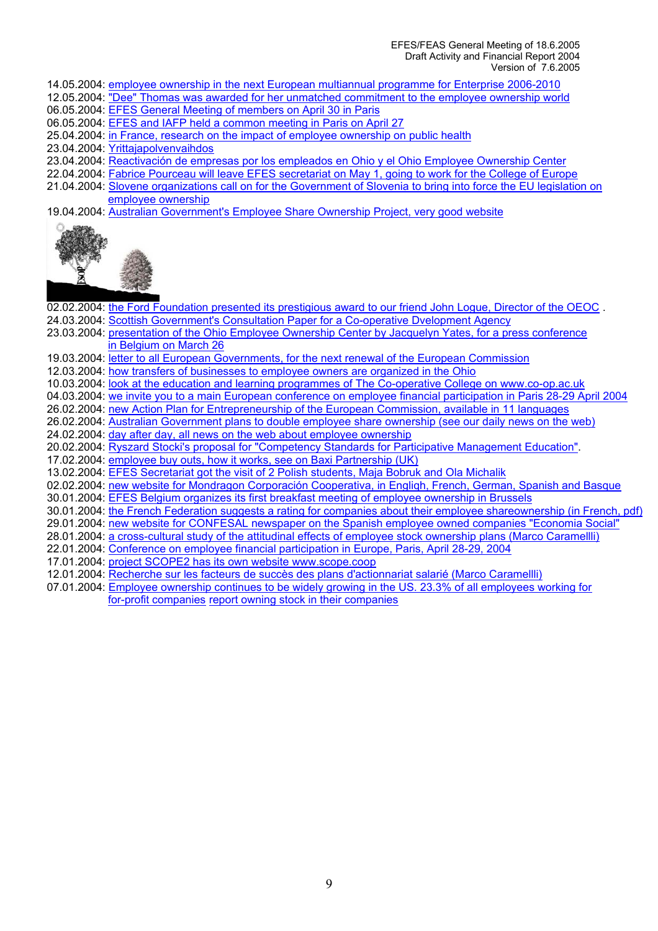#### EFES/FEAS General Meeting of 18.6.2005 Draft Activity and Financial Report 2004 Version of 7.6.2005

- 14.05.2004: employee ownership in the next European multiannual programme for Enterprise 2006-2010
- 12.05.2004: "Dee" Thomas was awarded for her unmatched commitment to the employee ownership world
- 06.05.2004: EFES General Meeting of members on April 30 in Paris
- 06.05.2004: EFES and IAFP held a common meeting in Paris on April 27
- 25.04.2004: in France, research on the impact of employee ownership on public health
- 23.04.2004: Yrittajapolvenvaihdos
- 23.04.2004: Reactivación de empresas por los empleados en Ohio y el Ohio Employee Ownership Center
- 22.04.2004: Fabrice Pourceau will leave EFES secretariat on May 1, going to work for the College of Europe
- 21.04.2004: Slovene organizations call on for the Government of Slovenia to bring into force the EU legislation on employee ownership
- 19.04.2004: Australian Government's Employee Share Ownership Project, very good website



02.02.2004: the Ford Foundation presented its prestigious award to our friend John Logue, Director of the OEOC. 24.03.2004: Scottish Government's Consultation Paper for a Co-operative Dvelopment Agency 23.03.2004: presentation of the Ohio Employee Ownership Center by Jacquelyn Yates, for a press conference in Belgium on March 26 19.03.2004: letter to all European Governments, for the next renewal of the European Commission 12.03.2004: how transfers of businesses to employee owners are organized in the Ohio 10.03.2004: look at the education and learning programmes of The Co-operative College on www.co-op.ac.uk 04.03.2004: we invite you to a main European conference on employee financial participation in Paris 28-29 April 2004 26.02.2004: new Action Plan for Entrepreneurship of the European Commission, available in 11 languages 26.02.2004: Australian Government plans to double employee share ownership (see our daily news on the web) 24.02.2004: day after day, all news on the web about employee ownership 20.02.2004: Ryszard Stocki's proposal for "Competency Standards for Participative Management Education". 17.02.2004: employee buy outs, how it works, see on Baxi Partnership (UK) 13.02.2004: EFES Secretariat got the visit of 2 Polish students, Maja Bobruk and Ola Michalik 02.02.2004: new website for Mondragon Corporación Cooperativa, in Engliqh, French, German, Spanish and Basque 30.01.2004: EFES Belgium organizes its first breakfast meeting of employee ownership in Brussels 30.01.2004: the French Federation suggests a rating for companies about their employee shareownership (in French, pdf) 29.01.2004: new website for CONFESAL newspaper on the Spanish employee owned companies "Economia Social" 28.01.2004: a cross-cultural study of the attitudinal effects of employee stock ownership plans (Marco Caramellli) 22.01.2004: Conference on employee financial participation in Europe, Paris, April 28-29, 2004 17.01.2004: project SCOPE2 has its own website www.scope.coop 12.01.2004: Recherche sur les facteurs de succès des plans d'actionnariat salarié (Marco Caramellli) 07.01.2004: Employee ownership continues to be widely growing in the US. 23.3% of all employees working for for-profit companies report owning stock in their companies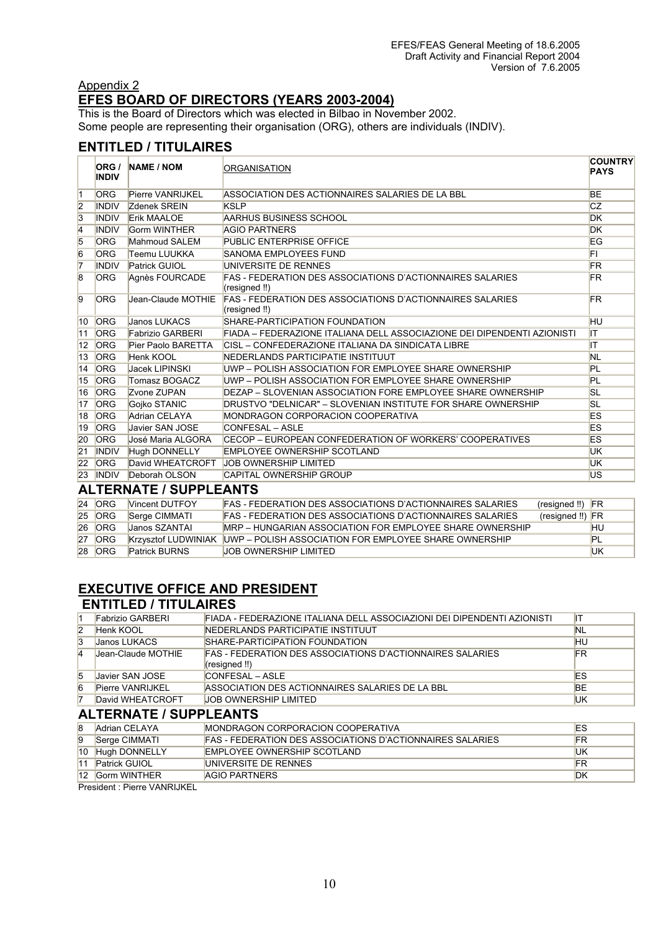# Appendix 2 **EFES BOARD OF DIRECTORS (YEARS 2003-2004)**

This is the Board of Directors which was elected in Bilbao in November 2002. Some people are representing their organisation (ORG), others are individuals (INDIV).

# **ENTITLED / TITULAIRES**

|                | ORG /<br><b>INDIV</b> | <b>NAME / NOM</b>             | ORGANISATION                                                                      | <b>COUNTRY</b><br><b>PAYS</b> |
|----------------|-----------------------|-------------------------------|-----------------------------------------------------------------------------------|-------------------------------|
| 11             | <b>ORG</b>            | Pierre VANRIJKEL              | ASSOCIATION DES ACTIONNAIRES SALARIES DE LA BBL                                   | <b>BE</b>                     |
| $\overline{2}$ | <b>INDIV</b>          | Zdenek SREIN                  | <b>KSLP</b>                                                                       | CZ                            |
| $\overline{3}$ | <b>INDIV</b>          | <b>Erik MAALOE</b>            | AARHUS BUSINESS SCHOOL                                                            | <b>DK</b>                     |
| 4              | <b>INDIV</b>          | Gorm WINTHER                  | <b>AGIO PARTNERS</b>                                                              | <b>DK</b>                     |
| $\overline{5}$ | <b>ORG</b>            | Mahmoud SALEM                 | <b>PUBLIC ENTERPRISE OFFICE</b>                                                   | EG                            |
| $\overline{6}$ | <b>ORG</b>            | Teemu LUUKKA                  | SANOMA EMPLOYEES FUND                                                             | FL                            |
| $\overline{7}$ | <b>INDIV</b>          | <b>Patrick GUIOL</b>          | UNIVERSITE DE RENNES                                                              | <b>FR</b>                     |
| $\overline{8}$ | <b>ORG</b>            | Agnès FOURCADE                | <b>FAS - FEDERATION DES ASSOCIATIONS D'ACTIONNAIRES SALARIES</b><br>(resigned !!) | FR.                           |
| $\overline{9}$ | <b>ORG</b>            | Jean-Claude MOTHIE            | <b>FAS - FEDERATION DES ASSOCIATIONS D'ACTIONNAIRES SALARIES</b><br>(resigned !!) | <b>FR</b>                     |
| 10             | <b>ORG</b>            | Janos LUKACS                  | SHARE-PARTICIPATION FOUNDATION                                                    | HU                            |
| 111            | <b>ORG</b>            | <b>Fabrizio GARBERI</b>       | FIADA – FEDERAZIONE ITALIANA DELL ASSOCIAZIONE DEI DIPENDENTI AZIONISTI           | IΤ                            |
| $ 12\rangle$   | <b>ORG</b>            | Pier Paolo BARETTA            | ICISL – CONFEDERAZIONE ITALIANA DA SINDICATA LIBRE                                | ΙT                            |
| 13             | <b>ORG</b>            | Henk KOOL                     | NEDERLANDS PARTICIPATIE INSTITUUT                                                 | <b>NL</b>                     |
| 14             | <b>ORG</b>            | Jacek LIPINSKI                | UWP - POLISH ASSOCIATION FOR EMPLOYEE SHARE OWNERSHIP                             | PL                            |
| 15             | <b>ORG</b>            | Tomasz BOGACZ                 | UWP – POLISH ASSOCIATION FOR EMPLOYEE SHARE OWNERSHIP                             | PL                            |
| 16             | <b>ORG</b>            | Zvone ZUPAN                   | DEZAP - SLOVENIAN ASSOCIATION FORE EMPLOYEE SHARE OWNERSHIP                       | SL                            |
| 17             | <b>ORG</b>            | Gojko STANIC                  | DRUSTVO "DELNICAR" – SLOVENIAN INSTITUTE FOR SHARE OWNERSHIP                      | <b>SL</b>                     |
| 18             | <b>ORG</b>            | Adrian CELAYA                 | MONDRAGON CORPORACION COOPERATIVA                                                 | ES                            |
| 19             | <b>ORG</b>            | Javier SAN JOSE               | CONFESAL – ASLE                                                                   | <b>ES</b>                     |
| 20             | <b>ORG</b>            | José Maria ALGORA             | CECOP – EUROPEAN CONFEDERATION OF WORKERS' COOPERATIVES                           | <b>ES</b>                     |
| 21             | <b>INDIV</b>          | Hugh DONNELLY                 | <b>EMPLOYEE OWNERSHIP SCOTLAND</b>                                                | UK                            |
| 22             | <b>ORG</b>            | David WHEATCROFT              | <b>JOB OWNERSHIP LIMITED</b>                                                      | UK                            |
| 23             | <b>INDIV</b>          | Deborah OLSON                 | <b>CAPITAL OWNERSHIP GROUP</b>                                                    | US                            |
|                |                       | <b>ALTERNATE / SUPPLEANTS</b> |                                                                                   |                               |
|                | $24$ ORG              | Vincent DUTFOY                | FAS - FEDERATION DES ASSOCIATIONS D'ACTIONNAIRES SALARIES<br>(resigned !!)        | <b>FR</b>                     |

| <b>24 IORG</b> | Nincent DUTFOY             | FAS - FEDERATION DES ASSOCIATIONS D'ACTIONNAIRES SALARIES        | (resigned !!) FR  |     |
|----------------|----------------------------|------------------------------------------------------------------|-------------------|-----|
| <b>25 ORG</b>  | Serge CIMMATI              | <b>FAS - FEDERATION DES ASSOCIATIONS D'ACTIONNAIRES SALARIES</b> | $(resigned!!)$ FR |     |
| <b>26 ORG</b>  | <b>Janos SZANTAI</b>       | MRP – HUNGARIAN ASSOCIATION FOR FMPLOYEE SHARE OWNERSHIP         |                   | HU  |
| <b>27 ORG</b>  | <b>Krzysztof LUDWINIAK</b> | UWP – POLISH ASSOCIATION FOR EMPLOYEE SHARE OWNERSHIP            |                   | PL  |
| <b>28 ORG</b>  | <b>Patrick BURNS</b>       | LIOB OWNERSHIP I IMITED                                          |                   | ΙUΚ |

# **EXECUTIVE OFFICE AND PRESIDENT ENTITLED / TITULAIRES**

|                | <b>Fabrizio GARBERI</b>       | FIADA - FEDERAZIONE ITALIANA DELL ASSOCIAZIONI DEI DIPENDENTI AZIONISTI    | ıτ        |
|----------------|-------------------------------|----------------------------------------------------------------------------|-----------|
| $\overline{2}$ | Henk KOOL                     | NEDERLANDS PARTICIPATIE INSTITUUT                                          | NL        |
| 3              | Janos LUKACS                  | SHARE-PARTICIPATION FOUNDATION                                             | HU        |
| $\overline{4}$ | Jean-Claude MOTHIE            | FAS - FEDERATION DES ASSOCIATIONS D'ACTIONNAIRES SALARIES<br>(resigned !!) | FR.       |
| 5              | Javier SAN JOSE               | CONFESAL - ASLE                                                            | ES        |
| 6              | <b>Pierre VANRIJKEL</b>       | ASSOCIATION DES ACTIONNAIRES SALARIES DE LA BBL                            | <b>BE</b> |
|                | David WHEATCROFT              | JOB OWNERSHIP LIMITED                                                      | UK        |
|                | <b>ALTERNATE / SUPPLEANTS</b> |                                                                            |           |
| 8              | Adrian CELAYA                 | MONDRAGON CORPORACION COOPERATIVA                                          | ES        |
| $\overline{9}$ | Serge CIMMATI                 | FAS - FEDERATION DES ASSOCIATIONS D'ACTIONNAIRES SALARIES                  | FR.       |
|                | 10 Hugh DONNELLY              | EMPLOYEE OWNERSHIP SCOTLAND                                                | UK        |

11 Patrick GUIOL CONVERSITE DE RENNES<br>12 Gorm WINTHER AGIO PARTNERS FRAGE AGENCY AGENCY AGENCY AGENCY AGENCY AGENCY AGENCY AGENCY AGENCY AGENCY AGE 12 Gorm WINTHER AGIO PARTNERS

President : Pierre VANRIJKEL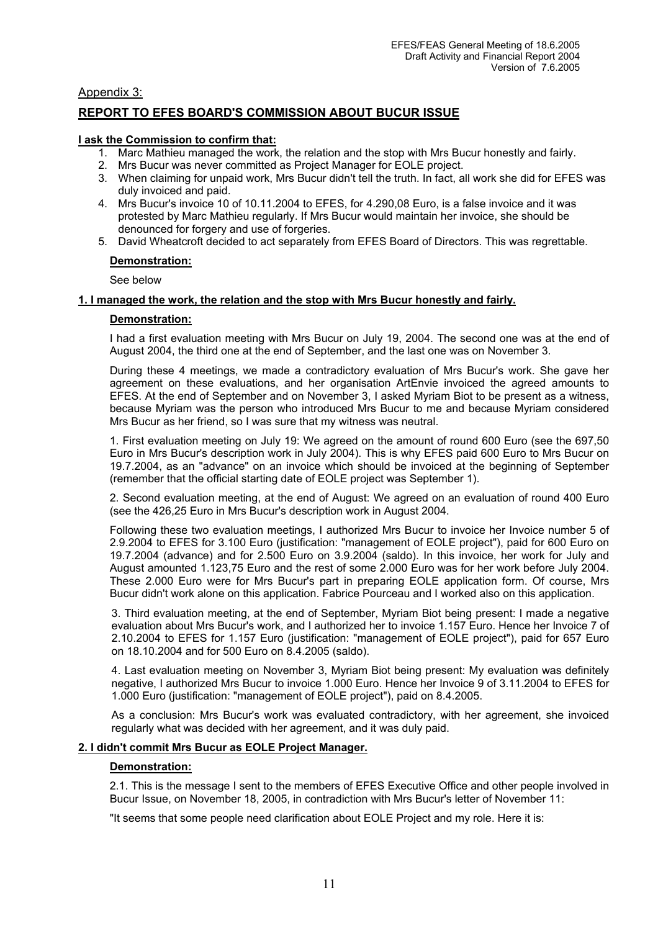Appendix 3:

# **REPORT TO EFES BOARD'S COMMISSION ABOUT BUCUR ISSUE**

#### **I ask the Commission to confirm that:**

- 1. Marc Mathieu managed the work, the relation and the stop with Mrs Bucur honestly and fairly.
- 2. Mrs Bucur was never committed as Project Manager for EOLE project.
- 3. When claiming for unpaid work, Mrs Bucur didn't tell the truth. In fact, all work she did for EFES was duly invoiced and paid.
- 4. Mrs Bucur's invoice 10 of 10.11.2004 to EFES, for 4.290,08 Euro, is a false invoice and it was protested by Marc Mathieu regularly. If Mrs Bucur would maintain her invoice, she should be denounced for forgery and use of forgeries.
- 5. David Wheatcroft decided to act separately from EFES Board of Directors. This was regrettable.

#### **Demonstration:**

See below

#### **1. I managed the work, the relation and the stop with Mrs Bucur honestly and fairly.**

#### **Demonstration:**

I had a first evaluation meeting with Mrs Bucur on July 19, 2004. The second one was at the end of August 2004, the third one at the end of September, and the last one was on November 3.

During these 4 meetings, we made a contradictory evaluation of Mrs Bucur's work. She gave her agreement on these evaluations, and her organisation ArtEnvie invoiced the agreed amounts to EFES. At the end of September and on November 3, I asked Myriam Biot to be present as a witness, because Myriam was the person who introduced Mrs Bucur to me and because Myriam considered Mrs Bucur as her friend, so I was sure that my witness was neutral.

1. First evaluation meeting on July 19: We agreed on the amount of round 600 Euro (see the 697,50 Euro in Mrs Bucur's description work in July 2004). This is why EFES paid 600 Euro to Mrs Bucur on 19.7.2004, as an "advance" on an invoice which should be invoiced at the beginning of September (remember that the official starting date of EOLE project was September 1).

2. Second evaluation meeting, at the end of August: We agreed on an evaluation of round 400 Euro (see the 426,25 Euro in Mrs Bucur's description work in August 2004.

Following these two evaluation meetings, I authorized Mrs Bucur to invoice her Invoice number 5 of 2.9.2004 to EFES for 3.100 Euro (justification: "management of EOLE project"), paid for 600 Euro on 19.7.2004 (advance) and for 2.500 Euro on 3.9.2004 (saldo). In this invoice, her work for July and August amounted 1.123,75 Euro and the rest of some 2.000 Euro was for her work before July 2004. These 2.000 Euro were for Mrs Bucur's part in preparing EOLE application form. Of course, Mrs Bucur didn't work alone on this application. Fabrice Pourceau and I worked also on this application.

3. Third evaluation meeting, at the end of September, Myriam Biot being present: I made a negative evaluation about Mrs Bucur's work, and I authorized her to invoice 1.157 Euro. Hence her Invoice 7 of 2.10.2004 to EFES for 1.157 Euro (justification: "management of EOLE project"), paid for 657 Euro on 18.10.2004 and for 500 Euro on 8.4.2005 (saldo).

4. Last evaluation meeting on November 3, Myriam Biot being present: My evaluation was definitely negative, I authorized Mrs Bucur to invoice 1.000 Euro. Hence her Invoice 9 of 3.11.2004 to EFES for 1.000 Euro (justification: "management of EOLE project"), paid on 8.4.2005.

As a conclusion: Mrs Bucur's work was evaluated contradictory, with her agreement, she invoiced regularly what was decided with her agreement, and it was duly paid.

# **2. I didn't commit Mrs Bucur as EOLE Project Manager.**

#### **Demonstration:**

2.1. This is the message I sent to the members of EFES Executive Office and other people involved in Bucur Issue, on November 18, 2005, in contradiction with Mrs Bucur's letter of November 11:

"It seems that some people need clarification about EOLE Project and my role. Here it is: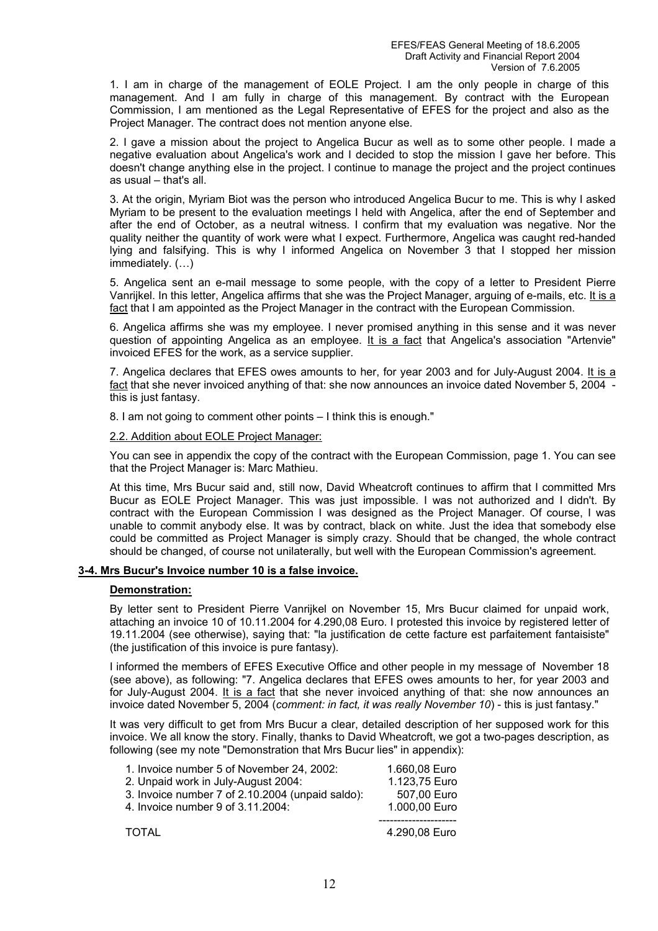1. I am in charge of the management of EOLE Project. I am the only people in charge of this management. And I am fully in charge of this management. By contract with the European Commission, I am mentioned as the Legal Representative of EFES for the project and also as the Project Manager. The contract does not mention anyone else.

2. I gave a mission about the project to Angelica Bucur as well as to some other people. I made a negative evaluation about Angelica's work and I decided to stop the mission I gave her before. This doesn't change anything else in the project. I continue to manage the project and the project continues as usual – that's all.

3. At the origin, Myriam Biot was the person who introduced Angelica Bucur to me. This is why I asked Myriam to be present to the evaluation meetings I held with Angelica, after the end of September and after the end of October, as a neutral witness. I confirm that my evaluation was negative. Nor the quality neither the quantity of work were what I expect. Furthermore, Angelica was caught red-handed lying and falsifying. This is why I informed Angelica on November 3 that I stopped her mission immediately. (…)

5. Angelica sent an e-mail message to some people, with the copy of a letter to President Pierre Vanrijkel. In this letter, Angelica affirms that she was the Project Manager, arguing of e-mails, etc. It is a fact that I am appointed as the Project Manager in the contract with the European Commission.

6. Angelica affirms she was my employee. I never promised anything in this sense and it was never question of appointing Angelica as an employee. It is a fact that Angelica's association "Artenvie" invoiced EFES for the work, as a service supplier.

7. Angelica declares that EFES owes amounts to her, for year 2003 and for July-August 2004. It is a fact that she never invoiced anything of that: she now announces an invoice dated November 5, 2004 this is just fantasy.

8. I am not going to comment other points – I think this is enough."

#### 2.2. Addition about EOLE Project Manager:

You can see in appendix the copy of the contract with the European Commission, page 1. You can see that the Project Manager is: Marc Mathieu.

At this time, Mrs Bucur said and, still now, David Wheatcroft continues to affirm that I committed Mrs Bucur as EOLE Project Manager. This was just impossible. I was not authorized and I didn't. By contract with the European Commission I was designed as the Project Manager. Of course, I was unable to commit anybody else. It was by contract, black on white. Just the idea that somebody else could be committed as Project Manager is simply crazy. Should that be changed, the whole contract should be changed, of course not unilaterally, but well with the European Commission's agreement.

# **3-4. Mrs Bucur's Invoice number 10 is a false invoice.**

#### **Demonstration:**

By letter sent to President Pierre Vanrijkel on November 15, Mrs Bucur claimed for unpaid work, attaching an invoice 10 of 10.11.2004 for 4.290,08 Euro. I protested this invoice by registered letter of 19.11.2004 (see otherwise), saying that: "la justification de cette facture est parfaitement fantaisiste" (the justification of this invoice is pure fantasy).

I informed the members of EFES Executive Office and other people in my message of November 18 (see above), as following: "7. Angelica declares that EFES owes amounts to her, for year 2003 and for July-August 2004. It is a fact that she never invoiced anything of that: she now announces an invoice dated November 5, 2004 (*comment: in fact, it was really November 10*) - this is just fantasy."

It was very difficult to get from Mrs Bucur a clear, detailed description of her supposed work for this invoice. We all know the story. Finally, thanks to David Wheatcroft, we got a two-pages description, as following (see my note "Demonstration that Mrs Bucur lies" in appendix):

| 1. Invoice number 5 of November 24, 2002:        | 1.660,08 Euro |
|--------------------------------------------------|---------------|
| 2. Unpaid work in July-August 2004:              | 1.123,75 Euro |
| 3. Invoice number 7 of 2.10.2004 (unpaid saldo): | 507,00 Euro   |
| 4. Invoice number 9 of 3.11.2004:                | 1.000,00 Euro |
| <b>TOTAL</b>                                     | 4.290,08 Euro |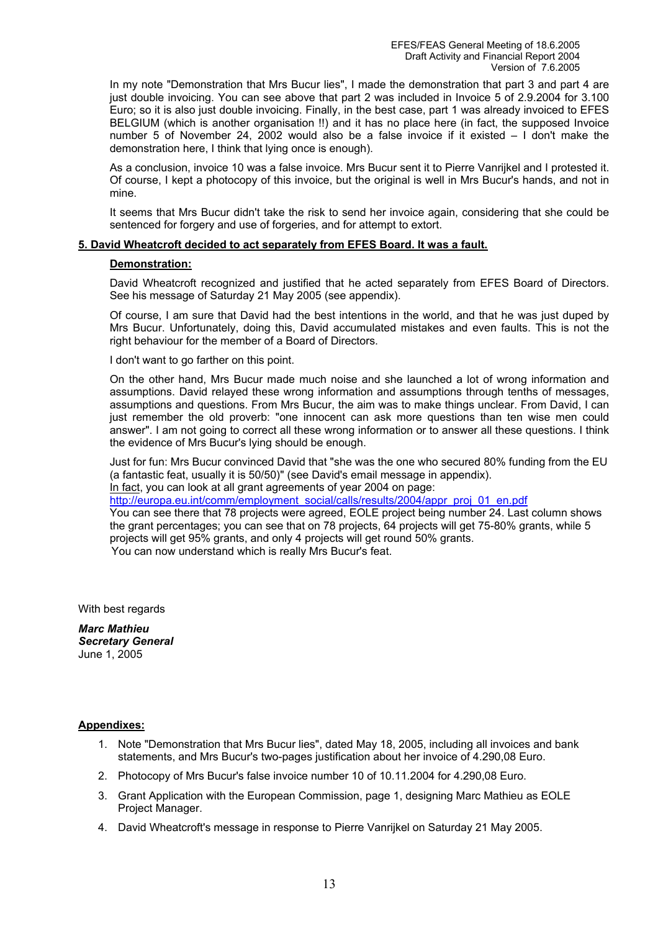In my note "Demonstration that Mrs Bucur lies", I made the demonstration that part 3 and part 4 are just double invoicing. You can see above that part 2 was included in Invoice 5 of 2.9.2004 for 3.100 Euro; so it is also just double invoicing. Finally, in the best case, part 1 was already invoiced to EFES BELGIUM (which is another organisation !!) and it has no place here (in fact, the supposed Invoice number 5 of November 24, 2002 would also be a false invoice if it existed – I don't make the demonstration here, I think that lying once is enough).

As a conclusion, invoice 10 was a false invoice. Mrs Bucur sent it to Pierre Vanrijkel and I protested it. Of course, I kept a photocopy of this invoice, but the original is well in Mrs Bucur's hands, and not in mine.

It seems that Mrs Bucur didn't take the risk to send her invoice again, considering that she could be sentenced for forgery and use of forgeries, and for attempt to extort.

### **5. David Wheatcroft decided to act separately from EFES Board. It was a fault.**

#### **Demonstration:**

David Wheatcroft recognized and justified that he acted separately from EFES Board of Directors. See his message of Saturday 21 May 2005 (see appendix).

Of course, I am sure that David had the best intentions in the world, and that he was just duped by Mrs Bucur. Unfortunately, doing this, David accumulated mistakes and even faults. This is not the right behaviour for the member of a Board of Directors.

I don't want to go farther on this point.

On the other hand, Mrs Bucur made much noise and she launched a lot of wrong information and assumptions. David relayed these wrong information and assumptions through tenths of messages, assumptions and questions. From Mrs Bucur, the aim was to make things unclear. From David, I can just remember the old proverb: "one innocent can ask more questions than ten wise men could answer". I am not going to correct all these wrong information or to answer all these questions. I think the evidence of Mrs Bucur's lying should be enough.

Just for fun: Mrs Bucur convinced David that "she was the one who secured 80% funding from the EU (a fantastic feat, usually it is 50/50)" (see David's email message in appendix). In fact, you can look at all grant agreements of year 2004 on page:

http://europa.eu.int/comm/employment\_social/calls/results/2004/appr\_proj\_01\_en.pdf

You can see there that 78 projects were agreed, EOLE project being number 24. Last column shows the grant percentages; you can see that on 78 projects, 64 projects will get 75-80% grants, while 5 projects will get 95% grants, and only 4 projects will get round 50% grants. You can now understand which is really Mrs Bucur's feat.

With best regards

*Marc Mathieu Secretary General*  June 1, 2005

# **Appendixes:**

- 1. Note "Demonstration that Mrs Bucur lies", dated May 18, 2005, including all invoices and bank statements, and Mrs Bucur's two-pages justification about her invoice of 4.290,08 Euro.
- 2. Photocopy of Mrs Bucur's false invoice number 10 of 10.11.2004 for 4.290,08 Euro.
- 3. Grant Application with the European Commission, page 1, designing Marc Mathieu as EOLE Project Manager.
- 4. David Wheatcroft's message in response to Pierre Vanrijkel on Saturday 21 May 2005.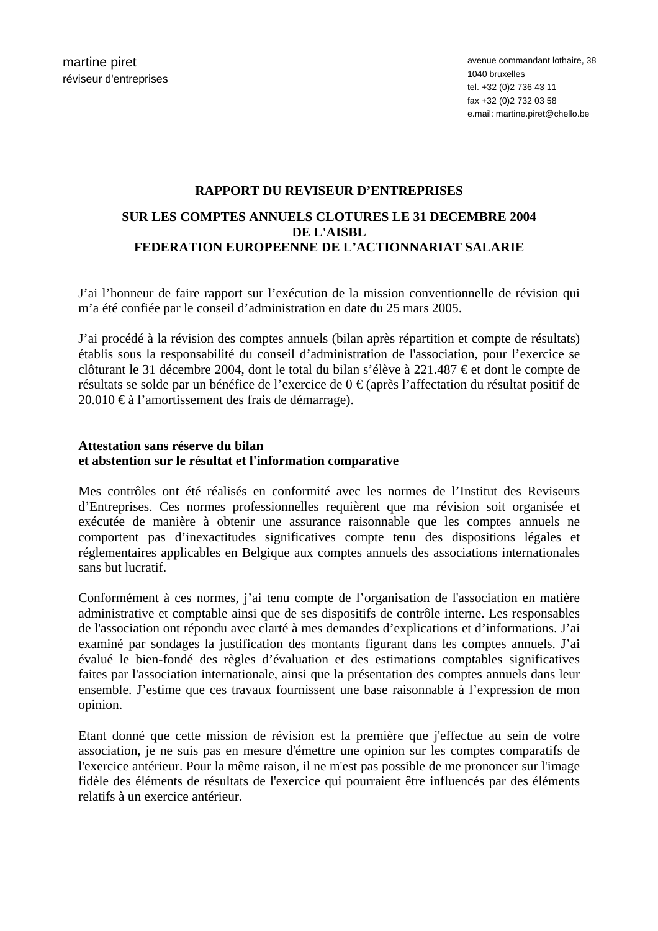# **RAPPORT DU REVISEUR D'ENTREPRISES**

# **SUR LES COMPTES ANNUELS CLOTURES LE 31 DECEMBRE 2004 DE L'AISBL FEDERATION EUROPEENNE DE L'ACTIONNARIAT SALARIE**

J'ai l'honneur de faire rapport sur l'exécution de la mission conventionnelle de révision qui m'a été confiée par le conseil d'administration en date du 25 mars 2005.

J'ai procédé à la révision des comptes annuels (bilan après répartition et compte de résultats) établis sous la responsabilité du conseil d'administration de l'association, pour l'exercice se clôturant le 31 décembre 2004, dont le total du bilan s'élève à 221.487 € et dont le compte de résultats se solde par un bénéfice de l'exercice de 0 € (après l'affectation du résultat positif de 20.010 € à l'amortissement des frais de démarrage).

# **Attestation sans réserve du bilan et abstention sur le résultat et l'information comparative**

Mes contrôles ont été réalisés en conformité avec les normes de l'Institut des Reviseurs d'Entreprises. Ces normes professionnelles requièrent que ma révision soit organisée et exécutée de manière à obtenir une assurance raisonnable que les comptes annuels ne comportent pas d'inexactitudes significatives compte tenu des dispositions légales et réglementaires applicables en Belgique aux comptes annuels des associations internationales sans but lucratif.

Conformément à ces normes, j'ai tenu compte de l'organisation de l'association en matière administrative et comptable ainsi que de ses dispositifs de contrôle interne. Les responsables de l'association ont répondu avec clarté à mes demandes d'explications et d'informations. J'ai examiné par sondages la justification des montants figurant dans les comptes annuels. J'ai évalué le bien-fondé des règles d'évaluation et des estimations comptables significatives faites par l'association internationale, ainsi que la présentation des comptes annuels dans leur ensemble. J'estime que ces travaux fournissent une base raisonnable à l'expression de mon opinion.

Etant donné que cette mission de révision est la première que j'effectue au sein de votre association, je ne suis pas en mesure d'émettre une opinion sur les comptes comparatifs de l'exercice antérieur. Pour la même raison, il ne m'est pas possible de me prononcer sur l'image fidèle des éléments de résultats de l'exercice qui pourraient être influencés par des éléments relatifs à un exercice antérieur.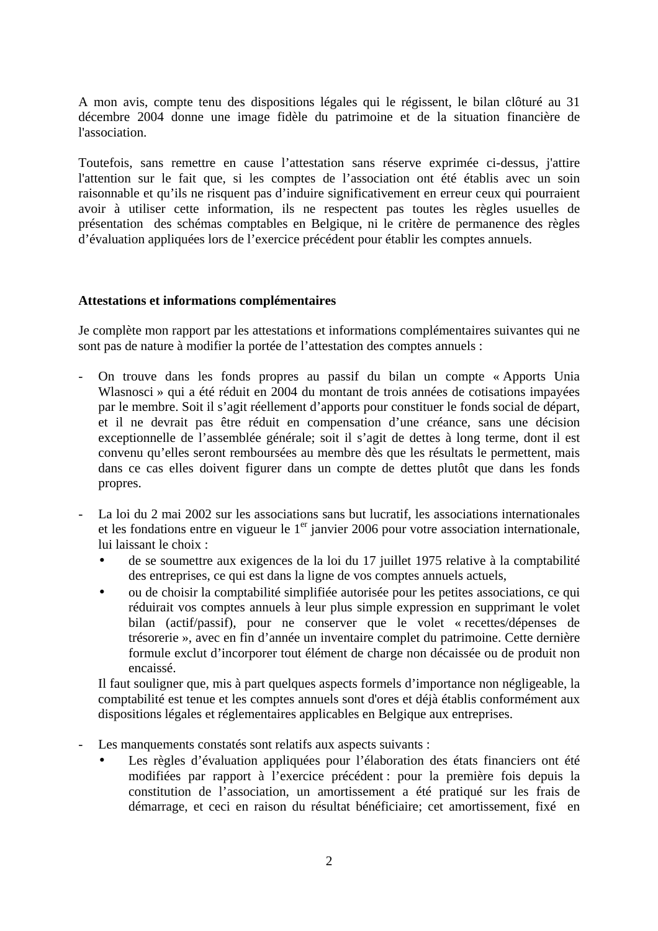A mon avis, compte tenu des dispositions légales qui le régissent, le bilan clôturé au 31 décembre 2004 donne une image fidèle du patrimoine et de la situation financière de l'association.

Toutefois, sans remettre en cause l'attestation sans réserve exprimée ci-dessus, j'attire l'attention sur le fait que, si les comptes de l'association ont été établis avec un soin raisonnable et qu'ils ne risquent pas d'induire significativement en erreur ceux qui pourraient avoir à utiliser cette information, ils ne respectent pas toutes les règles usuelles de présentation des schémas comptables en Belgique, ni le critère de permanence des règles d'évaluation appliquées lors de l'exercice précédent pour établir les comptes annuels.

# **Attestations et informations complémentaires**

Je complète mon rapport par les attestations et informations complémentaires suivantes qui ne sont pas de nature à modifier la portée de l'attestation des comptes annuels :

- On trouve dans les fonds propres au passif du bilan un compte « Apports Unia Wlasnosci » qui a été réduit en 2004 du montant de trois années de cotisations impayées par le membre. Soit il s'agit réellement d'apports pour constituer le fonds social de départ, et il ne devrait pas être réduit en compensation d'une créance, sans une décision exceptionnelle de l'assemblée générale; soit il s'agit de dettes à long terme, dont il est convenu qu'elles seront remboursées au membre dès que les résultats le permettent, mais dans ce cas elles doivent figurer dans un compte de dettes plutôt que dans les fonds propres.
- La loi du 2 mai 2002 sur les associations sans but lucratif, les associations internationales et les fondations entre en vigueur le  $1<sup>er</sup>$  janvier 2006 pour votre association internationale, lui laissant le choix :
	- de se soumettre aux exigences de la loi du 17 juillet 1975 relative à la comptabilité des entreprises, ce qui est dans la ligne de vos comptes annuels actuels,
	- ou de choisir la comptabilité simplifiée autorisée pour les petites associations, ce qui réduirait vos comptes annuels à leur plus simple expression en supprimant le volet bilan (actif/passif), pour ne conserver que le volet « recettes/dépenses de trésorerie », avec en fin d'année un inventaire complet du patrimoine. Cette dernière formule exclut d'incorporer tout élément de charge non décaissée ou de produit non encaissé.

Il faut souligner que, mis à part quelques aspects formels d'importance non négligeable, la comptabilité est tenue et les comptes annuels sont d'ores et déjà établis conformément aux dispositions légales et réglementaires applicables en Belgique aux entreprises.

- Les manquements constatés sont relatifs aux aspects suivants :
	- Les règles d'évaluation appliquées pour l'élaboration des états financiers ont été modifiées par rapport à l'exercice précédent : pour la première fois depuis la constitution de l'association, un amortissement a été pratiqué sur les frais de démarrage, et ceci en raison du résultat bénéficiaire; cet amortissement, fixé en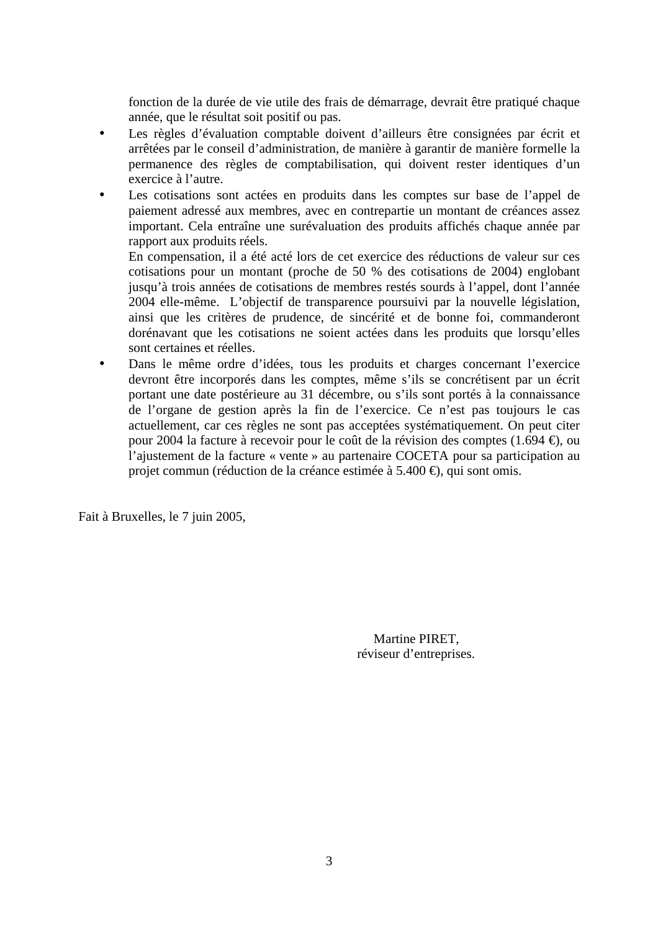fonction de la durée de vie utile des frais de démarrage, devrait être pratiqué chaque année, que le résultat soit positif ou pas.

- Les règles d'évaluation comptable doivent d'ailleurs être consignées par écrit et arrêtées par le conseil d'administration, de manière à garantir de manière formelle la permanence des règles de comptabilisation, qui doivent rester identiques d'un exercice à l'autre.
- Les cotisations sont actées en produits dans les comptes sur base de l'appel de paiement adressé aux membres, avec en contrepartie un montant de créances assez important. Cela entraîne une surévaluation des produits affichés chaque année par rapport aux produits réels.

En compensation, il a été acté lors de cet exercice des réductions de valeur sur ces cotisations pour un montant (proche de 50 % des cotisations de 2004) englobant jusqu'à trois années de cotisations de membres restés sourds à l'appel, dont l'année 2004 elle-même. L'objectif de transparence poursuivi par la nouvelle législation, ainsi que les critères de prudence, de sincérité et de bonne foi, commanderont dorénavant que les cotisations ne soient actées dans les produits que lorsqu'elles sont certaines et réelles.

• Dans le même ordre d'idées, tous les produits et charges concernant l'exercice devront être incorporés dans les comptes, même s'ils se concrétisent par un écrit portant une date postérieure au 31 décembre, ou s'ils sont portés à la connaissance de l'organe de gestion après la fin de l'exercice. Ce n'est pas toujours le cas actuellement, car ces règles ne sont pas acceptées systématiquement. On peut citer pour 2004 la facture à recevoir pour le coût de la révision des comptes (1.694 €), ou l'ajustement de la facture « vente » au partenaire COCETA pour sa participation au projet commun (réduction de la créance estimée à 5.400 €), qui sont omis.

Fait à Bruxelles, le 7 juin 2005,

 Martine PIRET, réviseur d'entreprises.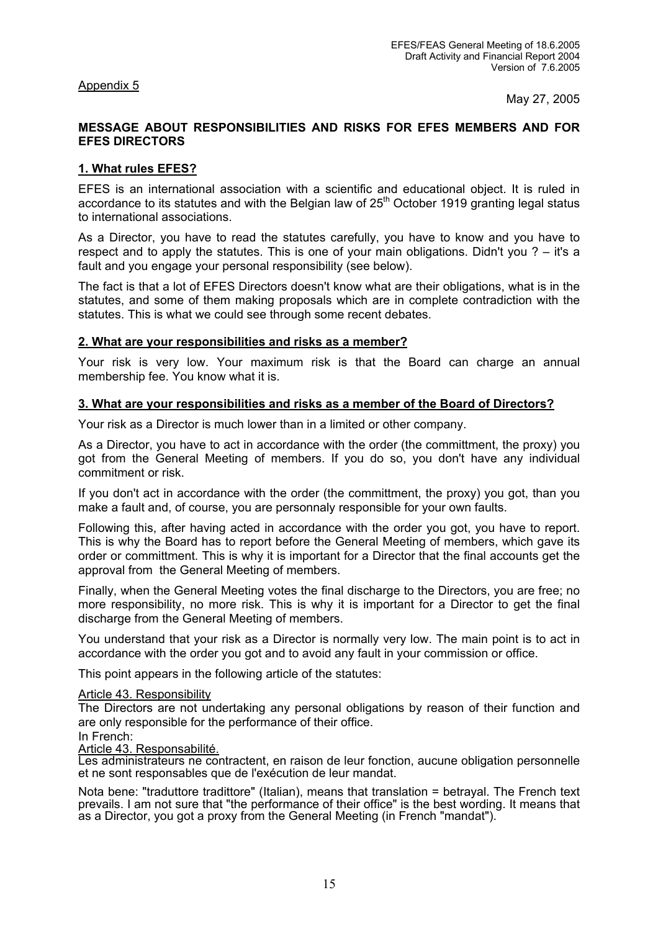Appendix 5

May 27, 2005

# **MESSAGE ABOUT RESPONSIBILITIES AND RISKS FOR EFES MEMBERS AND FOR EFES DIRECTORS**

# **1. What rules EFES?**

EFES is an international association with a scientific and educational object. It is ruled in accordance to its statutes and with the Belgian law of  $25<sup>th</sup>$  October 1919 granting legal status to international associations.

As a Director, you have to read the statutes carefully, you have to know and you have to respect and to apply the statutes. This is one of your main obligations. Didn't you ? – it's a fault and you engage your personal responsibility (see below).

The fact is that a lot of EFES Directors doesn't know what are their obligations, what is in the statutes, and some of them making proposals which are in complete contradiction with the statutes. This is what we could see through some recent debates.

# **2. What are your responsibilities and risks as a member?**

Your risk is very low. Your maximum risk is that the Board can charge an annual membership fee. You know what it is.

# **3. What are your responsibilities and risks as a member of the Board of Directors?**

Your risk as a Director is much lower than in a limited or other company.

As a Director, you have to act in accordance with the order (the committment, the proxy) you got from the General Meeting of members. If you do so, you don't have any individual commitment or risk.

If you don't act in accordance with the order (the committment, the proxy) you got, than you make a fault and, of course, you are personnaly responsible for your own faults.

Following this, after having acted in accordance with the order you got, you have to report. This is why the Board has to report before the General Meeting of members, which gave its order or committment. This is why it is important for a Director that the final accounts get the approval from the General Meeting of members.

Finally, when the General Meeting votes the final discharge to the Directors, you are free; no more responsibility, no more risk. This is why it is important for a Director to get the final discharge from the General Meeting of members.

You understand that your risk as a Director is normally very low. The main point is to act in accordance with the order you got and to avoid any fault in your commission or office.

This point appears in the following article of the statutes:

# Article 43. Responsibility

The Directors are not undertaking any personal obligations by reason of their function and are only responsible for the performance of their office.

# In French:<br>Article 43. Responsabilité.

Les administrateurs ne contractent, en raison de leur fonction, aucune obligation personnelle et ne sont responsables que de l'exécution de leur mandat.

Nota bene: "traduttore tradittore" (Italian), means that translation = betrayal. The French text prevails. I am not sure that "the performance of their office" is the best wording. It means that as a Director, you got a proxy from the General Meeting (in French "mandat").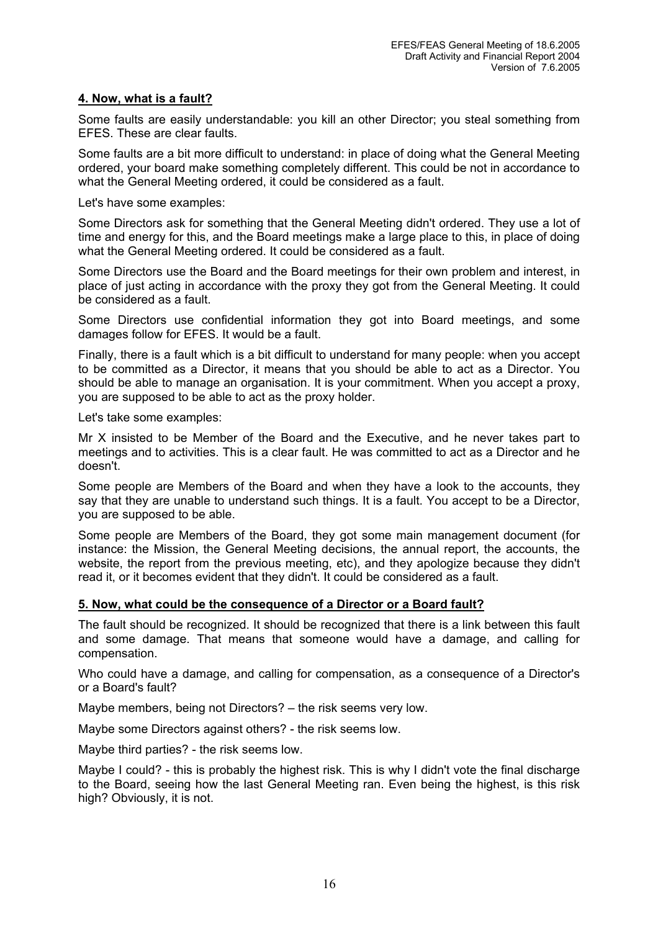# **4. Now, what is a fault?**

Some faults are easily understandable: you kill an other Director; you steal something from EFES. These are clear faults.

Some faults are a bit more difficult to understand: in place of doing what the General Meeting ordered, your board make something completely different. This could be not in accordance to what the General Meeting ordered, it could be considered as a fault.

Let's have some examples:

Some Directors ask for something that the General Meeting didn't ordered. They use a lot of time and energy for this, and the Board meetings make a large place to this, in place of doing what the General Meeting ordered. It could be considered as a fault.

Some Directors use the Board and the Board meetings for their own problem and interest, in place of just acting in accordance with the proxy they got from the General Meeting. It could be considered as a fault.

Some Directors use confidential information they got into Board meetings, and some damages follow for EFES. It would be a fault.

Finally, there is a fault which is a bit difficult to understand for many people: when you accept to be committed as a Director, it means that you should be able to act as a Director. You should be able to manage an organisation. It is your commitment. When you accept a proxy, you are supposed to be able to act as the proxy holder.

Let's take some examples:

Mr X insisted to be Member of the Board and the Executive, and he never takes part to meetings and to activities. This is a clear fault. He was committed to act as a Director and he doesn't.

Some people are Members of the Board and when they have a look to the accounts, they say that they are unable to understand such things. It is a fault. You accept to be a Director, you are supposed to be able.

Some people are Members of the Board, they got some main management document (for instance: the Mission, the General Meeting decisions, the annual report, the accounts, the website, the report from the previous meeting, etc), and they apologize because they didn't read it, or it becomes evident that they didn't. It could be considered as a fault.

# **5. Now, what could be the consequence of a Director or a Board fault?**

The fault should be recognized. It should be recognized that there is a link between this fault and some damage. That means that someone would have a damage, and calling for compensation.

Who could have a damage, and calling for compensation, as a consequence of a Director's or a Board's fault?

Maybe members, being not Directors? – the risk seems very low.

Maybe some Directors against others? - the risk seems low.

Maybe third parties? - the risk seems low.

Maybe I could? - this is probably the highest risk. This is why I didn't vote the final discharge to the Board, seeing how the last General Meeting ran. Even being the highest, is this risk high? Obviously, it is not.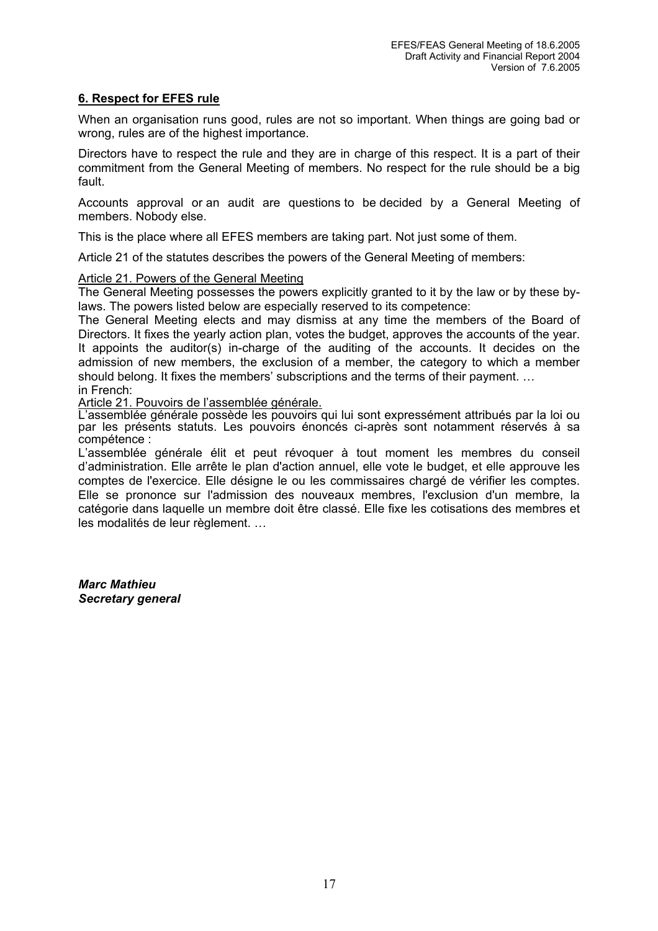# **6. Respect for EFES rule**

When an organisation runs good, rules are not so important. When things are going bad or wrong, rules are of the highest importance.

Directors have to respect the rule and they are in charge of this respect. It is a part of their commitment from the General Meeting of members. No respect for the rule should be a big fault.

Accounts approval or an audit are questions to be decided by a General Meeting of members. Nobody else.

This is the place where all EFES members are taking part. Not just some of them.

Article 21 of the statutes describes the powers of the General Meeting of members:

# Article 21. Powers of the General Meeting

The General Meeting possesses the powers explicitly granted to it by the law or by these bylaws. The powers listed below are especially reserved to its competence:

The General Meeting elects and may dismiss at any time the members of the Board of Directors. It fixes the yearly action plan, votes the budget, approves the accounts of the year. It appoints the auditor(s) in-charge of the auditing of the accounts. It decides on the admission of new members, the exclusion of a member, the category to which a member should belong. It fixes the members' subscriptions and the terms of their payment. … in French:

Article 21. Pouvoirs de l'assemblée générale.

L'assemblée générale possède les pouvoirs qui lui sont expressément attribués par la loi ou par les présents statuts. Les pouvoirs énoncés ci-après sont notamment réservés à sa compétence :

L'assemblée générale élit et peut révoquer à tout moment les membres du conseil d'administration. Elle arrête le plan d'action annuel, elle vote le budget, et elle approuve les comptes de l'exercice. Elle désigne le ou les commissaires chargé de vérifier les comptes. Elle se prononce sur l'admission des nouveaux membres, l'exclusion d'un membre, la catégorie dans laquelle un membre doit être classé. Elle fixe les cotisations des membres et les modalités de leur règlement. …

*Marc Mathieu Secretary general*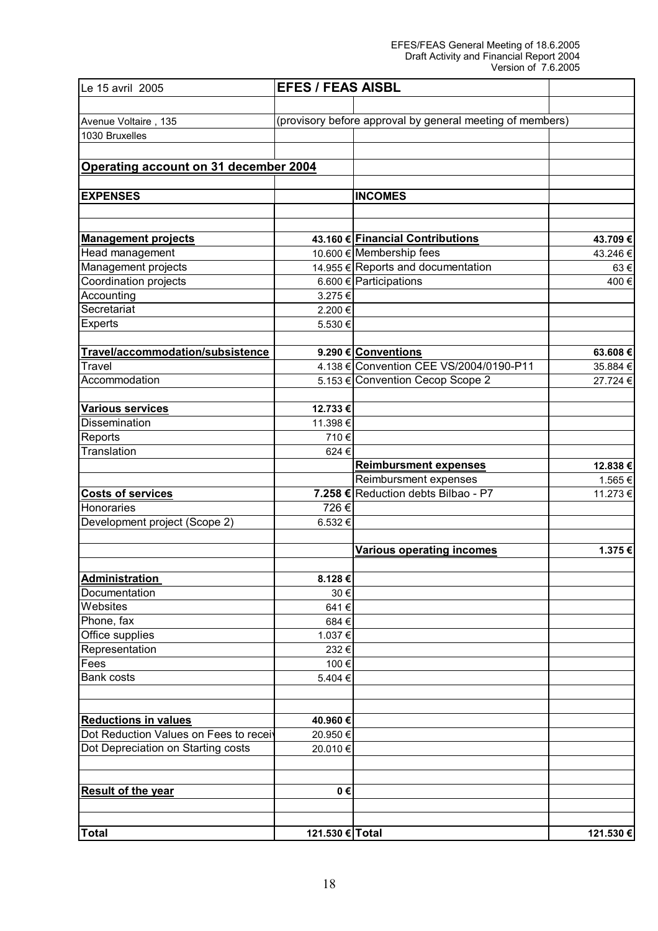#### EFES/FEAS General Meeting of 18.6.2005 Draft Activity and Financial Report 2004 Version of 7.6.2005

| Le 15 avril 2005                       | <b>EFES / FEAS AISBL</b> |                                                           |           |
|----------------------------------------|--------------------------|-----------------------------------------------------------|-----------|
|                                        |                          |                                                           |           |
| Avenue Voltaire, 135                   |                          | (provisory before approval by general meeting of members) |           |
| 1030 Bruxelles                         |                          |                                                           |           |
| Operating account on 31 december 2004  |                          |                                                           |           |
|                                        |                          |                                                           |           |
| <b>EXPENSES</b>                        |                          | <b>INCOMES</b>                                            |           |
| <b>Management projects</b>             |                          | 43.160 € Financial Contributions                          | 43.709€   |
| Head management                        |                          | 10.600 € Membership fees                                  | 43.246 €  |
| Management projects                    |                          | 14.955 € Reports and documentation                        | 63€       |
| Coordination projects                  |                          | 6.600 € Participations                                    | 400€      |
| Accounting                             | 3.275€                   |                                                           |           |
| Secretariat                            | 2.200€                   |                                                           |           |
| Experts                                | 5.530€                   |                                                           |           |
|                                        |                          |                                                           |           |
| Travel/accommodation/subsistence       |                          | 9.290 € Conventions                                       | 63.608€   |
| Travel                                 |                          | 4.138 € Convention CEE VS/2004/0190-P11                   | 35.884 €  |
| Accommodation                          |                          | 5.153 € Convention Cecop Scope 2                          | 27.724 €  |
|                                        |                          |                                                           |           |
| Various services                       | 12.733 €                 |                                                           |           |
| Dissemination                          | 11.398€                  |                                                           |           |
| Reports                                | 710€                     |                                                           |           |
| Translation                            | 624€                     |                                                           |           |
|                                        |                          | <b>Reimbursment expenses</b>                              | 12.838€   |
|                                        |                          | Reimbursment expenses                                     | 1.565€    |
| <b>Costs of services</b>               |                          | 7.258 € Reduction debts Bilbao - P7                       | 11.273 €  |
| Honoraries                             | 726€                     |                                                           |           |
| Development project (Scope 2)          | 6.532€                   |                                                           |           |
|                                        |                          | <b>Various operating incomes</b>                          | 1.375€    |
| <b>Administration</b>                  | 8.128€                   |                                                           |           |
| Documentation                          | 30€                      |                                                           |           |
| Websites                               | 641€                     |                                                           |           |
| Phone, fax                             | 684€                     |                                                           |           |
| Office supplies                        | 1.037€                   |                                                           |           |
| Representation                         | 232€                     |                                                           |           |
| Fees                                   | 100€                     |                                                           |           |
| <b>Bank costs</b>                      | 5.404 €                  |                                                           |           |
| <b>Reductions in values</b>            | 40.960€                  |                                                           |           |
| Dot Reduction Values on Fees to receiv | 20.950€                  |                                                           |           |
| Dot Depreciation on Starting costs     | 20.010€                  |                                                           |           |
| <b>Result of the year</b>              | 0€                       |                                                           |           |
|                                        |                          |                                                           |           |
| <b>Total</b>                           | 121.530 € Total          |                                                           | 121.530 € |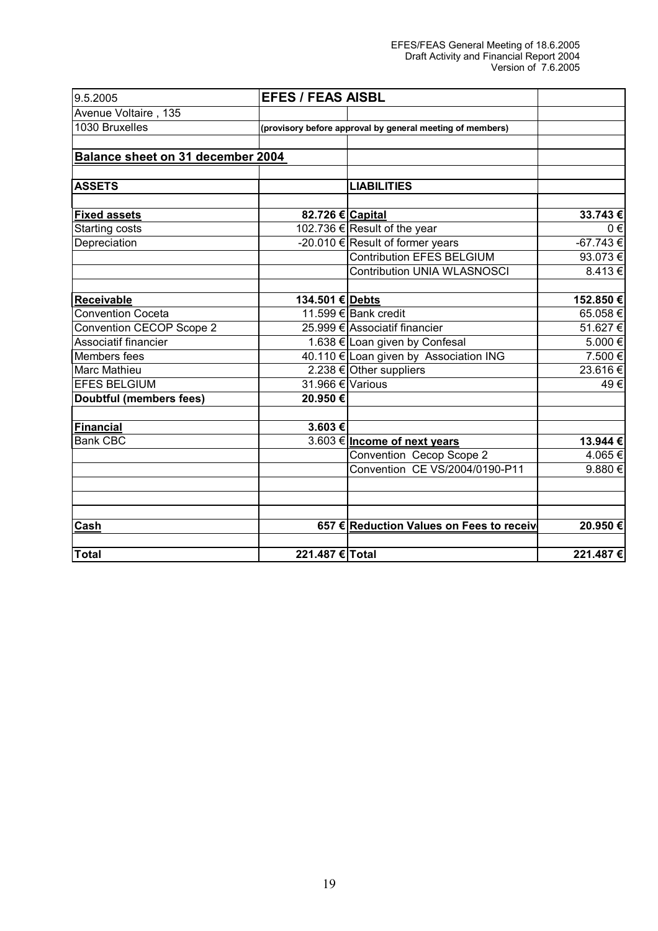#### EFES/FEAS General Meeting of 18.6.2005 Draft Activity and Financial Report 2004 Version of 7.6.2005

| 9.5.2005                          | <b>EFES / FEAS AISBL</b> |                                                           |               |
|-----------------------------------|--------------------------|-----------------------------------------------------------|---------------|
| Avenue Voltaire, 135              |                          |                                                           |               |
| 1030 Bruxelles                    |                          | (provisory before approval by general meeting of members) |               |
|                                   |                          |                                                           |               |
| Balance sheet on 31 december 2004 |                          |                                                           |               |
| <b>ASSETS</b>                     |                          | <b>LIABILITIES</b>                                        |               |
|                                   |                          |                                                           |               |
| <b>Fixed assets</b>               | 82.726 € Capital         |                                                           | 33.743€       |
| Starting costs                    |                          | 102.736 € Result of the year                              | $0 \in$       |
| Depreciation                      |                          | -20.010 $\in$ Result of former years                      | $-67.743 \in$ |
|                                   |                          | <b>Contribution EFES BELGIUM</b>                          | 93.073€       |
|                                   |                          | <b>Contribution UNIA WLASNOSCI</b>                        | 8.413€        |
| <b>Receivable</b>                 | 134.501 € Debts          |                                                           | 152.850€      |
| <b>Convention Coceta</b>          |                          | 11.599 € Bank credit                                      | 65.058€       |
| Convention CECOP Scope 2          |                          | 25.999 € Associatif financier                             | 51.627€       |
| Associatif financier              |                          | 1.638 € Loan given by Confesal                            | 5.000€        |
| Members fees                      |                          | 40.110 € Loan given by Association ING                    | 7.500 €       |
| <b>Marc Mathieu</b>               |                          | 2.238 € Other suppliers                                   | 23.616€       |
| <b>EFES BELGIUM</b>               | 31.966 € Various         |                                                           | 49€           |
| <b>Doubtful (members fees)</b>    | 20.950€                  |                                                           |               |
| <b>Financial</b>                  | 3.603€                   |                                                           |               |
| <b>Bank CBC</b>                   |                          | 3.603 € Income of next years                              | 13.944 €      |
|                                   |                          | Convention Cecop Scope 2                                  | 4.065€        |
|                                   |                          | Convention CE VS/2004/0190-P11                            | 9.880€        |
|                                   |                          |                                                           |               |
| Cash                              |                          | 657 € Reduction Values on Fees to receiv                  | 20.950€       |
| <b>Total</b>                      | 221.487 € Total          |                                                           | 221.487€      |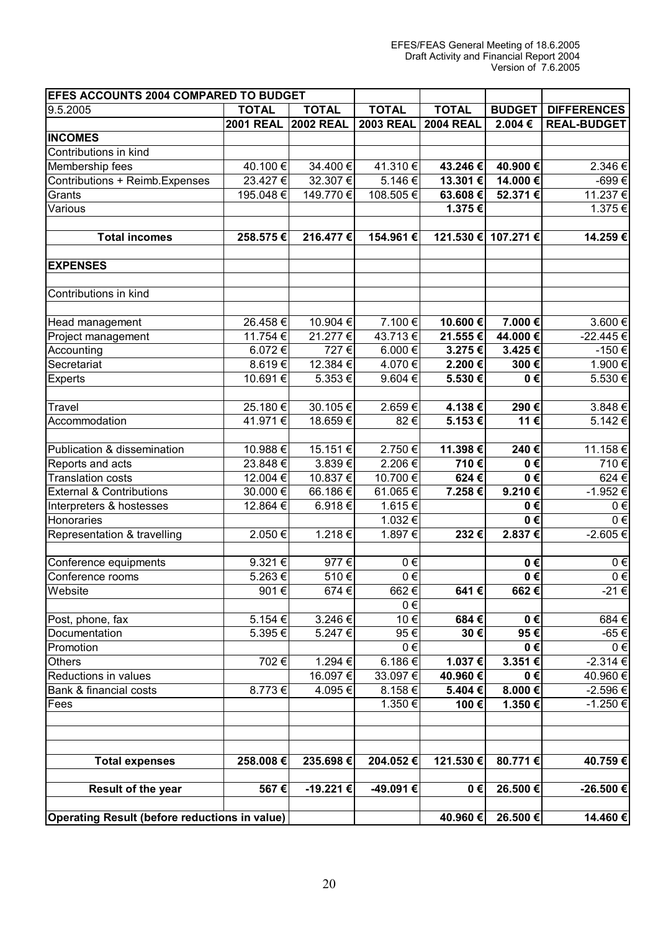| <b>EFES ACCOUNTS 2004 COMPARED TO BUDGET</b>         |                  |                  |                  |                  |               |                    |
|------------------------------------------------------|------------------|------------------|------------------|------------------|---------------|--------------------|
| 9.5.2005                                             | <b>TOTAL</b>     | <b>TOTAL</b>     | <b>TOTAL</b>     | <b>TOTAL</b>     | <b>BUDGET</b> | <b>DIFFERENCES</b> |
|                                                      | <b>2001 REAL</b> | <b>2002 REAL</b> | <b>2003 REAL</b> | <b>2004 REAL</b> | 2.004€        | <b>REAL-BUDGET</b> |
| <b>INCOMES</b>                                       |                  |                  |                  |                  |               |                    |
| Contributions in kind                                |                  |                  |                  |                  |               |                    |
| Membership fees                                      | 40.100€          | 34.400 €         | 41.310€          | 43.246€          | 40.900€       | 2.346€             |
| Contributions + Reimb. Expenses                      | 23.427€          | 32.307€          | 5.146€           | 13.301€          | 14.000€       | -699€              |
| Grants                                               | 195.048€         | 149.770 €        | 108.505€         | 63.608€          | 52.371€       | 11.237 €           |
| Various                                              |                  |                  |                  | 1.375€           |               | 1.375€             |
|                                                      |                  |                  |                  |                  |               |                    |
| <b>Total incomes</b>                                 | 258.575€         | 216.477€         | 154.961€         | 121.530 €        | 107.271€      | 14.259€            |
|                                                      |                  |                  |                  |                  |               |                    |
| <b>EXPENSES</b>                                      |                  |                  |                  |                  |               |                    |
| Contributions in kind                                |                  |                  |                  |                  |               |                    |
|                                                      |                  |                  |                  |                  |               |                    |
| Head management                                      | 26.458€          | 10.904 €         | 7.100€           | 10.600€          | 7.000€        | 3.600€             |
| Project management                                   | 11.754 €         | 21.277 €         | 43.713€          | 21.555€          | 44.000€       | -22.445€           |
| Accounting                                           | 6.072€           | 727€             | 6.000€           | 3.275€           | 3.425€        | -150€              |
| Secretariat                                          | 8.619€           | 12.384 €         | 4.070€           | 2.200€           | 300€          | 1.900 €            |
| <b>Experts</b>                                       | 10.691€          | 5.353€           | 9.604€           | 5.530€           | 0€            | 5.530€             |
|                                                      |                  |                  |                  |                  |               |                    |
| <b>Travel</b>                                        | 25.180€          | 30.105€          | 2.659€           | 4.138€           | 290€          | 3.848€             |
| Accommodation                                        | 41.971€          | 18.659€          | 82€              | 5.153€           | 11€           | 5.142€             |
| Publication & dissemination                          | 10.988€          | 15.151€          | 2.750€           | 11.398€          | 240€          | 11.158€            |
| Reports and acts                                     | 23.848€          | 3.839€           | 2.206€           | 710€             | $0 \in$       | 710€               |
| <b>Translation costs</b>                             | 12.004 €         | 10.837€          | 10.700€          | 624€             | 0€            | 624€               |
| <b>External &amp; Contributions</b>                  | 30.000 €         | 66.186€          | 61.065€          | 7.258€           | 9.210€        | -1.952€            |
| Interpreters & hostesses                             | 12.864 €         | 6.918€           | 1.615€           |                  | 0€            | $0 \in$            |
| Honoraries                                           |                  |                  | 1.032€           |                  | $0 \in$       | $0 \in$            |
| Representation & travelling                          | 2.050€           | 1.218€           | 1.897€           | 232€             | 2.837€        | -2.605€            |
|                                                      |                  |                  |                  |                  |               |                    |
| Conference equipments                                | 9.321€           | 977€             | $0 \in$          |                  | $0 \in$       | $0 \in$            |
| Conference rooms                                     | 5.263€           | 510€             | $0 \in$          |                  | $0 \in$       | $0\in$             |
| Website                                              | 901€             | 674 €            | 662€             | 641 €            | 662€          | -21 €              |
|                                                      |                  |                  | $0 \in$          |                  |               |                    |
| Post, phone, fax                                     | 5.154€           | 3.246€           | 10€              | 684€             | $0 \in$       | 684€               |
| Documentation                                        | 5.395€           | 5.247€           | 95€              | 30 €             | 95€           | -65€               |
| Promotion                                            |                  |                  | $0 \in$          |                  | 0€            | $0 \in$            |
| <b>Others</b>                                        | 702€             | 1.294 €          | 6.186€           | 1.037€           | 3.351€        | $-2.314 \in$       |
| Reductions in values                                 |                  | 16.097€          | 33.097€          | 40.960€          | 0€            | 40.960€            |
| Bank & financial costs                               | 8.773€           | 4.095€           | 8.158€           | 5.404€           | 8.000€        | -2.596 €           |
| Fees                                                 |                  |                  | 1.350€           | 100€             | 1.350€        | -1.250 €           |
|                                                      |                  |                  |                  |                  |               |                    |
|                                                      |                  |                  |                  |                  |               |                    |
| <b>Total expenses</b>                                | 258.008€         | 235.698€         | 204.052€         | 121.530 €        | 80.771€       | 40.759€            |
|                                                      |                  |                  |                  |                  |               |                    |
| Result of the year                                   | 567€             | -19.221€         | -49.091€         | 0€               | 26.500€       | -26.500€           |
| <b>Operating Result (before reductions in value)</b> |                  |                  |                  |                  |               |                    |
|                                                      |                  |                  |                  | 40.960 €         | 26.500€       | 14.460 €           |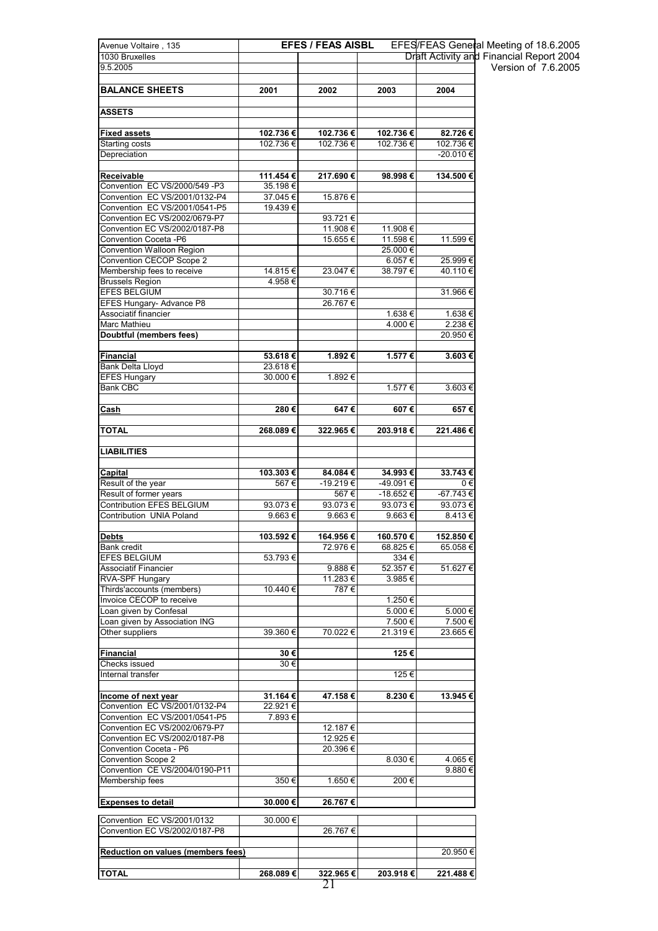| Avenue Voltaire, 135                      |                    | <b>EFES / FEAS AISBL</b> |           | <b>EFES/FEAS General</b>   |
|-------------------------------------------|--------------------|--------------------------|-----------|----------------------------|
| 1030 Bruxelles                            |                    |                          |           | Draft Activity and F       |
| 9.5.2005                                  |                    |                          |           |                            |
|                                           |                    |                          |           |                            |
| <b>BALANCE SHEETS</b>                     | 2001               | 2002                     | 2003      | 2004                       |
| ASSETS                                    |                    |                          |           |                            |
|                                           |                    |                          |           |                            |
| <b>Fixed assets</b>                       | 102.736€           | 102.736€                 | 102.736€  | 82.726€                    |
| Starting costs<br>Depreciation            | 102.736€           | 102.736€                 | 102.736 € | 102.736 €<br>$-20.010 \in$ |
|                                           |                    |                          |           |                            |
| Receivable                                | 111.454€           | 217.690€                 | 98.998€   | 134.500€                   |
| Convention EC VS/2000/549 -P3             | 35.198€            |                          |           |                            |
| Convention EC VS/2001/0132-P4             | 37.045€            | 15.876€                  |           |                            |
| Convention EC VS/2001/0541-P5             | 19.439€            |                          |           |                            |
| Convention EC VS/2002/0679-P7             |                    | 93.721€                  |           |                            |
| Convention EC VS/2002/0187-P8             |                    | 11.908€                  | 11.908€   |                            |
| Convention Coceta -P6                     |                    | 15.655€                  | 11.598€   | 11.599€                    |
| Convention Walloon Region                 |                    |                          | 25.000€   |                            |
| Convention CECOP Scope 2                  |                    |                          | 6.057€    | 25.999€                    |
| Membership fees to receive                | 14.815€            | 23.047€                  | 38.797€   | 40.110€                    |
| <b>Brussels Region</b>                    | 4.958€             |                          |           |                            |
| <b>EFES BELGIUM</b>                       |                    | 30.716€                  |           | 31.966€                    |
| <b>EFES Hungary- Advance P8</b>           |                    | 26.767€                  |           |                            |
| Associatif financier                      |                    |                          | 1.638 €   | 1.638 €                    |
| Marc Mathieu                              |                    |                          | 4.000 €   | 2.238€                     |
| Doubtful (members fees)                   |                    |                          |           | 20.950€                    |
|                                           |                    |                          |           |                            |
| Financial                                 | 53.618€<br>23.618€ | 1.892€                   | 1.577€    | 3.603€                     |
| Bank Delta Lloyd<br><b>EFES Hungary</b>   | 30.000€            |                          |           |                            |
| <b>Bank CBC</b>                           |                    | 1.892 €                  | 1.577 €   | 3.603€                     |
|                                           |                    |                          |           |                            |
| Cash                                      | 280€               | 647€                     | 607€      | 657€                       |
| TOTAL                                     | 268.089€           | 322.965€                 | 203.918€  | 221.486€                   |
| <b>LIABILITIES</b>                        |                    |                          |           |                            |
|                                           |                    |                          |           |                            |
| Capital                                   | 103.303€           | 84.084€                  | 34.993€   | 33.743€                    |
| Result of the year                        | 567€               | -19.219€                 | -49.091 € | 0€                         |
| Result of former years                    |                    | 567€                     | -18.652€  | -67.743€                   |
| Contribution EFES BELGIUM                 | 93.073€            | 93.073€                  | 93.073€   | 93.073€                    |
| Contribution UNIA Poland                  | 9.663€             | 9.663€                   | 9.663€    | 8.413€                     |
|                                           |                    |                          |           |                            |
| Debts                                     | 103.592 €          | 164.956€                 | 160.570 € | 152.850€                   |
| Bank credit                               |                    | 72.976€                  | 68.825€   | 65.058€                    |
| <b>EFES BELGIUM</b>                       | 53.793€            |                          | 334 €     |                            |
| <b>Associatif Financier</b>               |                    | 9.888€                   | 52.357 €  | 51.627€                    |
| RVA-SPF Hungary                           |                    | 11.283€                  | 3.985€    |                            |
| Thirds'accounts (members)                 | 10.440 €           | 787€                     |           |                            |
| Invoice CECOP to receive                  |                    |                          | 1.250€    |                            |
| Loan given by Confesal                    |                    |                          | 5.000 €   | 5.000 €                    |
| Loan given by Association ING             |                    |                          | 7.500 €   | 7.500 €                    |
| Other suppliers                           | 39.360 €           | 70.022€                  | 21.319€   | 23.665€                    |
|                                           |                    |                          |           |                            |
| Financial                                 | 30€                |                          | 125€      |                            |
| Checks issued<br>Internal transfer        | 30 €               |                          | 125€      |                            |
|                                           |                    |                          |           |                            |
| Income of next year                       | 31.164€            | 47.158€                  | 8.230€    | 13.945€                    |
| Convention EC VS/2001/0132-P4             | 22.921€            |                          |           |                            |
| Convention EC VS/2001/0541-P5             | 7.893€             |                          |           |                            |
| Convention EC VS/2002/0679-P7             |                    | 12.187 €                 |           |                            |
| Convention EC VS/2002/0187-P8             |                    | 12.925 €                 |           |                            |
| Convention Coceta - P6                    |                    | 20.396€                  |           |                            |
| Convention Scope 2                        |                    |                          | 8.030€    | 4.065€                     |
| Convention CE VS/2004/0190-P11            |                    |                          |           | 9.880€                     |
| Membership fees                           | 350€               | 1.650 €                  | 200€      |                            |
|                                           |                    |                          |           |                            |
| <b>Expenses to detail</b>                 | 30.000€            | 26.767€                  |           |                            |
| Convention EC VS/2001/0132                | 30.000 €           |                          |           |                            |
| Convention EC VS/2002/0187-P8             |                    | 26.767€                  |           |                            |
|                                           |                    |                          |           |                            |
| <b>Reduction on values (members fees)</b> |                    |                          |           | 20.950€                    |
| TOTAL                                     | 268.089€           | 322.965€                 | 203.918€  | 221.488€                   |

21

EFES/FEAS General Meeting of 18.6.2005 Draft Activity and Financial Report 2004 Version of 7.6.2005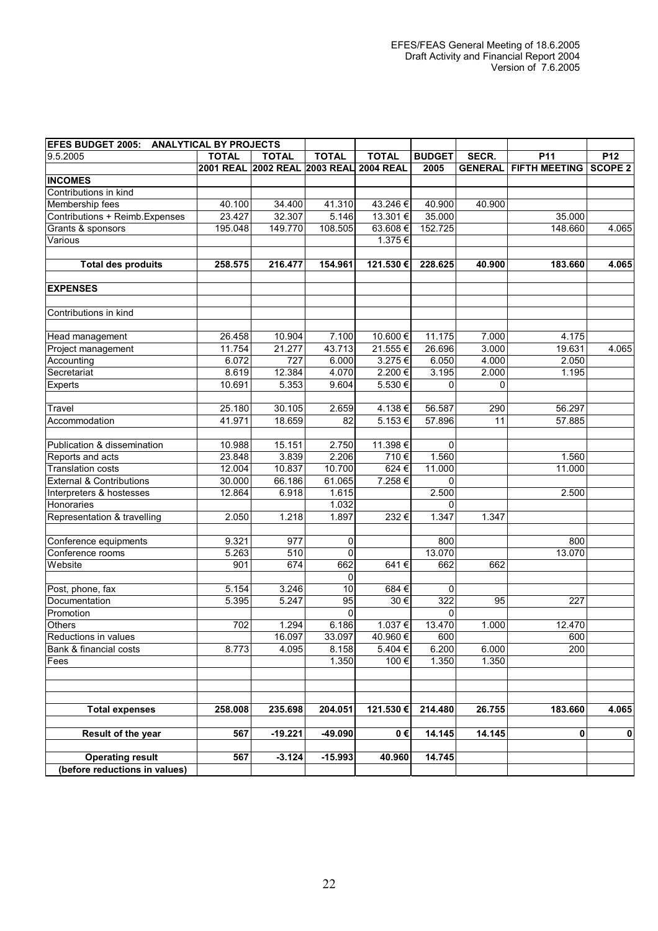| <b>IEFES BUDGET 2005: ANALYTICAL BY PROJECTS</b> |              |                                         |              |                      |               |                |                              |           |
|--------------------------------------------------|--------------|-----------------------------------------|--------------|----------------------|---------------|----------------|------------------------------|-----------|
| 9.5.2005                                         | <b>TOTAL</b> | <b>TOTAL</b>                            | <b>TOTAL</b> | <b>TOTAL</b>         | <b>BUDGET</b> | SECR.          | P11                          | P12       |
|                                                  |              | 2001 REAL 2002 REAL 2003 REAL 2004 REAL |              |                      | 2005          | <b>GENERAL</b> | <b>FIFTH MEETING SCOPE 2</b> |           |
| <b>INCOMES</b>                                   |              |                                         |              |                      |               |                |                              |           |
| Contributions in kind                            |              |                                         |              |                      |               |                |                              |           |
| Membership fees                                  | 40.100       | 34.400                                  | 41.310       | 43.246€              | 40.900        | 40.900         |                              |           |
| Contributions + Reimb. Expenses                  | 23.427       | 32.307                                  | 5.146        | 13.301€              | 35.000        |                | 35.000                       |           |
| Grants & sponsors                                | 195.048      | 149.770                                 | 108.505      | 63.608€              | 152.725       |                | 148.660                      | 4.065     |
| Various                                          |              |                                         |              | 1.375€               |               |                |                              |           |
|                                                  |              |                                         |              |                      |               |                |                              |           |
| <b>Total des produits</b>                        | 258.575      | 216.477                                 | 154.961      | 121.530€             | 228.625       | 40.900         | 183.660                      | 4.065     |
| <b>EXPENSES</b>                                  |              |                                         |              |                      |               |                |                              |           |
| Contributions in kind                            |              |                                         |              |                      |               |                |                              |           |
|                                                  |              |                                         |              |                      |               |                |                              |           |
| Head management                                  | 26.458       | 10.904                                  | 7.100        | 10.600€              | 11.175        | 7.000          | 4.175                        |           |
| Project management                               | 11.754       | 21.277                                  | 43.713       | 21.555€              | 26.696        | 3.000          | 19.631                       | 4.065     |
| Accounting                                       | 6.072        | $\overline{727}$                        | 6.000        | 3.275€               | 6.050         | 4.000          | 2.050                        |           |
| Secretariat                                      | 8.619        | 12.384                                  | 4.070        | 2.200€               | 3.195         | 2.000          | 1.195                        |           |
| Experts                                          | 10.691       | 5.353                                   | 9.604        | 5.530€               | O             | $\Omega$       |                              |           |
|                                                  |              |                                         |              |                      |               |                |                              |           |
| Travel                                           | 25.180       | 30.105                                  | 2.659        | 4.138€               | 56.587        | 290            | 56.297                       |           |
| Accommodation                                    | 41.971       | 18.659                                  | 82           | 5.153€               | 57.896        | 11             | 57.885                       |           |
| Publication & dissemination                      | 10.988       | 15.151                                  | 2.750        | 11.398€              | $\Omega$      |                |                              |           |
| Reports and acts                                 | 23.848       | 3.839                                   | 2.206        | 710€                 | 1.560         |                | 1.560                        |           |
| <b>Translation costs</b>                         | 12.004       | 10.837                                  | 10.700       | $624 \in$            | 11.000        |                | 11.000                       |           |
| <b>External &amp; Contributions</b>              | 30.000       | 66.186                                  | 61.065       | 7.258€               | $\Omega$      |                |                              |           |
| Interpreters & hostesses                         | 12.864       | 6.918                                   | 1.615        |                      | 2.500         |                | 2.500                        |           |
| Honoraries                                       |              |                                         | 1.032        |                      | $\Omega$      |                |                              |           |
| Representation & travelling                      | 2.050        | 1.218                                   | 1.897        | 232€                 | 1.347         | 1.347          |                              |           |
|                                                  |              |                                         |              |                      |               |                |                              |           |
| Conference equipments                            | 9.321        | 977                                     | 0            |                      | 800           |                | 800                          |           |
| Conference rooms                                 | 5.263        | 510                                     | 0            |                      | 13.070        |                | 13.070                       |           |
| Website                                          | 901          | 674                                     | 662          | 641€                 | 662           | 662            |                              |           |
|                                                  |              |                                         | $\mathbf 0$  |                      |               |                |                              |           |
| Post, phone, fax                                 | 5.154        | 3.246                                   | 10           | 684€                 | 0             |                |                              |           |
| Documentation                                    | 5.395        | 5.247                                   | 95           | $30 \in$             | 322           | 95             | 227                          |           |
| Promotion                                        |              |                                         | 0            |                      | O             |                |                              |           |
| <b>Others</b>                                    | 702          | 1.294                                   | 6.186        | 1.037€               | 13.470        | 1.000          | 12.470                       |           |
| Reductions in values                             |              | 16.097                                  | 33.097       | 40.960€              | 600           |                | 600                          |           |
| Bank & financial costs                           | 8.773        | 4.095                                   | 8.158        | 5.404€               | 6.200         | 6.000          | 200                          |           |
| Fees                                             |              |                                         | 1.350        | 100€                 | 1.350         | 1.350          |                              |           |
|                                                  |              |                                         |              |                      |               |                |                              |           |
|                                                  |              |                                         |              |                      |               |                |                              |           |
| <b>Total expenses</b>                            | 258.008      | 235.698                                 | 204.051      | 121.530€             | 214.480       | 26.755         | 183.660                      | 4.065     |
| Result of the year                               | 567          | $-19.221$                               | $-49.090$    | $\overline{0}$ $\in$ | 14.145        | 14.145         | $\mathbf{0}$                 | $\pmb{0}$ |
|                                                  |              |                                         |              |                      |               |                |                              |           |
| <b>Operating result</b>                          | 567          | $-3.124$                                | $-15.993$    | 40.960               | 14.745        |                |                              |           |
| (before reductions in values)                    |              |                                         |              |                      |               |                |                              |           |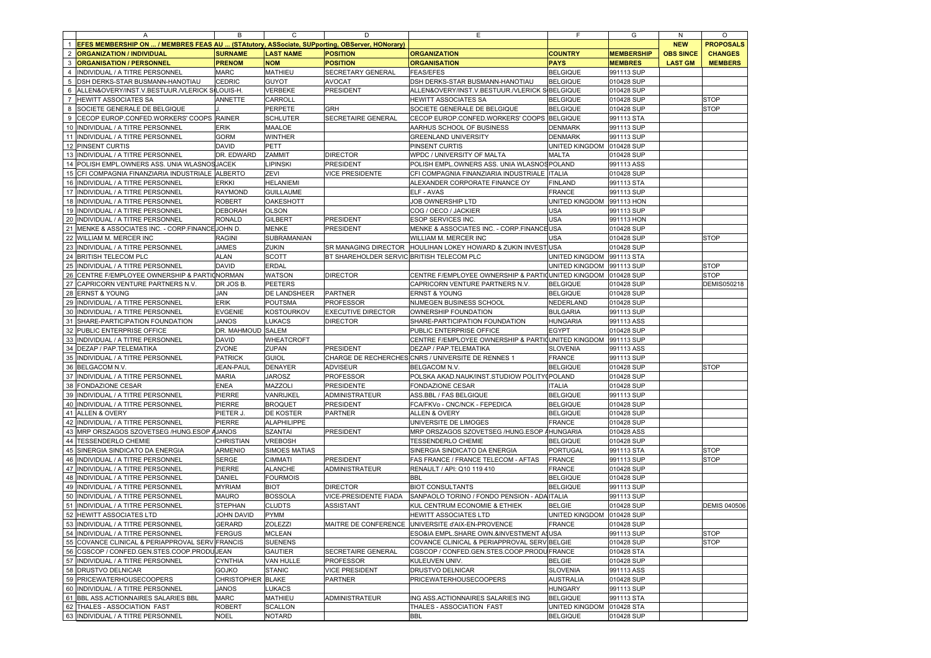|                | Α                                                  | В                 | С                                                                                                    | D                                         | Е                                                              | F                           | G                                     | N              | O                   |
|----------------|----------------------------------------------------|-------------------|------------------------------------------------------------------------------------------------------|-------------------------------------------|----------------------------------------------------------------|-----------------------------|---------------------------------------|----------------|---------------------|
|                |                                                    |                   | <u>EFES MEMBERSHIP ON  / MEMBRES FEAS AU  (STAtutory, ASSociate, SUPporting, OBServer, HONorary)</u> |                                           |                                                                |                             |                                       | <b>NEW</b>     | <b>PROPOSALS</b>    |
| $\overline{2}$ | <b>ORGANIZATION / INDIVIDUAL</b><br><b>SURNAME</b> |                   | <b>LAST NAME</b><br><b>POSITION</b>                                                                  |                                           | <b>ORGANIZATION</b>                                            | <b>COUNTRY</b>              | <b>MEMBERSHIP</b><br><b>OBS SINCE</b> |                | <b>CHANGES</b>      |
| 3              | <b>ORGANISATION / PERSONNEL</b>                    | <b>PRENOM</b>     | <b>NOM</b>                                                                                           | <b>POSITION</b>                           | <b>ORGANISATION</b>                                            | <b>PAYS</b>                 | <b>MEMBRES</b>                        | <b>LAST GM</b> | <b>MEMBERS</b>      |
| $\overline{4}$ | INDIVIDUAL / A TITRE PERSONNEL                     | <b>MARC</b>       | MATHIEU                                                                                              | SECRETARY GENERAL                         | <b>FEAS/EFES</b>                                               | <b>BELGIQUE</b>             | 991113 SUP                            |                |                     |
| 5              | DSH DERKS-STAR BUSMANN-HANOTIAU                    | CEDRIC            | <b>GUYOT</b>                                                                                         | <b>AVOCAT</b>                             | DSH DERKS-STAR BUSMANN-HANOTIAU                                | <b>BELGIQUE</b>             | 010428 SUP                            |                |                     |
| 6              | ALLEN&OVERY/INST.V.BESTUUR./VLERICK SILOUIS-H.     |                   | VERBEKE                                                                                              | PRESIDENT                                 | ALLEN&OVERY/INST.V.BESTUUR./VLERICK SBELGIQUE                  |                             | 010428 SUP                            |                |                     |
| $\overline{7}$ | HEWITT ASSOCIATES SA                               | ANNETTE           | CARROLL                                                                                              |                                           | <b>HEWITT ASSOCIATES SA</b>                                    | <b>BELGIQUE</b>             | 010428 SUP                            |                | <b>STOP</b>         |
| 8              | SOCIETE GENERALE DE BELGIQUE                       |                   | PERPETE                                                                                              | GRH                                       | SOCIETE GENERALE DE BELGIQUE                                   | <b>BELGIQUE</b>             | 010428 SUP                            |                | <b>STOP</b>         |
| 9              | CECOP EUROP.CONFED.WORKERS' COOPS RAINER           |                   | <b>SCHLUTER</b>                                                                                      | SECRETAIRE GENERAL                        | CECOP EUROP.CONFED.WORKERS' COOPS BELGIQUE                     |                             | 991113 STA                            |                |                     |
| 10             | INDIVIDUAL / A TITRE PERSONNEL                     | <b>ERIK</b>       | MAALOE                                                                                               |                                           | AARHUS SCHOOL OF BUSINESS                                      | <b>DENMARK</b>              | 991113 SUP                            |                |                     |
| 11             | INDIVIDUAL / A TITRE PERSONNEL                     | <b>GORM</b>       | <b>WINTHER</b>                                                                                       |                                           |                                                                | <b>DENMARK</b>              | 991113 SUP                            |                |                     |
|                |                                                    |                   |                                                                                                      |                                           | <b>GREENLAND UNIVERSITY</b>                                    |                             |                                       |                |                     |
| 12             | PINSENT CURTIS                                     | <b>DAVID</b>      | PETT                                                                                                 |                                           | PINSENT CURTIS                                                 | UNITED KINGDOM 010428 SUP   |                                       |                |                     |
| 13             | INDIVIDUAL / A TITRE PERSONNEL                     | DR. EDWARD        | ZAMMIT                                                                                               | <b>DIRECTOR</b>                           | WPDC / UNIVERSITY OF MALTA                                     | <b>MALTA</b>                | 010428 SUP                            |                |                     |
| 14             | POLISH EMPL.OWNERS ASS. UNIA WLASNOS JACEK         |                   | LIPINSKI                                                                                             | PRESIDENT                                 | POLISH EMPL.OWNERS ASS. UNIA WLASNOS POLAND                    |                             | 991113 ASS                            |                |                     |
| 15             | CFI COMPAGNIA FINANZIARIA INDUSTRIALE ALBERTO      |                   | ZEVI                                                                                                 | <b>VICE PRESIDENTE</b>                    | CFI COMPAGNIA FINANZIARIA INDUSTRIALE ITALIA                   |                             | 010428 SUP                            |                |                     |
| 16             | INDIVIDUAL / A TITRE PERSONNEL                     | <b>ERKKI</b>      | <b>HELANIEMI</b>                                                                                     |                                           | ALEXANDER CORPORATE FINANCE OY                                 | <b>FINLAND</b>              | 991113 STA                            |                |                     |
| 17             | INDIVIDUAL / A TITRE PERSONNEL                     | <b>RAYMOND</b>    | <b>GUILLAUME</b>                                                                                     |                                           | <b>ELF - AVAS</b>                                              | <b>FRANCE</b>               | 991113 SUP                            |                |                     |
| 18             | INDIVIDUAL / A TITRE PERSONNEL                     | <b>ROBERT</b>     | <b>OAKESHOTT</b>                                                                                     |                                           | JOB OWNERSHIP LTD                                              | UNITED KINGDOM 991113 HON   |                                       |                |                     |
| 19             | INDIVIDUAL / A TITRE PERSONNEL                     | DEBORAH           | <b>OLSON</b>                                                                                         |                                           | COG / OECO / JACKIER                                           | <b>USA</b>                  | 991113 SUP                            |                |                     |
| 20             | INDIVIDUAL / A TITRE PERSONNEL                     | <b>RONALD</b>     | <b>GILBERT</b>                                                                                       | <b>PRESIDENT</b>                          | <b>ESOP SERVICES INC</b>                                       | <b>USA</b>                  | 991113 HON                            |                |                     |
| 21             | MENKE & ASSOCIATES INC. - CORP.FINANCE JOHN D      |                   | <b>MENKE</b>                                                                                         | PRESIDENT                                 | MENKE & ASSOCIATES INC. - CORP.FINANCEUSA                      |                             | 010428 SUP                            |                |                     |
| 22             | WILLIAM M. MERCER INC                              | <b>RAGINI</b>     | SUBRAMANIAN                                                                                          |                                           | WILLIAM M. MERCER INC                                          | <b>USA</b>                  | 010428 SUP                            |                | <b>STOP</b>         |
| 23             | INDIVIDUAL / A TITRE PERSONNEL                     | <b>JAMES</b>      | ZUKIN                                                                                                | SR MANAGING DIRECTOR                      | HOULIHAN LOKEY HOWARD & ZUKIN INVESTUSA                        |                             | 010428 SUP                            |                |                     |
| 24             | <b>BRITISH TELECOM PLC</b>                         | <b>ALAN</b>       | <b>SCOTT</b>                                                                                         | BT SHAREHOLDER SERVIC BRITISH TELECOM PLC |                                                                | UNITED KINGDOM              | 991113 STA                            |                |                     |
| 25             | INDIVIDUAL / A TITRE PERSONNEL                     | <b>DAVID</b>      | <b>ERDAL</b>                                                                                         |                                           |                                                                | UNITED KINGDOM              | 991113 SUP                            |                | <b>STOP</b>         |
| 26             | CENTRE F/EMPLOYEE OWNERSHIP & PARTIONORMAN         |                   | <b>WATSON</b>                                                                                        | <b>DIRECTOR</b>                           | CENTRE F/EMPLOYEE OWNERSHIP & PARTICUNITED KINGDOM             |                             | 010428 SUP                            |                | <b>STOP</b>         |
| 27             | CAPRICORN VENTURE PARTNERS N.V.                    | DR JOS B.         | <b>PEETERS</b>                                                                                       |                                           | CAPRICORN VENTURE PARTNERS N.V.                                | <b>BELGIQUE</b>             | 010428 SUP                            |                | DEMIS050218         |
| 28             | <b>ERNST &amp; YOUNG</b>                           | JAN               | DE LANDSHEER                                                                                         |                                           |                                                                | <b>BELGIQUE</b>             |                                       |                |                     |
|                |                                                    |                   |                                                                                                      | <b>PARTNER</b>                            | <b>ERNST &amp; YOUNG</b>                                       |                             | 010428 SUP                            |                |                     |
| 29             | INDIVIDUAL / A TITRE PERSONNEL                     | ERIK              | POUTSMA                                                                                              | <b>PROFESSOR</b>                          | NIJMEGEN BUSINESS SCHOOL                                       | NEDERLAND                   | 010428 SUP                            |                |                     |
| 30             | INDIVIDUAL / A TITRE PERSONNEL                     | <b>EVGENIE</b>    | KOSTOURKOV                                                                                           | <b>EXECUTIVE DIRECTOR</b>                 | OWNERSHIP FOUNDATION                                           | <b>BULGARIA</b>             | 991113 SUP                            |                |                     |
| 31             | SHARE-PARTICIPATION FOUNDATION                     | <b>JANOS</b>      | LUKACS                                                                                               | <b>DIRECTOR</b>                           | SHARE-PARTICIPATION FOUNDATION                                 | <b>HUNGARIA</b>             | 991113 ASS                            |                |                     |
| 32             | PUBLIC ENTERPRISE OFFICE                           | DR. MAHMOUD SALEM |                                                                                                      |                                           | PUBLIC ENTERPRISE OFFICE                                       | <b>EGYPT</b>                | 010428 SUP                            |                |                     |
| 33             | INDIVIDUAL / A TITRE PERSONNEL                     | <b>DAVID</b>      | WHEATCROFT                                                                                           |                                           | CENTRE F/EMPLOYEE OWNERSHIP & PARTI(UNITED KINGDOM  991113 SUP |                             |                                       |                |                     |
| 34             | DEZAP / PAP.TELEMATIKA                             | ZVONE             | ZUPAN                                                                                                | PRESIDENT                                 | DEZAP / PAP.TELEMATIKA                                         | <b>SLOVENIA</b>             | 991113 ASS                            |                |                     |
| 35             | INDIVIDUAL / A TITRE PERSONNEL                     | <b>PATRICK</b>    | <b>GUIOL</b>                                                                                         |                                           | CHARGE DE RECHERCHES CNRS / UNIVERSITE DE RENNES 1             | <b>FRANCE</b>               | 991113 SUP                            |                |                     |
| 36             | BELGACOM N.V.                                      | <b>JEAN-PAUL</b>  | DENAYER                                                                                              | ADVISEUR                                  | <b>BELGACOM N.V.</b>                                           | <b>BELGIQUE</b>             | 010428 SUP                            |                | <b>STOP</b>         |
| 37             | INDIVIDUAL / A TITRE PERSONNEL                     | <b>MARIA</b>      | <b>JAROSZ</b>                                                                                        | <b>PROFESSOR</b>                          | POLSKA AKAD.NAUK/INST.STUDIOW POLITY POLAND                    |                             | 010428 SUP                            |                |                     |
| 38             | FONDAZIONE CESAR                                   | <b>ENEA</b>       | MAZZOLI                                                                                              | <b>PRESIDENTE</b>                         | FONDAZIONE CESAR                                               | <b>ITALIA</b>               | 010428 SUP                            |                |                     |
| 39             | INDIVIDUAL / A TITRE PERSONNEL                     | PIERRE            | VANRIJKEL                                                                                            | ADMINISTRATEUR                            | ASS.BBL / FAS BELGIQUE                                         | <b>BELGIQUE</b>             | 991113 SUP                            |                |                     |
| 40             | INDIVIDUAL / A TITRE PERSONNEL                     | PIERRE            | <b>BROQUET</b>                                                                                       | PRESIDENT                                 | FCA/FKVo - CNC/NCK - FEPEDICA                                  | <b>BELGIQUE</b>             | 010428 SUP                            |                |                     |
| 41             | <b>ALLEN &amp; OVERY</b>                           | PIETER J          | DE KOSTER                                                                                            | <b>PARTNER</b>                            | <b>ALLEN &amp; OVERY</b>                                       | <b>BELGIQUE</b>             | 010428 SUP                            |                |                     |
| 42             | INDIVIDUAL / A TITRE PERSONNEL                     | PIERRE            | ALAPHILIPPE                                                                                          |                                           | UNIVERSITE DE LIMOGES                                          | FRANCE                      | 010428 SUP                            |                |                     |
| 43             | MRP ORSZAGOS SZOVETSEG /HUNG.ESOP AJANOS           |                   | <b>SZANTAI</b>                                                                                       | PRESIDENT                                 | MRP ORSZAGOS SZOVETSEG /HUNG.ESOP AHUNGARIA                    |                             | 010428 ASS                            |                |                     |
| 44             | <b>TESSENDERLO CHEMIE</b>                          | <b>CHRISTIAN</b>  | VREBOSH                                                                                              |                                           | <b>TESSENDERLO CHEMIE</b>                                      | <b>BELGIQUE</b>             | 010428 SUP                            |                |                     |
| 45             |                                                    | <b>ARMENIO</b>    | SIMOES MATIAS                                                                                        |                                           |                                                                | PORTUGAL                    |                                       |                |                     |
| 46             | SINERGIA SINDICATO DA ENERGIA                      |                   |                                                                                                      |                                           | SINERGIA SINDICATO DA ENERGIA                                  |                             | 991113 STA                            |                | <b>STOP</b>         |
|                | INDIVIDUAL / A TITRE PERSONNEL                     | <b>SERGE</b>      | <b>CIMMATI</b>                                                                                       | PRESIDENT                                 | FAS FRANCE / FRANCE TELECOM - AFTAS                            | <b>FRANCE</b>               | 991113 SUP                            |                | <b>STOP</b>         |
| 47             | INDIVIDUAL / A TITRE PERSONNEL                     | PIERRE            | <b>ALANCHE</b>                                                                                       | ADMINISTRATEUR                            | RENAULT / API: Q10 119 410                                     | FRANCE                      | 010428 SUP                            |                |                     |
| 48             | INDIVIDUAL / A TITRE PERSONNEI                     | DANIEL            | <b>FOURMOIS</b>                                                                                      |                                           | <b>BBL</b>                                                     | <b>BELGIQUE</b>             | 010428 SUP                            |                |                     |
| 49             | INDIVIDUAL / A TITRE PERSONNEL                     | <b>MYRIAM</b>     | <b>BIOT</b>                                                                                          | <b>DIRECTOR</b>                           | <b>BIOT CONSULTANTS</b>                                        | <b>BELGIQUE</b>             | 991113 SUP                            |                |                     |
| 50             | INDIVIDUAL / A TITRE PERSONNEL                     | <b>MAURO</b>      | <b>BOSSOLA</b>                                                                                       | VICE-PRESIDENTE FIADA                     | SANPAOLO TORINO / FONDO PENSION - ADA ITALIA                   |                             | 991113 SUP                            |                |                     |
| 51             | INDIVIDUAL / A TITRE PERSONNEL                     | STEPHAN           | <b>CLUDTS</b>                                                                                        | <b>ASSISTANT</b>                          | KUL CENTRUM ECONOMIE & ETHIEK                                  | <b>BELGIE</b>               | 010428 SUP                            |                | <b>DEMIS 040506</b> |
| 52             | HEWITT ASSOCIATES LTD                              | JOHN DAVID        | <b>PYMM</b>                                                                                          |                                           | <b>HEWITT ASSOCIATES LTD</b>                                   | UNITED KINGDOM   010428 SUP |                                       |                |                     |
| 53             | INDIVIDUAL / A TITRE PERSONNEL                     | <b>GERARD</b>     | ZOLEZZI                                                                                              |                                           | MAITRE DE CONFERENCE UNIVERSITE d'AIX-EN-PROVENCE              | <b>FRANCE</b>               | 010428 SUP                            |                |                     |
|                | 54 INDIVIDUAL / A TITRE PERSONNEL                  | <b>FERGUS</b>     | <b>MCLEAN</b>                                                                                        |                                           | ESO&IA EMPL.SHARE OWN.&INVESTMENT ASUSA                        |                             | 991113 SUP                            |                | <b>STOP</b>         |
|                | 55 COVANCE CLINICAL & PERIAPPROVAL SERV FRANCIS    |                   | <b>SUENENS</b>                                                                                       |                                           | COVANCE CLINICAL & PERIAPPROVAL SERV BELGIE                    |                             | 010428 SUP                            |                | <b>STOP</b>         |
| 56             | CGSCOP / CONFED.GEN.STES.COOP.PRODUUEAN            |                   | <b>GAUTIER</b>                                                                                       | SECRETAIRE GENERAL                        | CGSCOP / CONFED.GEN.STES.COOP.PRODUFRANCE                      |                             | 010428 STA                            |                |                     |
| 57             | INDIVIDUAL / A TITRE PERSONNEL                     | <b>CYNTHIA</b>    | VAN HULLE                                                                                            | <b>PROFESSOR</b>                          | KULEUVEN UNIV.                                                 | <b>BELGIE</b>               | 010428 SUP                            |                |                     |
| 58             | DRUSTVO DELNICAR                                   | GOJKO             | <b>STANIC</b>                                                                                        | <b>VICE PRESIDENT</b>                     | <b>DRUSTVO DELNICAR</b>                                        | SLOVENIA                    | 991113 ASS                            |                |                     |
|                | 59 PRICEWATERHOUSECOOPERS                          | CHRISTOPHER BLAKE |                                                                                                      | PARTNER                                   | <b>PRICEWATERHOUSECOOPERS</b>                                  | <b>AUSTRALIA</b>            | 010428 SUP                            |                |                     |
| 60             | INDIVIDUAL / A TITRE PERSONNEL                     | <b>JANOS</b>      | LUKACS                                                                                               |                                           |                                                                | <b>HUNGARY</b>              | 991113 SUP                            |                |                     |
|                | 61 BBL ASS.ACTIONNAIRES SALARIES BBL               | <b>MARC</b>       | MATHIEU                                                                                              | <b>ADMINISTRATEUR</b>                     | ING ASS.ACTIONNAIRES SALARIES ING                              | <b>BELGIQUE</b>             | 991113 STA                            |                |                     |
| 62             | THALES - ASSOCIATION FAST                          | <b>ROBERT</b>     | <b>SCALLON</b>                                                                                       |                                           | THALES - ASSOCIATION FAST                                      | UNITED KINGDOM              | 010428 STA                            |                |                     |
|                | 63 INDIVIDUAL / A TITRE PERSONNEL                  |                   | <b>NOTARD</b>                                                                                        |                                           | <b>BBL</b>                                                     | <b>BELGIQUE</b>             |                                       |                |                     |
|                |                                                    | <b>NOEL</b>       |                                                                                                      |                                           |                                                                |                             | 010428 SUP                            |                |                     |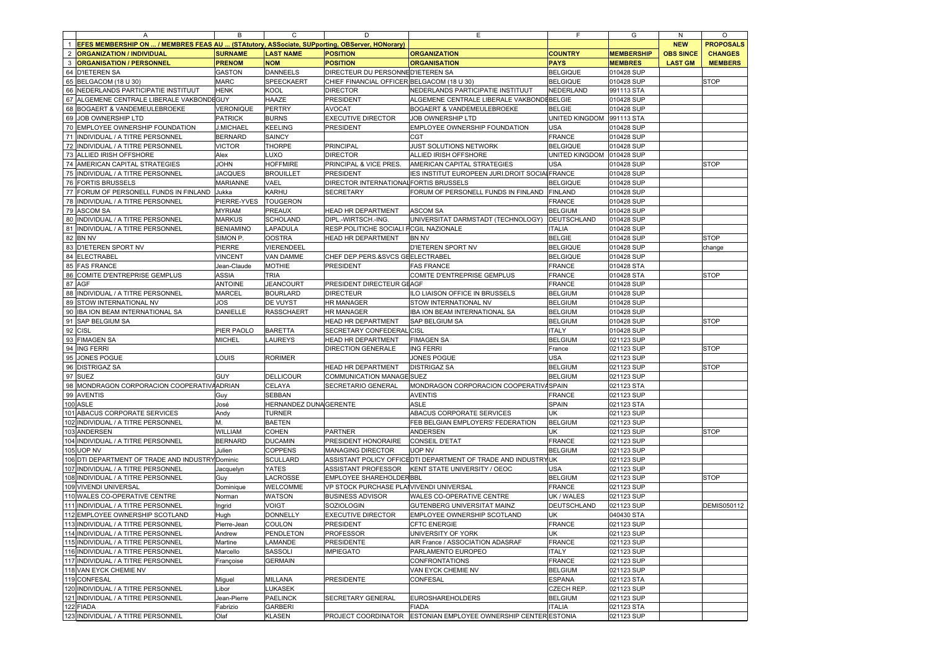|                | A                                                                                             | в                   | C                      | D                                          | Е                                                              | F.                        | G                 | N                | $\circ$          |
|----------------|-----------------------------------------------------------------------------------------------|---------------------|------------------------|--------------------------------------------|----------------------------------------------------------------|---------------------------|-------------------|------------------|------------------|
|                | EFES MEMBERSHIP ON  / MEMBRES FEAS AU  (STAtutory, ASSociate, SUPporting, OBServer, HONorary) |                     |                        |                                            |                                                                |                           |                   | <b>NEW</b>       | <b>PROPOSALS</b> |
| $\overline{2}$ | <b>ORGANIZATION / INDIVIDUAL</b>                                                              | <b>SURNAME</b>      | <b>LAST NAME</b>       | <b>POSITION</b>                            | <b>ORGANIZATION</b>                                            | <b>COUNTRY</b>            | <b>MEMBERSHIP</b> | <b>OBS SINCE</b> | <b>CHANGES</b>   |
| 3              | <b>ORGANISATION / PERSONNEL</b>                                                               | <b>PRENOM</b>       | <b>NOM</b>             | <b>POSITION</b>                            | <b>ORGANISATION</b>                                            | <b>PAYS</b>               | <b>MEMBRES</b>    | <b>LAST GM</b>   | <b>MEMBERS</b>   |
| 64             | <b>D'IETEREN SA</b>                                                                           | GASTON              | <b>DANNEELS</b>        | DIRECTEUR DU PERSONNED'IETEREN SA          |                                                                | <b>BELGIQUE</b>           | 010428 SUP        |                  |                  |
| 65             | BELGACOM (18 U 30)                                                                            | <b>MARC</b>         | SPEECKAERT             | CHIEF FINANCIAL OFFICER BELGACOM (18 U 30) |                                                                | <b>BELGIQUE</b>           | 010428 SUP        |                  | <b>STOP</b>      |
| 66             | NEDERLANDS PARTICIPATIE INSTITUUT                                                             | HENK                | <b>KOOL</b>            | <b>DIRECTOR</b>                            | NEDERLANDS PARTICIPATIE INSTITUUT                              | NEDERLAND                 | 991113 STA        |                  |                  |
| 67             | ALGEMENE CENTRALE LIBERALE VAKBONDEGUY                                                        |                     | <b>HAAZE</b>           | <b>PRESIDENT</b>                           | ALGEMENE CENTRALE LIBERALE VAKBONDEBELGIE                      |                           | 010428 SUP        |                  |                  |
| 68             | BOGAERT & VANDEMEULEBROEKE                                                                    | <b>VERONIQUE</b>    | PERTRY                 | <b>AVOCAT</b>                              | BOGAERT & VANDEMEULEBROEKE                                     | <b>BELGIE</b>             | 010428 SUP        |                  |                  |
| 69             | JOB OWNERSHIP LTD                                                                             | <b>PATRICK</b>      | <b>BURNS</b>           | <b>EXECUTIVE DIRECTOR</b>                  | JOB OWNERSHIP LTD                                              | UNITED KINGDOM 991113 STA |                   |                  |                  |
| 70             | EMPLOYEE OWNERSHIP FOUNDATION                                                                 | <b>J.MICHAEL</b>    | <b>KEELING</b>         | PRESIDENT                                  | EMPLOYEE OWNERSHIP FOUNDATION                                  | <b>USA</b>                | 010428 SUP        |                  |                  |
| 71             | INDIVIDUAL / A TITRE PERSONNEL                                                                | <b>BERNARD</b>      | SAINCY                 |                                            | CGT                                                            | <b>FRANCE</b>             | 010428 SUP        |                  |                  |
| 72             | INDIVIDUAL / A TITRE PERSONNEL                                                                | <b>VICTOR</b>       | <b>THORPE</b>          | PRINCIPAL                                  | JUST SOLUTIONS NETWORK                                         | <b>BELGIQUE</b>           | 010428 SUP        |                  |                  |
| 73             | ALLIED IRISH OFFSHORE                                                                         | Alex                | LUXO                   | <b>DIRECTOR</b>                            | ALLIED IRISH OFFSHORE                                          | UNITED KINGDOM            | 010428 SUP        |                  |                  |
| 74             | AMERICAN CAPITAL STRATEGIES                                                                   | <b>JOHN</b>         | <b>HOFFMIRE</b>        | PRINCIPAL & VICE PRES.                     | AMERICAN CAPITAL STRATEGIES                                    | <b>USA</b>                | 010428 SUP        |                  | <b>STOP</b>      |
| 75             | INDIVIDUAL / A TITRE PERSONNEL                                                                | <b>JACQUES</b>      | <b>BROUILLET</b>       | PRESIDENT                                  | IES INSTITUT EUROPEEN JURI.DROIT SOCIALFRANCE                  |                           | 010428 SUP        |                  |                  |
| 76             | <b>FORTIS BRUSSELS</b>                                                                        | <b>MARIANNE</b>     | VAEL                   | DIRECTOR INTERNATIONAL FORTIS BRUSSELS     |                                                                | <b>BELGIQUE</b>           | 010428 SUP        |                  |                  |
| 77             |                                                                                               | Jukka               |                        |                                            |                                                                |                           |                   |                  |                  |
| 78             | FORUM OF PERSONELL FUNDS IN FINLAND                                                           |                     | <b>KARHU</b>           | SECRETARY                                  | FORUM OF PERSONELL FUNDS IN FINLAND                            | <b>FINLAND</b><br>FRANCE  | 010428 SUP        |                  |                  |
|                | INDIVIDUAL / A TITRE PERSONNEL                                                                | PIERRE-YVES         | <b>TOUGERON</b>        |                                            |                                                                |                           | 010428 SUP        |                  |                  |
| 79             | <b>ASCOM SA</b>                                                                               | <b>MYRIAM</b>       | PREAUX                 | HEAD HR DEPARTMENT                         | <b>ASCOM SA</b>                                                | <b>BELGIUM</b>            | 010428 SUP        |                  |                  |
| 80             | INDIVIDUAL / A TITRE PERSONNEL                                                                | <b>MARKUS</b>       | <b>SCHOLAND</b>        | DIPL.-WIRTSCH.-ING.                        | UNIVERSITAT DARMSTADT (TECHNOLOGY)                             | DEUTSCHLAND               | 010428 SUP        |                  |                  |
| 81             | INDIVIDUAL / A TITRE PERSONNEL                                                                | <b>BENIAMINO</b>    | <b>LAPADULA</b>        | RESP.POLITICHE SOCIALI FCGIL NAZIONALE     |                                                                | <b>ITALIA</b>             | 010428 SUP        |                  |                  |
| 82             | <b>BN NV</b>                                                                                  | SIMON P.            | <b>OOSTRA</b>          | HEAD HR DEPARTMENT                         | <b>BN NV</b>                                                   | <b>BELGIE</b>             | 010428 SUP        |                  | <b>STOP</b>      |
| 83             | D'IETEREN SPORT NV                                                                            | PIERRE              | <b>VIERENDEEL</b>      |                                            | D'IETEREN SPORT NV                                             | <b>BELGIQUE</b>           | 010428 SUP        |                  | change           |
| 84             | ELECTRABEL                                                                                    | <b>VINCENT</b>      | <b>VAN DAMME</b>       | CHEF DEP.PERS.&SVCS GEELECTRABEL           |                                                                | <b>BELGIQUE</b>           | 010428 SUP        |                  |                  |
| 85             | <b>FAS FRANCE</b>                                                                             | Jean-Claude         | <b>MOTHIE</b>          | <b>PRESIDENT</b>                           | <b>FAS FRANCE</b>                                              | <b>FRANCE</b>             | 010428 STA        |                  |                  |
| 86             | COMITE D'ENTREPRISE GEMPLUS                                                                   | ASSIA               | <b>TRIA</b>            |                                            | COMITE D'ENTREPRISE GEMPLUS                                    | <b>FRANCE</b>             | 010428 STA        |                  | <b>STOP</b>      |
| 87             | AGF                                                                                           | <b>ANTOINE</b>      | <b>JEANCOURT</b>       | PRESIDENT DIRECTEUR GEAGF                  |                                                                | <b>FRANCE</b>             | 010428 SUP        |                  |                  |
| 88             | INDIVIDUAL / A TITRE PERSONNEL                                                                | <b>MARCEL</b>       | <b>BOURLARD</b>        | <b>DIRECTEUR</b>                           | ILO LIAISON OFFICE IN BRUSSELS                                 | <b>BELGIUM</b>            | 010428 SUP        |                  |                  |
| 89             | STOW INTERNATIONAL NV                                                                         | JOS                 | DE VUYST               | <b>HR MANAGER</b>                          | STOW INTERNATIONAL NV                                          | <b>BELGIUM</b>            | 010428 SUP        |                  |                  |
| 90             | IBA ION BEAM INTERNATIONAL SA                                                                 | DANIELLE            | <b>RASSCHAERT</b>      | <b>HR MANAGER</b>                          | IBA ION BEAM INTERNATIONAL SA                                  | <b>BELGIUM</b>            | 010428 SUP        |                  |                  |
| 91             | SAP BELGIUM SA                                                                                |                     |                        | HEAD HR DEPARTMENT                         | SAP BELGIUM SA                                                 | <b>BELGIUM</b>            | 010428 SUP        |                  | <b>STOP</b>      |
| 92             | <b>CISL</b>                                                                                   | PIER PAOLO          | <b>BARETTA</b>         | SECRETARY CONFEDERAL CISL                  |                                                                | <b>ITALY</b>              | 010428 SUP        |                  |                  |
| 93             | <b>FIMAGEN SA</b>                                                                             | <b>MICHEL</b>       | LAUREYS                | HEAD HR DEPARTMENT                         | <b>FIMAGEN SA</b>                                              | <b>BELGIUM</b>            | 021123 SUP        |                  |                  |
| 94             | ING FERRI                                                                                     |                     |                        | <b>DIRECTION GENERALE</b>                  | <b>ING FERRI</b>                                               | France                    | 021123 SUP        |                  | <b>STOP</b>      |
| 95             | JONES POGUE                                                                                   | LOUIS               | <b>RORIMER</b>         |                                            | JONES POGUE                                                    | <b>USA</b>                | 021123 SUP        |                  |                  |
| 96             | <b>DISTRIGAZ SA</b>                                                                           |                     |                        | HEAD HR DEPARTMENT                         | <b>DISTRIGAZ SA</b>                                            | <b>BELGIUM</b>            | 021123 SUP        |                  | <b>STOP</b>      |
| 97             | <b>SUEZ</b>                                                                                   | <b>GUY</b>          | <b>DELLICOUR</b>       | COMMUNICATION MANAGE SUEZ                  |                                                                | <b>BELGIUM</b>            | 021123 SUP        |                  |                  |
| 98             | MONDRAGON CORPORACION COOPERATIVAADRIAN                                                       |                     | CELAYA                 | SECRETARIO GENERAL                         | MONDRAGON CORPORACION COOPERATIVASPAIN                         |                           | 021123 STA        |                  |                  |
| 99             | <b>AVENTIS</b>                                                                                | Guy                 | SEBBAN                 |                                            | <b>AVENTIS</b>                                                 | <b>FRANCE</b>             | 021123 SUP        |                  |                  |
|                | 100 ASLE                                                                                      | José                | HERNANDEZ DUNA GERENTE |                                            | ASLE                                                           | SPAIN                     | 021123 STA        |                  |                  |
| 101            | ABACUS CORPORATE SERVICES                                                                     | Andy                | <b>TURNER</b>          |                                            | ABACUS CORPORATE SERVICES                                      | <b>UK</b>                 | 021123 SUP        |                  |                  |
| 102            | INDIVIDUAL / A TITRE PERSONNEL                                                                | М.                  | <b>BAETEN</b>          |                                            | FEB BELGIAN EMPLOYERS' FEDERATION                              | <b>BELGIUM</b>            | 021123 SUP        |                  |                  |
| 103            | <b>ANDERSEN</b>                                                                               | WILLIAM             | <b>COHEN</b>           | <b>PARTNER</b>                             | ANDERSEN                                                       | <b>UK</b>                 | 021123 SUP        |                  | <b>STOP</b>      |
| 104            | INDIVIDUAL / A TITRE PERSONNEL                                                                | <b>BERNARD</b>      | <b>DUCAMIN</b>         | PRESIDENT HONORAIRE                        | CONSEIL D'ETAT                                                 | <b>FRANCE</b>             | 021123 SUP        |                  |                  |
| 105            | UOP NV                                                                                        | Julien              | <b>COPPENS</b>         | <b>MANAGING DIRECTOR</b>                   | UOP NV                                                         | <b>BELGIUM</b>            | 021123 SUP        |                  |                  |
| 106            | DTI DEPARTMENT OF TRADE AND INDUSTRY Dominic                                                  |                     | <b>SCULLARD</b>        |                                            | ASSISTANT POLICY OFFICEDTI DEPARTMENT OF TRADE AND INDUSTRYUK  |                           | 021123 SUP        |                  |                  |
| 107            | INDIVIDUAL / A TITRE PERSONNEL                                                                | Jacquelyn           | YATES                  | ASSISTANT PROFESSOR                        | KENT STATE UNIVERSITY / OEOC                                   | <b>USA</b>                | 021123 SUP        |                  |                  |
| 108            | INDIVIDUAL / A TITRE PERSONNEL                                                                | Guy                 | LACROSSE               | <b>EMPLOYEE SHAREHOLDER BBL</b>            |                                                                | <b>BELGIUM</b>            | 021123 SUP        |                  | <b>STOP</b>      |
| 109            | <b>VIVENDI UNIVERSAL</b>                                                                      | Dominique           | <b>WELCOMME</b>        | VP STOCK PURCHASE PLAIVIVENDI UNIVERSAL    |                                                                | <b>FRANCE</b>             | 021123 SUP        |                  |                  |
| 110            | WALES CO-OPERATIVE CENTRE                                                                     | Norman              | <b>WATSON</b>          | <b>BUSINESS ADVISOR</b>                    | WALES CO-OPERATIVE CENTRE                                      | UK / WALES                | 021123 SUP        |                  |                  |
| 111            | INDIVIDUAL / A TITRE PERSONNEL                                                                | Ingrid              | <b>VOIGT</b>           | SOZIOLOGIN                                 | GUTENBERG UNIVERSITAT MAINZ                                    | DEUTSCHLAND               | 021123 SUP        |                  | DEMIS050112      |
| 112            | EMPLOYEE OWNERSHIP SCOTLAND                                                                   |                     | <b>DONNELLY</b>        | <b>EXECUTIVE DIRECTOR</b>                  | EMPLOYEE OWNERSHIP SCOTLAND                                    | UK                        | 040430 STA        |                  |                  |
|                | 113 INDIVIDUAL / A TITRE PERSONNEL                                                            | Hugh<br>Pierre-Jean | COULON                 | PRESIDENT                                  | <b>CFTC ENERGIE</b>                                            | FRANCE                    | 021123 SUP        |                  |                  |
|                | 114 INDIVIDUAL / A TITRE PERSONNEL                                                            | Andrew              | PENDLETON              | <b>PROFESSOR</b>                           | UNIVERSITY OF YORK                                             | <b>UK</b>                 | 021123 SUP        |                  |                  |
|                | 115 INDIVIDUAL / A TITRE PERSONNEL                                                            | Martine             | LAMANDE                | <b>PRESIDENTE</b>                          | AIR France / ASSOCIATION ADASRAF                               | <b>FRANCE</b>             | 021123 SUP        |                  |                  |
|                | 116 INDIVIDUAL / A TITRE PERSONNEL                                                            |                     |                        |                                            |                                                                |                           |                   |                  |                  |
|                |                                                                                               | Marcello            | SASSOLI                | <b>IMPIEGATO</b>                           | PARLAMENTO EUROPEO                                             | <b>ITALY</b>              | 021123 SUP        |                  |                  |
| 117            | INDIVIDUAL / A TITRE PERSONNEL                                                                | Françoise           | <b>GERMAIN</b>         |                                            | <b>CONFRONTATIONS</b>                                          | <b>FRANCE</b>             | 021123 SUP        |                  |                  |
|                | 118 VAN EYCK CHEMIE NV                                                                        |                     |                        |                                            | VAN EYCK CHEMIE NV                                             | <b>BELGIUM</b>            | 021123 SUP        |                  |                  |
|                | 119 CONFESAL                                                                                  | Miguel              | MILLANA                | PRESIDENTE                                 | CONFESAL                                                       | <b>ESPANA</b>             | 021123 STA        |                  |                  |
|                | 120 INDIVIDUAL / A TITRE PERSONNEL                                                            | Libor               | LUKASEK                |                                            |                                                                | CZECH REP.                | 021123 SUP        |                  |                  |
| 121            | INDIVIDUAL / A TITRE PERSONNEL                                                                | Jean-Pierre         | <b>PAELINCK</b>        | SECRETARY GENERAL                          | EUROSHAREHOLDERS                                               | <b>BELGIUM</b>            | 021123 SUP        |                  |                  |
|                | 122 FIADA                                                                                     | Fabrizio            | <b>GARBERI</b>         |                                            | <b>FIADA</b>                                                   | <b>ITALIA</b>             | 021123 STA        |                  |                  |
|                | 123 INDIVIDUAL / A TITRE PERSONNEL                                                            | Olaf                | <b>KLASEN</b>          |                                            | PROJECT COORDINATOR ESTONIAN EMPLOYEE OWNERSHIP CENTER ESTONIA |                           | 021123 SUP        |                  |                  |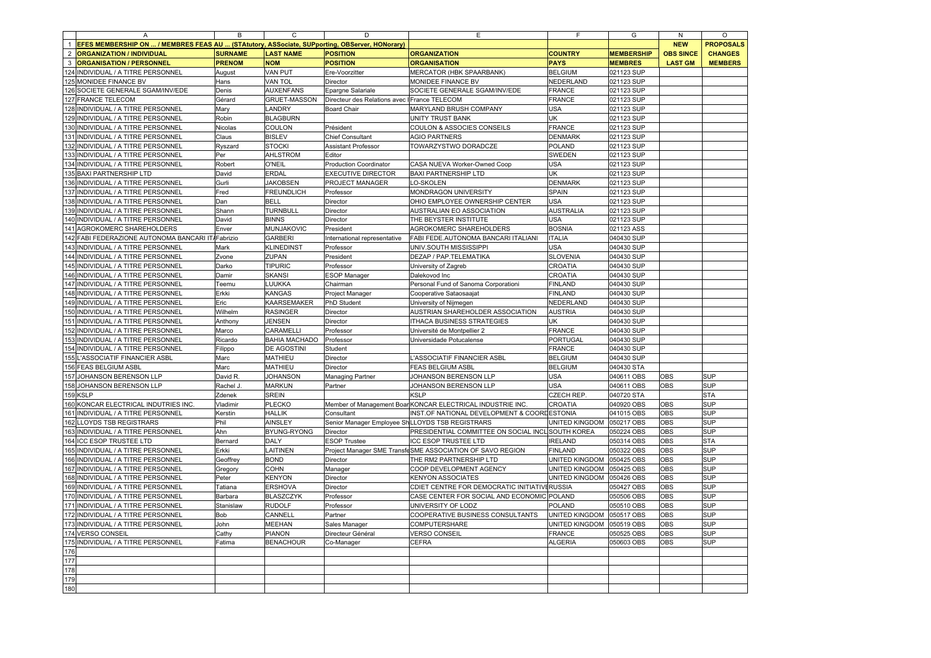|                | A                                                                                             | В              | C                    | D                                           | E                                                          | F                     | G                 | N                | O                |
|----------------|-----------------------------------------------------------------------------------------------|----------------|----------------------|---------------------------------------------|------------------------------------------------------------|-----------------------|-------------------|------------------|------------------|
| $\mathbf{1}$   | EFES MEMBERSHIP ON  / MEMBRES FEAS AU  (STAtutory, ASSociate, SUPporting, OBServer, HONorary) |                |                      |                                             |                                                            |                       |                   | <b>NEW</b>       | <b>PROPOSALS</b> |
| $\overline{2}$ | <b>ORGANIZATION / INDIVIDUAL</b>                                                              | <b>SURNAME</b> | <b>LAST NAME</b>     | <b>POSITION</b>                             | <b>ORGANIZATION</b>                                        | <b>COUNTRY</b>        | <b>MEMBERSHIP</b> | <b>OBS SINCE</b> | <b>CHANGES</b>   |
| 3              | <b>ORGANISATION / PERSONNEL</b>                                                               | <b>PRENOM</b>  | <b>NOM</b>           | <b>POSITION</b>                             | <b>ORGANISATION</b>                                        | <b>PAYS</b>           | <b>MEMBRES</b>    | <b>LAST GM</b>   | <b>MEMBERS</b>   |
| 124            | INDIVIDUAL / A TITRE PERSONNEL                                                                | August         | VAN PUT              | Ere-Voorzitter                              | MERCATOR (HBK SPAARBANK)                                   | <b>BELGIUM</b>        | 021123 SUP        |                  |                  |
| 125            | MONIDEE FINANCE BV                                                                            | Hans           | <b>VAN TOL</b>       | Director                                    | MONIDEE FINANCE BV                                         | NEDERLAND             | 021123 SUP        |                  |                  |
| 126            | SOCIETE GENERALE SGAM/INV/EDE                                                                 | Denis          | <b>AUXENFANS</b>     | Epargne Salariale                           | SOCIETE GENERALE SGAM/INV/EDE                              | <b>FRANCE</b>         | 021123 SUP        |                  |                  |
|                | 127 FRANCE TELECOM                                                                            | Gérard         | <b>GRUET-MASSON</b>  | Directeur des Relations avec France TELECOM |                                                            | <b>FRANCE</b>         | 021123 SUP        |                  |                  |
|                | 128 INDIVIDUAL / A TITRE PERSONNEL                                                            | Mary           | LANDRY               | <b>Board Chair</b>                          | MARYLAND BRUSH COMPANY                                     | <b>USA</b>            | 021123 SUP        |                  |                  |
| 129            | INDIVIDUAL / A TITRE PERSONNEL                                                                | Robin          | <b>BLAGBURN</b>      |                                             | UNITY TRUST BANK                                           | <b>UK</b>             | 021123 SUP        |                  |                  |
| 130            | INDIVIDUAL / A TITRE PERSONNEL                                                                | Nicolas        | COULON               | Président                                   | COULON & ASSOCIES CONSEILS                                 | <b>FRANCE</b>         | 021123 SUP        |                  |                  |
| 131            | INDIVIDUAL / A TITRE PERSONNEL                                                                | Claus          | <b>BISLEV</b>        | Chief Consultant                            | <b>AGIO PARTNERS</b>                                       | <b>DENMARK</b>        | 021123 SUP        |                  |                  |
| 132            | INDIVIDUAL / A TITRE PERSONNEL                                                                | Ryszard        | <b>STOCKI</b>        | Assistant Professor                         | TOWARZYSTWO DORADCZE                                       | <b>POLAND</b>         | 021123 SUP        |                  |                  |
| 133            | INDIVIDUAL / A TITRE PERSONNEL                                                                | Per            | <b>AHLSTROM</b>      | Editor                                      |                                                            | <b>SWEDEN</b>         | 021123 SUP        |                  |                  |
|                | 134 INDIVIDUAL / A TITRE PERSONNEL                                                            | Robert         | <b>O'NEIL</b>        | <b>Production Coordinator</b>               | CASA NUEVA Worker-Owned Coop                               | <b>USA</b>            | 021123 SUP        |                  |                  |
| 135            |                                                                                               |                | <b>ERDAL</b>         |                                             |                                                            | <b>UK</b>             |                   |                  |                  |
|                | <b>BAXI PARTNERSHIP LTD</b>                                                                   | David          |                      | <b>EXECUTIVE DIRECTOR</b>                   | <b>BAXI PARTNERSHIP LTD</b>                                |                       | 021123 SUP        |                  |                  |
| 136            | INDIVIDUAL / A TITRE PERSONNEL                                                                | Gurli          | <b>JAKOBSEN</b>      | PROJECT MANAGER                             | LO-SKOLEN                                                  | <b>DENMARK</b>        | 021123 SUP        |                  |                  |
|                | 137 INDIVIDUAL / A TITRE PERSONNEL                                                            | Fred           | <b>FREUNDLICH</b>    | Professor                                   | MONDRAGON UNIVERSITY                                       | <b>SPAIN</b>          | 021123 SUP        |                  |                  |
|                | 138 INDIVIDUAL / A TITRE PERSONNEL                                                            | Dan            | <b>BELL</b>          | Director                                    | OHIO EMPLOYEE OWNERSHIP CENTER                             | <b>USA</b>            | 021123 SUP        |                  |                  |
| 139            | INDIVIDUAL / A TITRE PERSONNEL                                                                | Shann          | <b>TURNBULL</b>      | Director                                    | AUSTRALIAN EO ASSOCIATION                                  | <b>AUSTRALIA</b>      | 021123 SUP        |                  |                  |
|                | 140 INDIVIDUAL / A TITRE PERSONNEL                                                            | David          | <b>BINNS</b>         | Director                                    | THE BEYSTER INSTITUTE                                      | <b>USA</b>            | 021123 SUP        |                  |                  |
|                | 141 AGROKOMERC SHAREHOLDERS                                                                   | Enver          | MUNJAKOVIC           | President                                   | AGROKOMERC SHAREHOLDERS                                    | <b>BOSNIA</b>         | 021123 ASS        |                  |                  |
| 142            | FABI FEDERAZIONE AUTONOMA BANCARI IT/Fabrizio                                                 |                | <b>GARBERI</b>       | International representative                | FABI FEDE.AUTONOMA BANCARI ITALIANI                        | <b>ITALIA</b>         | 040430 SUP        |                  |                  |
| 143            | INDIVIDUAL / A TITRE PERSONNEL                                                                | Mark           | KLINEDINST           | Professor                                   | UNIV.SOUTH MISSISSIPPI                                     | <b>USA</b>            | 040430 SUP        |                  |                  |
| 144            | INDIVIDUAL / A TITRE PERSONNEL                                                                | Zvone          | <b>ZUPAN</b>         | President                                   | DEZAP / PAP.TELEMATIKA                                     | <b>SLOVENIA</b>       | 040430 SUP        |                  |                  |
| 145            | INDIVIDUAL / A TITRE PERSONNEL                                                                | Darko          | <b>TIPURIC</b>       | Professor                                   | University of Zagreb                                       | CROATIA               | 040430 SUP        |                  |                  |
| 146            | INDIVIDUAL / A TITRE PERSONNEL                                                                | Damir          | <b>SKANSI</b>        | ESOP Manager                                | Dalekovod Inc                                              | CROATIA               | 040430 SUP        |                  |                  |
| 147            | INDIVIDUAL / A TITRE PERSONNEL                                                                | Teemu          | <b>UUKKA</b>         | Chairman                                    | Personal Fund of Sanoma Corporationi                       | <b>FINLAND</b>        | 040430 SUP        |                  |                  |
| 148            | INDIVIDUAL / A TITRE PERSONNEL                                                                | Erkki          | KANGAS               | Project Manager                             | Cooperative Sataosaajat                                    | <b>FINLAND</b>        | 040430 SUP        |                  |                  |
|                | 149 INDIVIDUAL / A TITRE PERSONNEL                                                            | Eric           | KAARSEMAKER          | PhD Student                                 | University of Nijmegen                                     | NEDERLAND             | 040430 SUP        |                  |                  |
| 150            | INDIVIDUAL / A TITRE PERSONNEL                                                                | Wilhelm        | <b>RASINGER</b>      | Director                                    | AUSTRIAN SHAREHOLDER ASSOCIATION                           | <b>AUSTRIA</b>        | 040430 SUP        |                  |                  |
| 151            | INDIVIDUAL / A TITRE PERSONNEL                                                                | Anthony        | <b>JENSEN</b>        | Director                                    | ITHACA BUSINESS STRATEGIES                                 | UK                    | 040430 SUP        |                  |                  |
| 152            | INDIVIDUAL / A TITRE PERSONNEL                                                                | Marco          | CARAMELLI            | Professor                                   | Université de Montpellier 2                                | <b>FRANCE</b>         | 040430 SUP        |                  |                  |
| 153            | INDIVIDUAL / A TITRE PERSONNEL                                                                | Ricardo        | <b>BAHIA MACHADO</b> | Professor                                   | Universidade Potucalense                                   | PORTUGAL              | 040430 SUP        |                  |                  |
| 154            | INDIVIDUAL / A TITRE PERSONNEL                                                                | Filippo        | DE AGOSTINI          | Student                                     |                                                            | <b>FRANCE</b>         | 040430 SUP        |                  |                  |
| 155            | L'ASSOCIATIF FINANCIER ASBL                                                                   | Marc           | MATHIEU              | Director                                    | L'ASSOCIATIF FINANCIER ASBL                                | <b>BELGIUM</b>        | 040430 SUP        |                  |                  |
| 156            | <b>FEAS BELGIUM ASBL</b>                                                                      | Marc           | MATHIEU              | Director                                    | <b>FEAS BELGIUM ASBL</b>                                   | <b>BELGIUM</b>        | 040430 STA        |                  |                  |
| 157            | JOHANSON BERENSON LLP                                                                         | David R.       | <b>JOHANSON</b>      | Managing Partner                            | JOHANSON BERENSON LLP                                      | <b>USA</b>            | 040611 OBS        | OBS              | <b>SUP</b>       |
| 158            |                                                                                               |                | <b>MARKUN</b>        |                                             |                                                            | <b>USA</b>            |                   | OBS              | <b>SUP</b>       |
| 159            | JOHANSON BERENSON LLP                                                                         | Rachel J.      |                      | Partner                                     | JOHANSON BERENSON LLP                                      |                       | 040611 OBS        |                  |                  |
|                | <b>KSLP</b>                                                                                   | Zdenek         | <b>SREIN</b>         |                                             | <b>KSLP</b>                                                | CZECH REP             | 040720 STA        |                  | <b>STA</b>       |
| 160            | KONCAR ELECTRICAL INDUTRIES INC.                                                              | Vladimir       | <b>PLECKO</b>        |                                             | Member of Management Boar KONCAR ELECTRICAL INDUSTRIE INC. | CROATIA               | 040920 OBS        | OBS              | <b>SUP</b>       |
| 161            | INDIVIDUAL / A TITRE PERSONNEL                                                                | Kerstin        | <b>HALLIK</b>        | Consultant                                  | INST.OF NATIONAL DEVELOPMENT & COORLESTONIA                |                       | 041015 OBS        | OBS              | <b>SUP</b>       |
|                | 162 LLOYDS TSB REGISTRARS                                                                     | Phil           | AINSLEY              |                                             | Senior Manager Employee Sh LLOYDS TSB REGISTRARS           | UNITED KINGDOM        | 050217 OBS        | OBS              | <b>SUP</b>       |
| 163            | INDIVIDUAL / A TITRE PERSONNEL                                                                | Ahn            | BYUNG-RYONG          | Director                                    | PRESIDENTIAL COMMITTEE ON SOCIAL INCL SOUTH KOREA          |                       | 050224 OBS        | OBS              | <b>SUP</b>       |
| 164            | <b>ICC ESOP TRUSTEE LTD</b>                                                                   | Bernard        | DALY                 | <b>ESOP Trustee</b>                         | ICC ESOP TRUSTEE LTD                                       | <b>IRELAND</b>        | 050314 OBS        | OBS              | <b>STA</b>       |
| 165            | INDIVIDUAL / A TITRE PERSONNEL                                                                | Erkki          | LAITINEN             |                                             | Project Manager SME TransfeSME ASSOCIATION OF SAVO REGION  | <b>FINLAND</b>        | 050322 OBS        | OBS              | <b>SUP</b>       |
| 166            | INDIVIDUAL / A TITRE PERSONNEL                                                                | Geoffrey       | <b>BOND</b>          | Director                                    | THE RM2 PARTNERSHIP LTD                                    | UNITED KINGDOM        | 050425 OBS        | OBS              | SUP              |
| 167            | INDIVIDUAL / A TITRE PERSONNEL                                                                | Gregory        | <b>COHN</b>          | Manager                                     | COOP DEVELOPMENT AGENCY                                    | <b>UNITED KINGDOM</b> | 050425 OBS        | OBS              | SUP              |
| 168            | INDIVIDUAL / A TITRE PERSONNEL                                                                | Peter          | <b>KENYON</b>        | Director                                    | <b>KENYON ASSOCIATES</b>                                   | UNITED KINGDOM        | 050426 OBS        | OBS              | <b>SUP</b>       |
| 169            | INDIVIDUAL / A TITRE PERSONNEL                                                                | Tatiana        | <b>ERSHOVA</b>       | Director                                    | CDIET CENTRE FOR DEMOCRATIC INITIATIVERUSSIA               |                       | 050427 OBS        | OBS              | <b>SUP</b>       |
| 170            | INDIVIDUAL / A TITRE PERSONNEL                                                                | Barbara        | <b>BLASZCZYK</b>     | Professor                                   | CASE CENTER FOR SOCIAL AND ECONOMIC POLAND                 |                       | 050506 OBS        | OBS              | SUP              |
| 171            | INDIVIDUAL / A TITRE PERSONNEL                                                                | Stanislaw      | <b>RUDOLF</b>        | Professor                                   | UNIVERSITY OF LODZ                                         | <b>POLAND</b>         | 050510 OBS        | OBS              | SUP              |
| 172            | INDIVIDUAL / A TITRE PERSONNEL                                                                | Bob            | CANNELL              | Partner                                     | COOPERATIVE BUSINESS CONSULTANTS                           | UNITED KINGDOM        | 050517 OBS        | OBS              | <b>SUP</b>       |
| 173            | INDIVIDUAL / A TITRE PERSONNEL                                                                | John           | MEEHAN               | Sales Manager                               | COMPUTERSHARE                                              | UNITED KINGDOM        | 050519 OBS        | OBS              | <b>SUP</b>       |
| 174            | <b>VERSO CONSEIL</b>                                                                          | Cathy          | PIANON               | Directeur Général                           | <b>VERSO CONSEIL</b>                                       | <b>FRANCE</b>         | 050525 OBS        | OBS              | <b>SUP</b>       |
| 175            | INDIVIDUAL / A TITRE PERSONNEL                                                                | Fatima         | <b>BENACHOUR</b>     | Co-Manager                                  | <b>CEFRA</b>                                               | <b>ALGERIA</b>        | 050603 OBS        | OBS              | <b>SUP</b>       |
| 176            |                                                                                               |                |                      |                                             |                                                            |                       |                   |                  |                  |
| 177            |                                                                                               |                |                      |                                             |                                                            |                       |                   |                  |                  |
| 178            |                                                                                               |                |                      |                                             |                                                            |                       |                   |                  |                  |
| 179            |                                                                                               |                |                      |                                             |                                                            |                       |                   |                  |                  |
| 180            |                                                                                               |                |                      |                                             |                                                            |                       |                   |                  |                  |
|                |                                                                                               |                |                      |                                             |                                                            |                       |                   |                  |                  |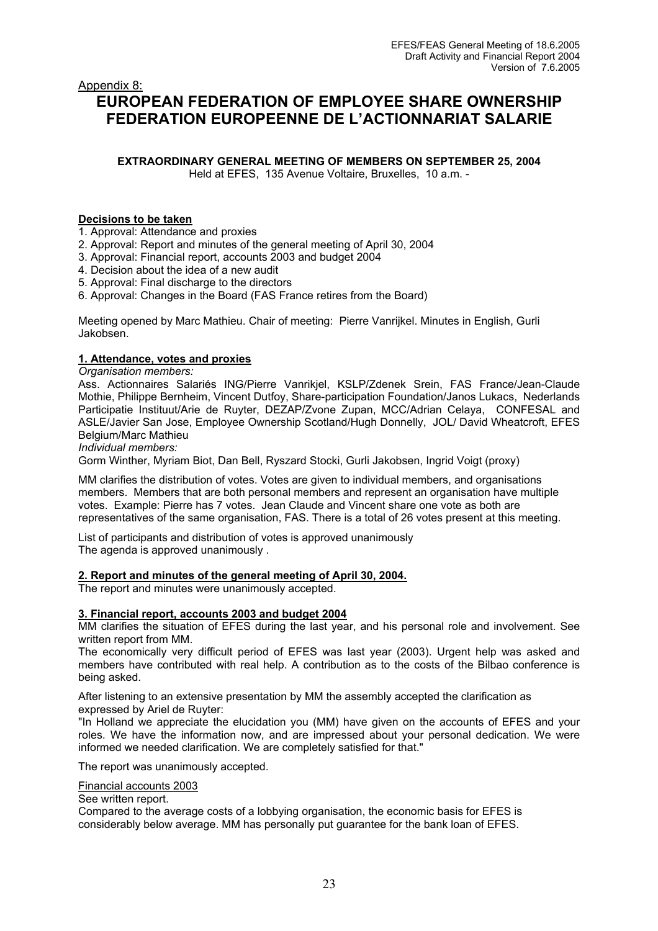# Appendix 8: **EUROPEAN FEDERATION OF EMPLOYEE SHARE OWNERSHIP FEDERATION EUROPEENNE DE L'ACTIONNARIAT SALARIE**

**EXTRAORDINARY GENERAL MEETING OF MEMBERS ON SEPTEMBER 25, 2004** 

Held at EFES, 135 Avenue Voltaire, Bruxelles, 10 a.m. -

# **Decisions to be taken**

1. Approval: Attendance and proxies

- 2. Approval: Report and minutes of the general meeting of April 30, 2004
- 3. Approval: Financial report, accounts 2003 and budget 2004
- 4. Decision about the idea of a new audit
- 5. Approval: Final discharge to the directors
- 6. Approval: Changes in the Board (FAS France retires from the Board)

Meeting opened by Marc Mathieu. Chair of meeting: Pierre Vanrijkel. Minutes in English, Gurli Jakobsen.

# **1. Attendance, votes and proxies**

*Organisation members:* 

Ass. Actionnaires Salariés ING/Pierre Vanrikjel, KSLP/Zdenek Srein, FAS France/Jean-Claude Mothie, Philippe Bernheim, Vincent Dutfoy, Share-participation Foundation/Janos Lukacs, Nederlands Participatie Instituut/Arie de Ruyter, DEZAP/Zvone Zupan, MCC/Adrian Celaya, CONFESAL and ASLE/Javier San Jose, Employee Ownership Scotland/Hugh Donnelly, JOL/ David Wheatcroft, EFES Belgium/Marc Mathieu

*Individual members:* 

Gorm Winther, Myriam Biot, Dan Bell, Ryszard Stocki, Gurli Jakobsen, Ingrid Voigt (proxy)

MM clarifies the distribution of votes. Votes are given to individual members, and organisations members. Members that are both personal members and represent an organisation have multiple votes. Example: Pierre has 7 votes. Jean Claude and Vincent share one vote as both are representatives of the same organisation, FAS. There is a total of 26 votes present at this meeting.

List of participants and distribution of votes is approved unanimously The agenda is approved unanimously .

# **2. Report and minutes of the general meeting of April 30, 2004.**

The report and minutes were unanimously accepted.

# **3. Financial report, accounts 2003 and budget 2004**

MM clarifies the situation of EFES during the last year, and his personal role and involvement. See written report from MM.

The economically very difficult period of EFES was last year (2003). Urgent help was asked and members have contributed with real help. A contribution as to the costs of the Bilbao conference is being asked.

After listening to an extensive presentation by MM the assembly accepted the clarification as expressed by Ariel de Ruyter:

"In Holland we appreciate the elucidation you (MM) have given on the accounts of EFES and your roles. We have the information now, and are impressed about your personal dedication. We were informed we needed clarification. We are completely satisfied for that."

The report was unanimously accepted.

Financial accounts 2003

See written report.

Compared to the average costs of a lobbying organisation, the economic basis for EFES is considerably below average. MM has personally put guarantee for the bank loan of EFES.